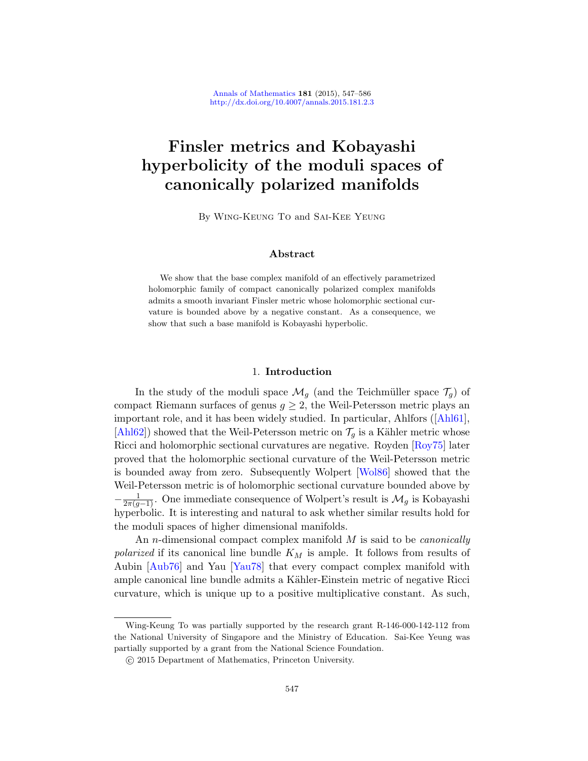# Finsler metrics and Kobayashi hyperbolicity of the moduli spaces of canonically polarized manifolds

By Wing-Keung To and Sai-Kee Yeung

# Abstract

<span id="page-0-0"></span>We show that the base complex manifold of an effectively parametrized holomorphic family of compact canonically polarized complex manifolds admits a smooth invariant Finsler metric whose holomorphic sectional curvature is bounded above by a negative constant. As a consequence, we show that such a base manifold is Kobayashi hyperbolic.

# 1. Introdu[ction](#page-38-0)

In the study of the mod[uli spac](#page-39-0)e  $\mathcal{M}_g$  (and the Teichmüller space  $\mathcal{T}_g$ ) of compact Riemann surfaces of genus  $g \geq 2$ , the Weil-Petersson metric plays an important role, and it has been widely studied. In particular, Ahlfors ([Ahl61], [Ahl62]) showed that the Weil-Petersson metric on  $\mathcal{T}_q$  is a Kähler metric whose Ricci and holomorphic sectional curvatures are negative. Royden [Roy75] later proved that the holomorphic sectional curvature of the Weil-Petersson metric is bounded away from zero. Subsequently Wolpert [Wol86] showed that the W[eil-Pete](#page-39-1)rsson metric is of holomorphic sectional curvature bounded above by  $-\frac{1}{2\pi(g-1)}$ . One immediate consequence of Wolpert's result is  $\mathcal{M}_g$  is Kobayashi hyperbolic. It is interesting and natural to ask whether similar results hold for the moduli spaces of higher dimensional manifolds.

An *n*-dimensional compact complex manifold  $M$  is said to be *canonically* polarized if its canonical line bundle  $K_M$  is ample. It follows from results of Aubin [Aub76] and Yau [Yau78] that every compact complex manifold with ample canonical line bundle admits a Kähler-Einstein metric of negative Ricci curvature, which is unique up to a positive multiplicative constant. As such,

Wing-Keung To was partially supported by the research grant R-146-000-142-112 from the National University of Singapore and the Ministry of Education. Sai-Kee Yeung was partially supported by a grant from the National Science Foundation.

c 2015 Department of Mathematics, Princeton University.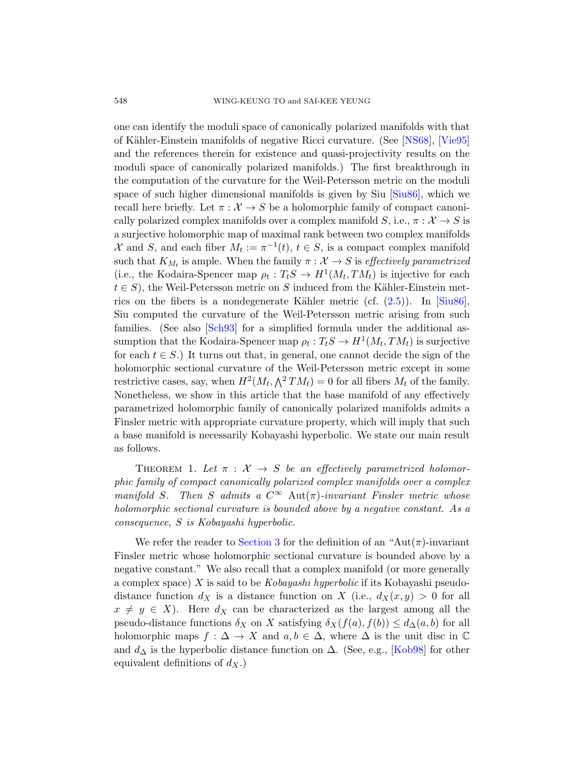one can identify the moduli space of canonically polarized manifolds with that of K¨ahler-Einstein manifolds of negative Ricci curvature. (See [NS68], [Vie95] and the references therein for existence and quasi-projectivity results on the moduli space of canonically polarized manifolds.) The first breakthrough in the computation of the curvature for the Weil-Petersson metric on the moduli space of such higher dimensional manifolds is given by Siu [Siu86], which we recall here briefly. Let  $\pi : \mathcal{X} \to S$  be a holomorphic family of compact canonically polarized complex manifolds ov[er a](#page-6-0) comple[x mani](#page-39-2)fold S, i.e.,  $\pi : \mathcal{X} \to S$  is a surjective holomorphic map of maximal rank between two complex manifolds [X](#page-39-3) and S, and each fiber  $M_t := \pi^{-1}(t)$ ,  $t \in S$ , is a compact complex manifold such that  $K_{M_t}$  is ample. When the family  $\pi: \mathcal{X} \to S$  is effectively parametrized (i.e., the Kodaira-Spencer map  $\rho_t: T_tS \to H^1(M_t, TM_t)$  is injective for each  $t \in S$ , the Weil-Petersson metric on S induced from the Kähler-Einstein metrics on the fibers is a nondegenerate Kähler metric (cf.  $(2.5)$ ). In [Siu86], Siu computed the curvature of the Weil-Petersson metric arising from such families. (See also [Sch93] for a simplified formula under the additional assumption that the Kodaira-Spencer map  $\rho_t: T_tS \to H^1(M_t, TM_t)$  is surjective for each  $t \in S$ .) It turns out that, in general, one cannot decide the sign of the holomorphic sectional curvature of the Weil-Petersson metric except in some restrictive cases, say, when  $H^2(M_t, \Lambda^2 TM_t) = 0$  for all fibers  $M_t$  of the family. Nonetheless, we show in this article that the base manifold of any effectively parametrized holomorphic family of canonically polarized manifolds admits a Finsler metric with appropriate curvature property, which will imply that such a base manifold is necessarily Kobayashi hyperbolic. We state our main result as follows.

<span id="page-1-0"></span>THEOREM 1. Let  $\pi : \mathcal{X} \to S$  be an effectively parametrized holomorphic family of compact canonically polarized complex manifolds over a complex manifold S. Then S admits a  $C^{\infty}$  Aut $(\pi)$ -invariant Finsler metric whose holomorphic sectional curvature is bounded above by a negative constant. As a consequence, S is Kobayashi hyperbolic.

We refer the reader to Section 3 for the definition of an "Aut( $\pi$ )-invariant Finsler metric whose holomorphic sectional curvature is bounded above by a negative constant." We also recall th[at a com](#page-38-1)plex manifold (or more generally a complex space)  $X$  is said to be *Kobayashi hyperbolic* if its Kobayashi pseudodistance function  $d_X$  is a distance function on X (i.e.,  $d_X(x, y) > 0$  for all  $x \neq y \in X$ ). Here  $d_X$  can be characterized as the largest among all the pseudo-distance functions  $\delta_X$  on X satisfying  $\delta_X(f(a), f(b)) \leq d_{\Delta}(a, b)$  for all holomorphic maps  $f : \Delta \to X$  and  $a, b \in \Delta$ , where  $\Delta$  is the unit disc in  $\mathbb C$ and  $d_{\Delta}$  is the hyperbolic distance function on  $\Delta$ . (See, e.g., [Kob98] for other equivalent definitions of  $d_X$ .)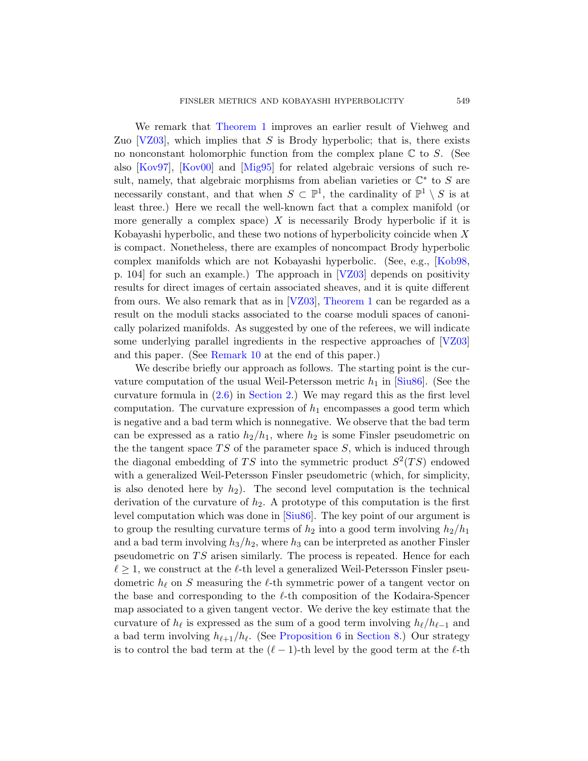We remark that Theorem 1 improves an earlier result of Viehweg and Zuo  $[VZ03]$ , which implies that S is Brody hyperbolic; that is, there exists no nonconstant holomorphic function from the complex plane  $\mathbb C$  to S. (See also [Kov97], [Kov00] and [Mig95] for related algebraic versions of such result, namely, that algebraic morphisms from a[belian v](#page-38-1)arieties or  $\mathbb{C}^*$  to S are necessarily constant, and [that w](#page-39-4)hen  $S \subset \mathbb{P}^1$ , the cardinality of  $\mathbb{P}^1 \setminus S$  is at least three.) Here we recall the well-known fact that a complex manifold (or more generally [a com](#page-39-4)[plex space\)](#page-1-0)  $X$  is necessarily Brody hyperbolic if it is Kobayashi hyperbolic, and these two notions of hyperbolicity coincide when  $X$ is compact. Nonetheless, there are examples of noncompact Brody hyperbolic complex manifolds which are not Kobayashi h[yperbo](#page-39-4)lic. (See, e.g., [Kob98, [p. 104\] fo](#page-36-0)r such an example.) The approach in [VZ03] depends on positivity results for direct images of certain associated sheaves, and it is quite different fromours. We also remark that as in  $[VZ03]$ , Theorem 1 can be regarded as a [res](#page-6-1)ult [on the mo](#page-4-0)duli stacks associated to the coarse moduli spaces of canonically polarized manifolds. As suggested by one of the referees, we will indicate some underlying parallel ingredients in the respective approaches of [VZ03] and this paper. (See Remark 10 at the end of this paper.)

We describe briefly our approach as follows. The starting point is the curvature computation of the usual Weil-Petersson metric  $h_1$  in  $\text{Siu86}$ . (See the curvature formula in  $(2.6)$  in Section 2.) We may regard this as the first level computation. The curvature expression of  $h_1$  encompasses a good term which is negative and a bad term which is nonnegative. We observe that the bad term can be expres[sed as](#page-39-2) a ratio  $h_2/h_1$ , where  $h_2$  is some Finsler pseudometric on the the tangent space  $TS$  of the parameter space  $S$ , which is induced through the diagonal embedding of TS into the symmetric product  $S^2(TS)$  endowed with a generalized Weil-Petersson Finsler pseudometric (which, for simplicity, is also denoted here by  $h_2$ ). The second level computation is the technical derivation of the curvature of  $h_2$ . A prototype of this computation is the first level computation which was done in [Siu86]. The key point of our argument is to group the resulting curvature terms of  $h_2$  into a good term involving  $h_2/h_1$ and a bad term involving  $h_3/h_2$ , where  $h_3$  can be interpreted as another Finsler pseudometric on  $TS$  [arisen](#page-30-0) si[milarly. Th](#page-26-0)e process is repeated. Hence for each  $\ell \geq 1$ , we construct at the  $\ell$ -th level a generalized Weil-Petersson Finsler pseudometric  $h_\ell$  on S measuring the  $\ell$ -th symmetric power of a tangent vector on the base and corresponding to the  $\ell$ -th composition of the Kodaira-Spencer map associated to a given tangent vector. We derive the key estimate that the curvature of  $h_\ell$  is expressed as the sum of a good term involving  $h_\ell/h_{\ell-1}$  and a bad term involving  $h_{\ell+1}/h_{\ell}$ . (See Proposition 6 in Section 8.) Our strategy is to control the bad term at the  $(\ell - 1)$ -th level by the good term at the  $\ell$ -th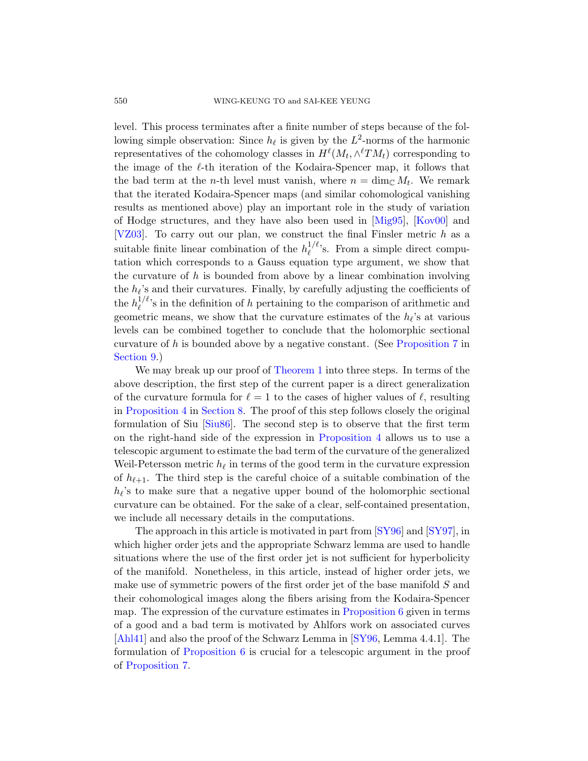level. This process terminates after a finite number of steps because of the following simple observation: Since  $h_\ell$  [is gi](#page-38-2)ve[n by th](#page-38-3)e  $L^2$ -norms of the harmonic representatives of the cohomology classes in  $H^{\ell}(M_t, \wedge^{\ell}TM_t)$  corresponding to the image of the  $\ell$ -th iteration of the Kodaira-Spencer map, it follows that the bad term at the *n*-th level must vanish, where  $n = \dim_{\mathbb{C}} M_t$ . We remark that the iterated Kodaira-Spencer maps (and similar cohomological vanishing results as mentioned above) play an important role in the study of variation of Hodge structures, and they have also been used in [Mig95], [Kov00] and [VZ03]. To carry out our plan, we construct the final Finsler metric  $h$  as a suitable finite linear combination of the  $h_{\ell}^{1/\ell}$  $\ell^{1/\ell}$ 's. From a simple direct computation which corresponds to a Gauss [equation type](#page-34-0) argument, we show that the curvature of h is bounded from above by a linear combination involving the  $h_{\ell}$ 's an[d their curva](#page-1-0)tures. Finally, by carefully adjusting the coefficients of the  $h_\ell^{1/\ell}$  $\ell^{1/\ell}$ 's in the definition of h pertaining to the comparison of arithmetic and geometric means, we show that the curvature estimates of the  $h_{\ell}$ 's at various [levels](#page-26-0) can be combined together to conclude that the holomorphic sectional [cur](#page-39-2)vature of h is bou[nded above by](#page-28-0) a negative constant. (See Proposition 7 in Section 9.)

We may break up our proof of Theorem 1 into three steps. In terms of the above description, the first step of the current paper is a direct generalization of the curvature formula for  $\ell = 1$  to the cases of higher values of  $\ell$ , resulting in Proposition 4 in Section 8. The proof of this step follows closely the original formulation of Siu [Siu86]. The second step is to observe that the first term on the right-hand side of the expression in Proposition 4 allows us to use a telescopic argument to estimate th[e bad t](#page-39-5)erm [of the c](#page-39-6)urvature of the generalized Weil-Petersson metric  $h_\ell$  in terms of the good term in the curvature expression of  $h_{\ell+1}$ . The third step is the careful choice of a suitable combination of the  $h_{\ell}$ 's to make sure that a negative upper bound of the holomorphic sectional curvature can be obtained. For the sake of a clear, self-contained presentation, we include all necessary details in the computations.

The approach in thisa[rticle is motiva](#page-30-0)ted in part from [SY96] and [SY97], in which higher order jets and the appropriate Schwarz lemma are used to handle situations where the use of t[he first](#page-39-5) order jet is not sufficient for hyperbolicity [of the](#page-30-0) manifold. Nonetheless, in this article, instead of higher order jets, we make use of symmetric powers of the first order jet of the base manifold S and their cohomological images along the fibers arising from the Kodaira-Spencer map. The expression of the curvature estimates in Proposition 6 given in terms of a good and a bad term is motivated by Ahlfors work on associated curves [Ahl41] and also the proof of the Schwarz Lemma in [SY96, Lemma 4.4.1]. The formulation of Proposition 6 is crucial for a telescopic argument in the proof of Proposition 7.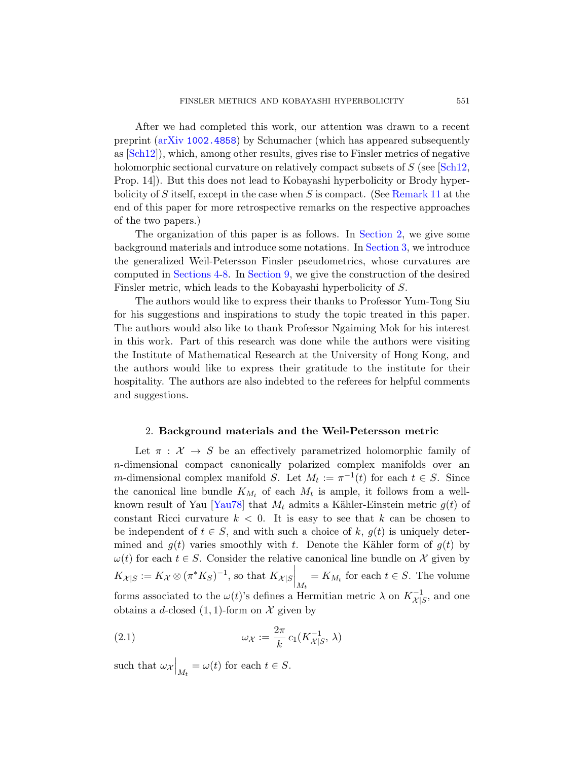After we had completed this work, our attention was drawn to a recent preprint (arXiv 1002.4858) by Schumacher (which has appeared subsequently as [Sch12]), which, among oth[er results, g](#page-4-0)ives rise to Finsler metrics of negative holomorphic sectional curvature [on relativ](#page-7-0)ely compact subsets of S (see [Sch12, Prop. 14]). But this does not lead to Kobayashi hyperbolicity or Brody hyper[bo](#page-26-0)lici[ty of](#page-31-0) S itself, except in the case when S is compact. (See Remark 11 at the end of this paper for more retrospective remarks on the respective approaches of the two papers.)

The organization of this paper is as follows. In Section 2, we give some background materials and introduce some notations. In Section 3, we introduce the generalized Weil-Petersson Finsler pseudometrics, whose curvatures are computed in Sections 4-8. In Section 9, we give the construction of the desired Finsler metric, which leads to the Kobayashi hyperbolicity of S.

<span id="page-4-0"></span>The authors would like to express their thanks to Professor Yum-Tong Siu for his suggestions and inspirations to study the topic treated in this paper. The authors would also like to thank Professor Ngaiming Mok for his interest in this work. Part of this research was done while the authors were visiting the Institute of Mathematical Research at the University of Hong Kong, and the authors would like to express their gratitude to the institute for their hospitality. The authors are also indebted to the referees for helpful comments and suggestions.

#### 2. Background materials and the Weil-Petersson metric

Let  $\pi$ :  $\mathcal{X} \rightarrow S$  be an effectively parametrized holomorphic family of n-dimensional compact canonically polarized complex manifolds over an *m*-dimensional complex manifold S. Let  $M_t := \pi^{-1}(t)$  for each  $t \in S$ . Since the canonical line bundle  $K_{M_t}$  of each  $M_t$  is ample, it follows from a wellknown result of Yau [Yau78] that  $M_t$  admits a Kähler-Einstein metric  $g(t)$  of constant Ricci curvature  $k < 0$ . It is easy to see that k can be chosen to be independent of  $t \in S$ , and with such a choice of k,  $q(t)$  is uniquely determined and  $g(t)$  varies smoothly with t. Denote the Kähler form of  $g(t)$  by  $\omega(t)$  for each  $t \in S$ . Consider the relative canonical line bundle on X given by  $K_{\mathcal{X}|S} := K_{\mathcal{X}} \otimes (\pi^* K_S)^{-1}$ , so that  $K_{\mathcal{X}|S} \bigg|_{M_t} = K_{M_t}$  for each  $t \in S$ . The volume forms associated to the  $\omega(t)$ 's defines a Hermitian metric  $\lambda$  on  $K_{\mathcal{X}|S}^{-1}$ , and one obtains a d-closed  $(1, 1)$ -form on X given by

<span id="page-4-1"></span>(2.1) 
$$
\omega_{\mathcal{X}} := \frac{2\pi}{k} c_1(K_{\mathcal{X}|S}^{-1}, \lambda)
$$

such that  $\omega_{\mathcal{X}}\Big|_{M_t} = \omega(t)$  for each  $t \in S$ .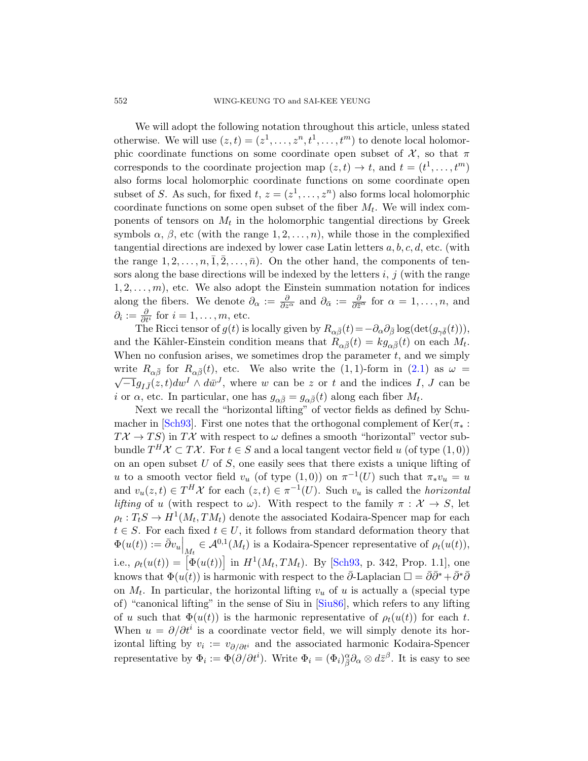We will adopt the following notation throughout this article, unless stated otherwise. We will use  $(z, t) = (z^1, \ldots, z^n, t^1, \ldots, t^m)$  to denote local holomorphic coordinate functions on some coordinate open subset of  $\mathcal{X}$ , so that  $\pi$ corresponds to the coordinate projection map  $(z, t) \rightarrow t$ , and  $t = (t^1, \ldots, t^m)$ also forms local holomorphic coordinate functions on some coordinate open subset of S. As such, for fixed  $t, z = (z^1, \ldots, z^n)$  also forms local holomorphic coordinate functions on some open subset of the fiber  $M_t$ . We will index components of tensors on  $M_t$  in the holomorphic tangential directions by Greek symbols  $\alpha$ ,  $\beta$ , etc (with the range  $1, 2, \ldots, n$ ), while those in the complexified tangential directions are indexed by lower case Latin letters  $a, b, c, d$ , etc. (with the range  $1, 2, \ldots, n, 1, 2, \ldots, \bar{n}$ . On the other hand, the components of tensors along the base directions will be indexed by the letters  $i, j$  (with the range  $1, 2, \ldots, m$ , etc. We also adopt the Eins[tein](#page-4-1) summation notation for indices along the fibers. We denote  $\partial_{\alpha} := \frac{\partial}{\partial z^{\alpha}}$  and  $\partial_{\bar{\alpha}} := \frac{\partial}{\partial \bar{z}^{\alpha}}$  for  $\alpha = 1, \ldots, n$ , and  $\partial_i := \frac{\partial}{\partial t^i}$  for  $i = 1, \ldots, m$ , etc.

The Ricci tensor of  $g(t)$  is locally given by  $R_{\alpha\bar{\beta}}(t)=-\partial_{\alpha}\partial_{\bar{\beta}}\log(\det(g_{\gamma\bar{\delta}}(t))),$ and the Kähler-Einstein condition means that  $R_{\alpha\bar{\beta}}(t) = k g_{\alpha\bar{\beta}}(t)$  on each  $M_t$ . When no confusion arises, we sometimes drop the parameter  $t$ , and we simply write  $R_{\alpha\bar{\beta}}$  for  $R_{\alpha\bar{\beta}}(t)$ , etc. We also write the  $(1, 1)$ -form in  $(2.1)$  as  $\omega =$  $\overline{-1}g_{I\bar{J}}(z,t)dw^{I}\wedge d\bar{w}^{J}$ , where w can be z or t and the indices I, J can be *i* or  $\alpha$ , etc. In particular, one has  $g_{\alpha\bar{\beta}} = g_{\alpha\bar{\beta}}(t)$  along each fiber  $M_t$ .

Next we recall the "horizontal lifting" of vector fields as defined by Schumacher in [Sch93]. First one notes that the orthogonal complement of Ker( $\pi_*$ :  $T\mathcal{X} \to TS$ ) in  $T\mathcal{X}$  with respect to  $\omega$  defines a smooth "horizontal" vector subbundle  $T^H \mathcal{X} \subset T\mathcal{X}$ . For  $t \in S$  and a local tangent vector field u (of type  $(1,0)$ ) on an open subset  $U$  of  $S$ , one easily sees that there exists a unique lifting of u to a smooth vector fi[eld](#page-39-3)  $v_u$  (of type  $(1,0)$ ) on  $\pi^{-1}(U)$  such that  $\pi_* v_u = u$ and  $v_u(z,t) \in T^H \mathcal{X}$  for each  $(z,t) \in \pi^{-1}(U)$ . Such  $v_u$  is called the *horizontal lifting* of u (with respect to  $\omega$ ). With respect to the family  $\pi : \mathcal{X} \to S$ , let  $\rho_t: T_tS \to H^1(M_t, TM_t)$  denote the associated Kodaira-Spencer map for each  $t \in S$ . For each fixed  $t \in U$ , it follows from standard deformation theory that  $\Phi(u(t)) := \bar{\partial}v_u\Big|_{\underline{M}_t} \in \mathcal{A}^{0,1}(M_t)$  is a Kodaira-Spencer representative of  $\rho_t(u(t)),$ i.e.,  $\rho_t(u(t)) = [\Phi(u(t))]$  in  $H^1(M_t, TM_t)$ . By [Sch93, p. 342, Prop. 1.1], one knows that  $\Phi(u(t))$  is harmonic with respect to the  $\bar{\partial}$ -Laplacian  $\Box = \bar{\partial}\bar{\partial}^* + \bar{\partial}^*\bar{\partial}$ on  $M_t$ . In particular, the horizontal lifting  $v_u$  of u is actually a (special type of) "canonical lifting" in the sense of Siu in [Siu86], which refers to any lifting of u such that  $\Phi(u(t))$  is the harmonic representative of  $\rho_t(u(t))$  for each t. When  $u = \partial/\partial t^i$  is a coordinate vector field, we will simply denote its horizontal lifting by  $v_i := v_{\partial/\partial t^i}$  and the associated harmonic Kodaira-Spencer representative by  $\Phi_i := \Phi(\partial/\partial t^i)$ . Write  $\Phi_i = (\Phi_i)_{\beta}^{\alpha} \partial_{\alpha} \otimes d\bar{z}^{\beta}$ . It is easy to see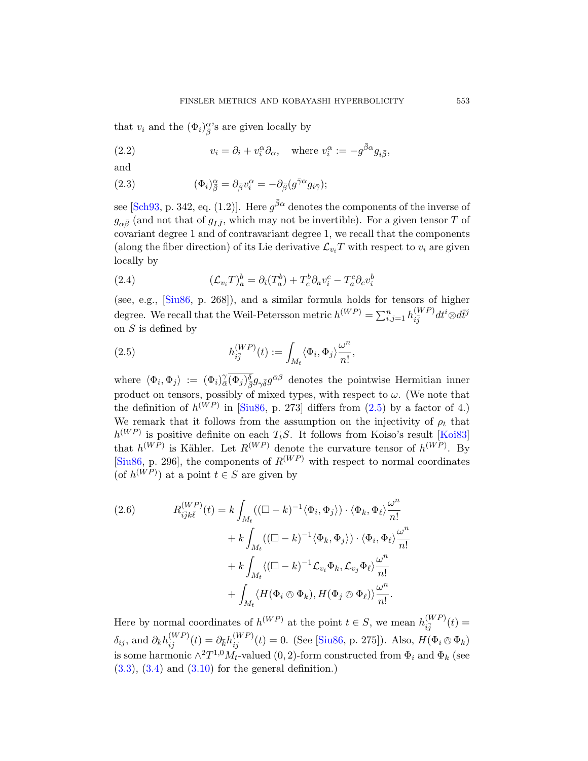<span id="page-6-3"></span><span id="page-6-2"></span>that  $v_i$  and the  $(\Phi_i)^{\alpha}_{\overline{\beta}}$ 's are given locally by

(2.2) 
$$
v_i = \partial_i + v_i^{\alpha} \partial_{\alpha}, \text{ where } v_i^{\alpha} := -g^{\bar{\beta}\alpha} g_{i\bar{\beta}},
$$

and

<span id="page-6-4"></span>(2.3) 
$$
(\Phi_i)^{\alpha}_{\bar{\beta}} = \partial_{\bar{\beta}} v_i^{\alpha} = -\partial_{\bar{\beta}} (g^{\bar{\gamma}\alpha} g_{i\bar{\gamma}});
$$

see [Sch93, p. 342, eq. (1.2)]. Here  $g^{\bar{\beta}\alpha}$  denotes the components of the inverse of  $g_{\alpha\bar{\beta}}$  (and not that of  $g_{I\bar{J}}$ , which may not be invertible). For a given tensor T of covariant degree 1 and of contravariant degree 1, we recall that the components (along the fiber direction) of its Lie derivative  $\mathcal{L}_{v_i}T$  with respect to  $v_i$  are given locally by

<span id="page-6-0"></span>(2.4) 
$$
(\mathcal{L}_{v_i}T)^b_a = \partial_i(T^b_a) + T^b_c \partial_a v^c_i - T^c_a \partial_c v^b_i
$$

(see, e.g., [Siu86, p. 268]), and a similar formula holds for tensors of higher degree. We recall that the Weil-[Peter](#page-6-0)sson metric  $h^{(WP)} = \sum_{i,j=1}^{n} h_{i\overline{j}}^{(WP)}$  $\substack{(WP)\vec{ij}}dt^i\otimes d\bar{t}^j$ on  $S$  [is defi](#page-39-2)ned by

(2.5) 
$$
h_{i\bar{j}}^{(WP)}(t) := \int_{M_t} \langle \Phi_i, \Phi_j \rangle \frac{\omega^n}{n!},
$$

<span id="page-6-1"></span>where  $\langle \Phi_i, \Phi_j \rangle := (\Phi_i)^{\gamma}_{\bar{\beta}} \overline{(\Phi_j)^{\delta}_{\bar{\beta}}} g_{\gamma \bar{\delta}} g^{\bar{\alpha}\beta}$  denotes the pointwise Hermitian inner product on tensors, possibly of mixed types, with respect to  $\omega$ . (We note that the definition of  $h^{(WP)}$  in [Siu86, p. 273] differs from (2.5) by a factor of 4.) We remark that it follows from the assumption on the injectivity of  $\rho_t$  that  $h^{(WP)}$  is positive definite on each  $T_tS$ . It follows from Koiso's result [Koi83] that  $h^{(WP)}$  is Kähler. Let  $R^{(WP)}$  denote the curvature tensor of  $h^{(WP)}$ . By [Siu86, p. 296], the components of  $R^{(WP)}$  with respect to normal coordinates (of  $h^{(WP)}$ ) at a point  $t \in S$  are given by

(2.6) 
$$
R_{i\overline{j}k\overline{\ell}}^{(WP)}(t) = k \int_{M_t} ((\Box - k)^{-1} \langle \Phi_i, \Phi_j \rangle) \cdot \langle \Phi_k, \Phi_\ell \rangle \frac{\omega^n}{n!} + k \int_{M_t} ((\Box - k)^{-1} \langle \Phi_k, \Phi_j \rangle) \cdot \langle \Phi_i, \Phi_\ell \rangle \frac{\omega^n}{n!} + k \int_{M_t} \langle (\Box - k)^{-1} \mathcal{L}_{v_i} \Phi_k, \mathcal{L}_{v_j} \Phi_\ell \rangle \frac{\omega^n}{n!} + \int_{M_t} \langle H(\Phi_i \otimes \Phi_k), H(\Phi_j \otimes \Phi_\ell) \rangle \frac{\omega^n}{n!}.
$$

Here by normal coordinates of  $h^{(WP)}$  at the point  $t \in S$ , we mean  $h_{\tilde{sl}}^{(WP)}$  $\frac{(W F)}{i\bar{j}}(t) =$  $\delta_{ij}$ , and  $\partial_k h_{i\bar{j}}^{(WP)}$  $\frac{(WP)}{i\bar{j}}(t)=\partial_{\bar{k}}h_{i\bar{j}}^{(WP)}$  $i_{ij}^{(WF)}(t) = 0.$  (See [Siu86, p. 275]). Also,  $H(\Phi_i \otimes \Phi_k)$ is some harmonic  $\wedge^2 T^{1,0} M_t$ -valued (0, 2)-form constructed from  $\Phi_i$  and  $\Phi_k$  (see  $(3.3), (3.4)$  and  $(3.10)$  for the general definition.)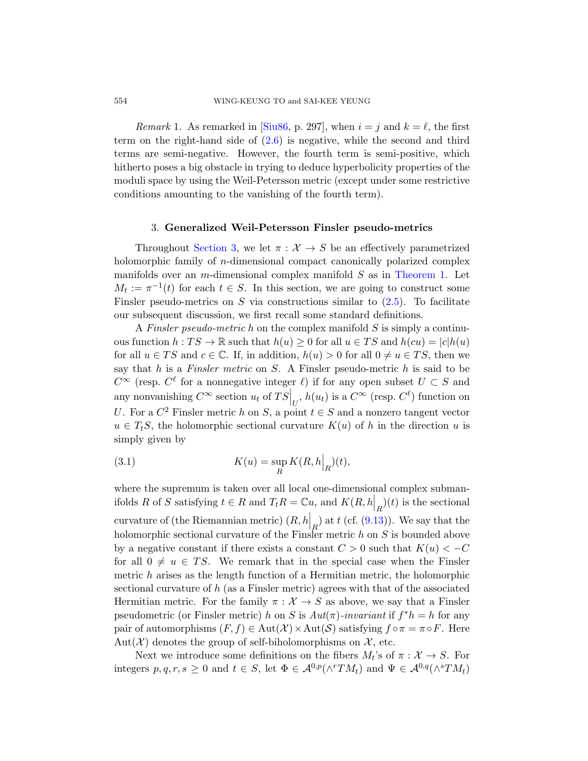<span id="page-7-0"></span>*Remark* 1. As remarked in [Siu86, p. 297], when  $i = j$  and  $k = \ell$ , the first term on the right-hand side of  $(2.6)$  is negative, while the second and third terms are semi-negative. However, the fourth term is semi-positive, which [hith](#page-7-0)erto poses a big obstacle in trying to deduce hyperbolicity properties of the moduli space by using the Weil-Petersson metric (except under some restrictive conditions amounting to the vanishin[g of the four](#page-1-0)th term).

#### 3. Generalized Weil-Pet[erss](#page-6-0)on Finsler pseudo-metrics

Throughout Section 3, we let  $\pi : \mathcal{X} \to S$  be an effectively parametrized holomorphic family of *n*-dimensional compact canonically polarized complex manifolds over an *m*-dimensional complex manifold  $S$  as in Theorem 1. Let  $M_t := \pi^{-1}(t)$  for each  $t \in S$ . In this section, we are going to construct some Finsler pseudo-metrics on  $S$  via constructions similar to  $(2.5)$ . To facilitate our subsequent discussion, we first recall some standard definitions.

A Finsler pseudo-metric h on the complex manifold  $S$  is simply a continuous function  $h: TS \to \mathbb{R}$  such that  $h(u) \geq 0$  for all  $u \in TS$  and  $h(cu) = |c|h(u)|$ for all  $u \in TS$  and  $c \in \mathbb{C}$ . If, in addition,  $h(u) > 0$  for all  $0 \neq u \in TS$ , then we say that  $h$  is a Finsler metric on  $S$ . A Finsler pseudo-metric  $h$  is said to be  $C^{\infty}$  (resp.  $C^{\ell}$  for a nonnegative integer  $\ell$ ) if for any open subset  $U \subset S$  and any nonvanishing  $C^{\infty}$  section  $u_t$  of  $TS|_U$ ,  $h(u_t)$  is a  $C^{\infty}$  (resp.  $C^{\ell}$ ) function on U. For a  $C^2$  Finsler metric h on S, a point  $t \in S$  and a nonzero tangent vector  $u \in T_tS$ , the holomorphic secti[onal](#page-34-1) curvature  $K(u)$  of h in the direction u is simply given by

(3.1) 
$$
K(u) = \sup_{R} K(R, h|_{R})(t),
$$

where the supremum is taken over all local one-dimensional complex submanifolds R of S satisfying  $t \in R$  and  $T_t R = \mathbb{C}u$ , and  $K(R, h\vert_R)(t)$  is the sectional curvature of (the Riemannian metric)  $(R, h\vert_R)$  at t (cf. (9.13)). We say that the holomorphic sectional curvature of the Finsler metric h on S is bounded above by a negative constant if there exists a constant  $C > 0$  such that  $K(u) < -C$ for all  $0 \neq u \in TS$ . We remark that in the special case when the Finsler metric  $h$  arises as the length function of a Hermitian metric, the holomorphic sectional curvature of h (as a Finsler metric) agrees with that of the associated Hermitian metric. For the family  $\pi : \mathcal{X} \to S$  as above, we say that a Finsler pseudometric (or Finsler metric) h on S is  $Aut(\pi)$ -invariant if  $f^*h = h$  for any pair of automorphisms  $(F, f) \in Aut(X) \times Aut(\mathcal{S})$  satisfying  $f \circ \pi = \pi \circ F$ . Here Aut $(\mathcal{X})$  denotes the group of self-biholomorphisms on  $\mathcal{X}$ , etc.

Next we introduce some definitions on the fibers  $M_t$ 's of  $\pi : \mathcal{X} \to S$ . For integers  $p, q, r, s \geq 0$  and  $t \in S$ , let  $\Phi \in \mathcal{A}^{0,p}(\wedge^r TM_t)$  and  $\Psi \in \mathcal{A}^{0,q}(\wedge^s TM_t)$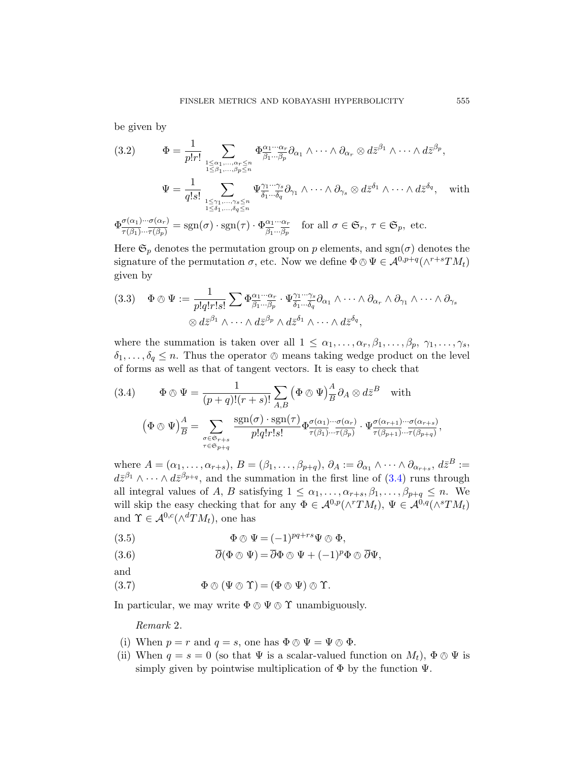<span id="page-8-1"></span>be given by

(3.2) 
$$
\Phi = \frac{1}{p!r!} \sum_{\substack{1 \leq \alpha_1, \dots, \alpha_r \leq n \\ 1 \leq \beta_1, \dots, \beta_p \leq n}} \Phi^{\alpha_1 \cdots \alpha_r}_{\beta_1 \cdots \beta_p} \partial_{\alpha_1} \wedge \cdots \wedge \partial_{\alpha_r} \otimes d\bar{z}^{\beta_1} \wedge \cdots \wedge d\bar{z}^{\beta_p},
$$

$$
\Psi = \frac{1}{q!s!} \sum_{\substack{1 \leq \gamma_1, \dots, \gamma_s \leq n \\ 1 \leq \delta_1, \dots, \delta_q \leq n}} \Psi^{\gamma_1 \cdots \gamma_s}_{\delta_1 \cdots \delta_q} \partial_{\gamma_1} \wedge \cdots \wedge \partial_{\gamma_s} \otimes d\bar{z}^{\delta_1} \wedge \cdots \wedge d\bar{z}^{\delta_q}, \text{ with}
$$

$$
\star \sigma(\alpha_1) \cdots \sigma(\alpha_r)
$$

 $\Phi_{\overline{-(a)}}^{\sigma(\alpha_1)\cdots\sigma(\alpha_r)}$  $\frac{\sigma(\alpha_1) \cdot \cdot \cdot \sigma(\alpha_r)}{\tau(\beta_1) \cdot \cdot \cdot \tau(\beta_p)} = \operatorname{sgn}(\sigma) \cdot \operatorname{sgn}(\tau) \cdot \Phi^{\alpha_1 \cdot \cdot \cdot \alpha_r}_{\beta_1 \cdot \cdot \cdot \beta_p}$  $\frac{\alpha_1 \cdots \alpha_r}{\beta_1 \cdots \beta_p}$  for all  $\sigma \in \mathfrak{S}_r$ ,  $\tau \in \mathfrak{S}_p$ , etc.

Here  $\mathfrak{S}_p$  denotes the permutation group on p elements, and sgn( $\sigma$ ) denotes the signature of the permutation  $\sigma$ , etc. Now we define  $\Phi \otimes \Psi \in \mathcal{A}^{0,p+q}(\wedge^{r+s}TM_t)$ given by

<span id="page-8-0"></span>
$$
(3.3) \quad \Phi \otimes \Psi := \frac{1}{p!q!r!s!} \sum \Phi^{\alpha_1 \cdots \alpha_r}_{\beta_1 \cdots \beta_p} \cdot \Psi^{\gamma_1 \cdots \gamma_s}_{\delta_1 \cdots \delta_q} \partial_{\alpha_1} \wedge \cdots \wedge \partial_{\alpha_r} \wedge \partial_{\gamma_1} \wedge \cdots \wedge \partial_{\gamma_s} \otimes d\bar{z}^{\beta_1} \wedge \cdots \wedge d\bar{z}^{\beta_p} \wedge d\bar{z}^{\delta_1} \wedge \cdots \wedge d\bar{z}^{\delta_q},
$$

where the summation is taken over all  $1 \leq \alpha_1, \ldots, \alpha_r, \beta_1, \ldots, \beta_p, \gamma_1, \ldots, \gamma_s$ ,  $\delta_1, \ldots, \delta_q \leq n$ . Thus the operator  $\otimes$  means taking wedge product on the level of forms as well as that of tangent vectors. It is easy to check that

(3.4) 
$$
\Phi \otimes \Psi = \frac{1}{(p+q)!(r+s)!} \sum_{A,B} (\Phi \otimes \Psi)_{\overline{B}}^A \partial_A \otimes d\overline{z}^B \text{ with}
$$

$$
(\Phi \otimes \Psi)_{\overline{B}}^A = \sum_{\substack{\sigma \in \mathfrak{S}_{r+s} \\ \tau \in \mathfrak{S}_{p+q}}} \frac{\text{sgn}(\sigma) \cdot \text{sgn}(\tau)}{p!q!r!s!} \Phi_{\tau(\beta_1)\cdots\tau(\beta_p)}^{\sigma(\alpha_1)\cdots\sigma(\alpha_r)} \cdot \Psi_{\tau(\beta_{p+1})\cdots\tau(\beta_{p+q)}}^{\sigma(\alpha_{r+s})},
$$

where  $A = (\alpha_1, \ldots, \alpha_{r+s}), B = (\beta_1, \ldots, \beta_{p+q}), \partial_A := \partial_{\alpha_1} \wedge \cdots \wedge \partial_{\alpha_{r+s}}, d\bar{z}^B :=$  $d\bar{z}^{\beta_1} \wedge \cdots \wedge d\bar{z}^{\beta_{p+q}}$ , and the summation in the first line of  $(3.4)$  runs through all integral values of A, B satisfying  $1 \leq \alpha_1, \ldots, \alpha_{r+s}, \beta_1, \ldots, \beta_{p+q} \leq n$ . We will skip the easy checking that for any  $\Phi \in \mathcal{A}^{0,p}(\wedge^r TM_t)$ ,  $\Psi \in \mathcal{A}^{0,q}(\wedge^s TM_t)$ and  $\Upsilon \in \mathcal{A}^{0,c}(\wedge^d TM_t)$ , one has

<span id="page-8-2"></span>(3.5) 
$$
\Phi \otimes \Psi = (-1)^{pq+rs} \Psi \otimes \Phi,
$$

(3.6) 
$$
\overline{\partial}(\Phi \otimes \Psi) = \overline{\partial} \Phi \otimes \Psi + (-1)^p \Phi \otimes \overline{\partial} \Psi,
$$

and

(3.7) 
$$
\Phi \otimes (\Psi \otimes \Upsilon) = (\Phi \otimes \Psi) \otimes \Upsilon.
$$

In particular, we may write  $\Phi \otimes \Psi \otimes \Upsilon$  unambiguously.

Remark 2.

- (i) When  $p = r$  and  $q = s$ , one has  $\Phi \otimes \Psi = \Psi \otimes \Phi$ .
- (ii) When  $q = s = 0$  (so that  $\Psi$  is a scalar-valued function on  $M_t$ ),  $\Phi \otimes \Psi$  is simply given by pointwise multiplication of  $\Phi$  by the function  $\Psi$ .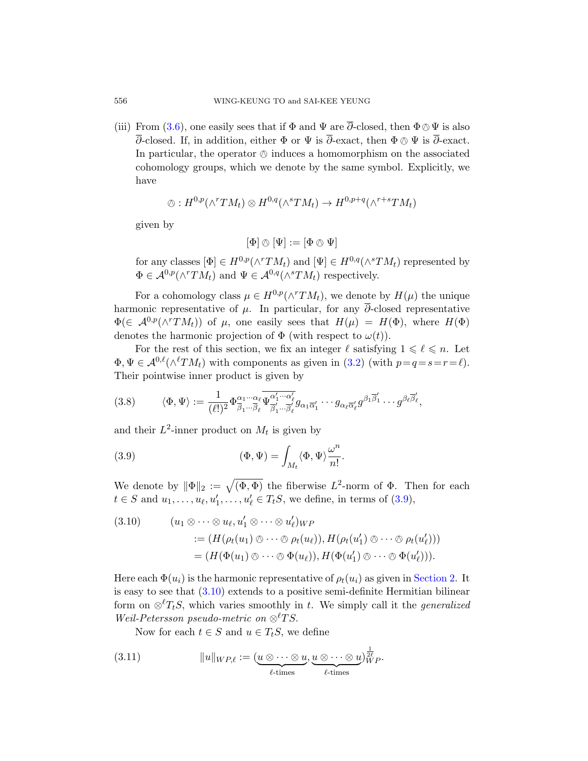(iii) From (3.6), one easily sees that if  $\Phi$  and  $\Psi$  are  $\overline{\partial}$ -closed, then  $\Phi \otimes \Psi$  is also  $\overline{\partial}$ -closed. If, in addition, either  $\Phi$  or  $\Psi$  is  $\overline{\partial}$ -exact, then  $\Phi \otimes \Psi$  is  $\overline{\partial}$ -exact. In particular, the operator  $\circledcirc$  induces a homomorphism on the associated cohomology groups, which we denote by the same symbol. Explicitly, we have

$$
\otimes: H^{0,p}(\wedge^r TM_t) \otimes H^{0,q}(\wedge^s TM_t) \to H^{0,p+q}(\wedge^{r+s} TM_t)
$$

given by

$$
[\Phi]\oslash [\Psi]:=[\Phi\oslash\Psi]
$$

for any classes  $[\Phi] \in H^{0,p}(\wedge^r TM_t)$  and  $[\Psi] \in H^{0,q}(\wedge^s TM_t)$  represented by  $\Phi \in \mathcal{A}^{0,p}(\wedge^r TM_t)$  and  $\Psi \in \mathcal{A}^{0,q}(\wedge^s TM_t)$  respectively.

<span id="page-9-2"></span>For a cohomology class  $\mu \in H^{0,p}(\wedge^r TM_t)$ , we denote by  $H(\mu)$  the unique harmonic representative of  $\mu$ . In particular, for any  $\overline{\partial}$ -closed representative  $\Phi(\in \mathcal{A}^{0,p}(\wedge^r TM_t))$  of  $\mu$ , one easily sees that  $H(\mu) = H(\Phi)$ , where  $H(\Phi)$ denotes the harmonic projection of  $\Phi$  (with respect to  $\omega(t)$ ).

<span id="page-9-0"></span>For the rest of this section, we fix an integer  $\ell$  satisfying  $1 \leq \ell \leq n$ . Let  $\Phi, \Psi \in \mathcal{A}^{0,\ell}(\wedge^{\ell} TM_t)$  with components as given in  $(3.2)$  (with  $p=q=s=r=\ell$ ). Their pointwise inner product is given by

(3.8) 
$$
\langle \Phi, \Psi \rangle := \frac{1}{(\ell!)^2} \Phi^{\alpha_1 \cdots \alpha_\ell}_{\overline{\beta}_1 \cdots \overline{\beta}_\ell} \overline{\Psi^{\alpha'_1 \cdots \alpha'_\ell}_{\overline{\beta'_1} \cdots \overline{\beta'_\ell}}} g_{\alpha_1 \overline{\alpha'_1}} \cdots g_{\alpha_\ell \overline{\alpha'_\ell}} g^{\beta_1 \overline{\beta'_1}} \cdots g^{\beta_\ell \overline{\beta'_\ell}},
$$

<span id="page-9-1"></span>and their  $L^2$ -inner product on  $M_t$  is given by

(3.9) 
$$
(\Phi, \Psi) = \int_{M_t} \langle \Phi, \Psi \rangle \frac{\omega^n}{n!}.
$$

We denote by  $\|\Phi\|_2 := \sqrt{(\Phi,\Phi)}$  the fiberwise  $L^2$ -norm of  $\Phi$ . Then for each  $t \in S$  $t \in S$  and  $u_1, \ldots, u_{\ell}, u'_1, \ldots, u'_{\ell} \in T_tS$ , we [define, in t](#page-4-0)erms of (3.9),

(3.10) 
$$
(u_1 \otimes \cdots \otimes u_{\ell}, u'_1 \otimes \cdots \otimes u'_{\ell})_{WP}
$$

$$
:= (H(\rho_t(u_1) \otimes \cdots \otimes \rho_t(u_{\ell})), H(\rho_t(u'_1) \otimes \cdots \otimes \rho_t(u'_{\ell})))
$$

$$
= (H(\Phi(u_1) \otimes \cdots \otimes \Phi(u_{\ell})), H(\Phi(u'_1) \otimes \cdots \otimes \Phi(u'_{\ell}))).
$$

<span id="page-9-3"></span>Here each  $\Phi(u_i)$  is the harmonic representative of  $\rho_t(u_i)$  as given in Section 2. It is easy to see that (3.10) extends to a positive semi-definite Hermitian bilinear form on  $\otimes^{\ell} T_tS$ , which varies smoothly in t. We simply call it the *generalized* Weil-Petersson pseudo-metric on  $\otimes^{\ell} TS$ .

Now for each  $t \in S$  and  $u \in T_tS$ , we define

(3.11) 
$$
||u||_{WP,\ell} := (\underbrace{u \otimes \cdots \otimes u}_{\ell\text{-times}}, \underbrace{u \otimes \cdots \otimes u}_{\ell\text{-times}})^{\frac{1}{2\ell}}_{\ell\text{-times}}).
$$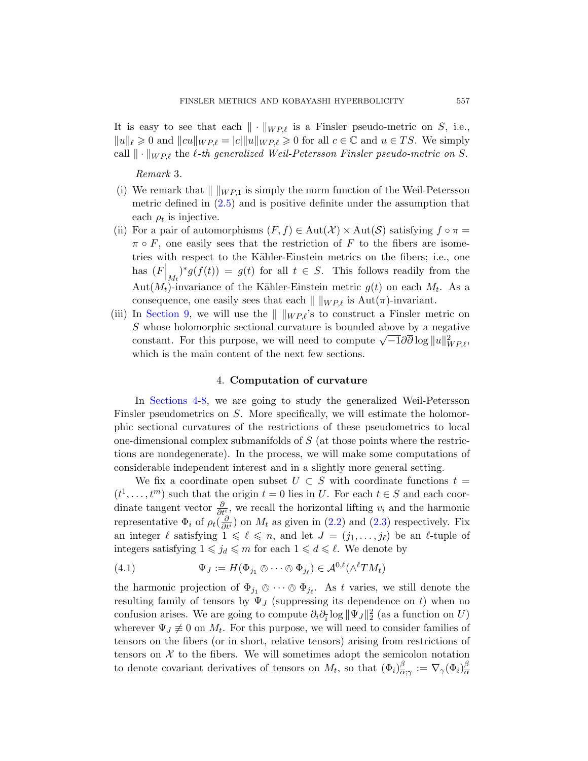<span id="page-10-2"></span>[It](#page-6-0) is easy to see that each  $\|\cdot\|_{WP,\ell}$  is a Finsler pseudo-metric on S, i.e.,  $||u||_{\ell} \geq 0$  and  $||cu||_{WP,\ell} = |c||||u||_{WP,\ell} \geq 0$  for all  $c \in \mathbb{C}$  and  $u \in TS$ . We simply call  $\|\cdot\|_{WP,\ell}$  the  $\ell$ -th generalized Weil-Petersson Finsler pseudo-metric on S.

Remark 3.

- (i) We remark that  $\| \ \|_{WP,1}$  is simply the norm function of the Weil-Petersson metric defined in (2.5) and is positive definite under the assumption that each  $\rho_t$  is injective.
- (ii) For a pair of automorphisms  $(F, f) \in Aut(\mathcal{X}) \times Aut(\mathcal{S})$  satisfying  $f \circ \pi =$  $\pi \circ F$ , one easily sees that the restriction of F to the fibers are isometries with respect to the Kähler-Einstein metrics on the fibers; i.e., one has  $(F\vert_{M_t})^*g(f(t)) = g(t)$  for all  $t \in S$ . This follows readily from the Aut $(M_t)$ -invariance of the Kähler-Einstein metric  $g(t)$  on each  $M_t$ . As a consequence, one easily sees that each  $\| \ \|_{WP,\ell}$  is  $Aut(\pi)$ -invariant.
- <span id="page-10-0"></span>(iii) In Section 9, we will use the  $\| \ \|_{WP,\ell}$ 's to construct a Finsler metric on S whose holomorphic sectional curvature is bounded above by a negative b whose holomorphic sectional curvature is bounded above by a hegative constant. For this purpose, we will need to compute  $\sqrt{-1}\partial\overline{\partial}\log||u||_{WP,\ell}^2$ , which is the main content of the next few sections.

# 4. Computation of curvature

In Sections 4-8, we are going to study the generalized Weil-Petersson Finsler pseudometrics on S. More specifically, we will estimate the holomorphic sectional curvatures of the restrictions of these pseudometrics to local one-dimensional compl[ex su](#page-6-2)bman[ifold](#page-6-3)s of S (at those points where the restrictions are nondegenerate). In the process, we will make some computations of considerable independent interest and in a slightly more general setting.

<span id="page-10-1"></span>We fix a coordinate open subset  $U \subset S$  with coordinate functions  $t =$  $(t^1, \ldots, t^m)$  such that the origin  $t = 0$  lies in U. For each  $t \in S$  and each coordinate tangent vector  $\frac{\partial}{\partial t}$ , we recall the horizontal lifting  $v_i$  and the harmonic representative  $\Phi_i$  of  $\rho_t(\frac{\partial}{\partial t^i})$  on  $M_t$  as given in (2.2) and (2.3) respectively. Fix an integer  $\ell$  satisfying  $1 \leq \ell \leq n$ , and let  $J = (j_1, \ldots, j_\ell)$  be an  $\ell$ -tuple of integers satisfying  $1 \leq j_d \leq m$  for each  $1 \leq d \leq \ell$ . We denote by

(4.1) 
$$
\Psi_J := H(\Phi_{j_1} \otimes \cdots \otimes \Phi_{j_\ell}) \in \mathcal{A}^{0,\ell}(\wedge^{\ell} TM_t)
$$

the harmonic projection of  $\Phi_{j_1} \otimes \cdots \otimes \Phi_{j_\ell}$ . As t varies, we still denote the negative femily of tensors by  $\Psi_{\ell}$  (cummercian its denondered on t) when no resulting family of tensors by  $\Psi_J$  (suppressing its dependence on t) when no confusion arises. We are going to compute  $\partial_i \partial_{\bar{i}} \log ||\Psi_J||_2^2$  (as a function on U) wherever  $\Psi_J \neq 0$  on  $M_t$ . For this purpose, we will need to consider families of tensors on the fibers (or in short, relative tensors) arising from restrictions of tensors on  $X$  to the fibers. We will sometimes adopt the semicolon notation to denote covariant derivatives of tensors on  $M_t$ , so that  $(\Phi_i)_{\overline{\alpha}}^{\beta}$  $\frac{\beta}{\alpha;\gamma}:=\nabla_\gamma(\Phi_i)_{\overline{\alpha}}^\beta$ α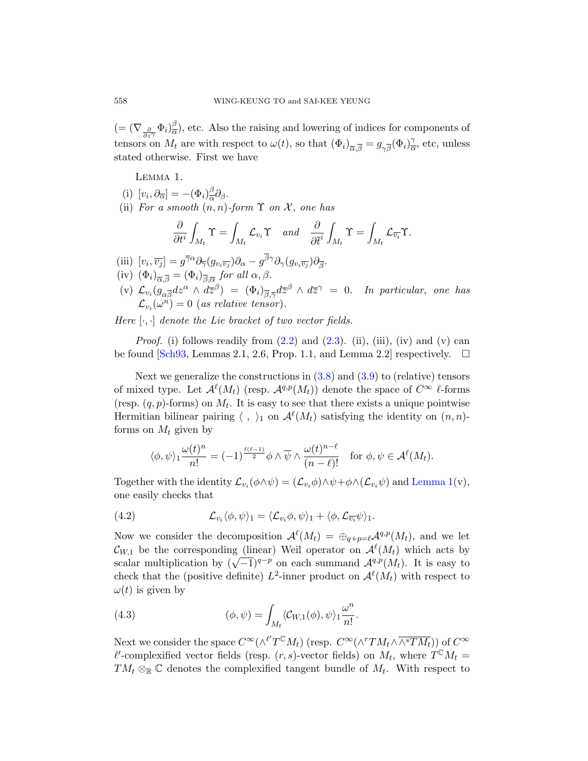<span id="page-11-0"></span> $(=(\nabla_{\frac{\partial}{\partial z^{\gamma}}} \Phi_i)^{\beta}_{\overline{\alpha}}$  $\frac{\beta}{\alpha}$ , etc. Also the raising and lowering of indices for components of tensors on  $M_t$  are with respect to  $\omega(t)$ , so that  $(\Phi_i)_{\overline{\alpha},\overline{\beta}} = g_{\gamma\overline{\beta}}(\Phi_i)_{\overline{\alpha}}^{\gamma}$  $\frac{\gamma}{\alpha}$ , etc, unless stated otherwise. First we have

Lemma 1.

- (i)  $[v_i, \partial_{\overline{\alpha}}] = -(\Phi_i)^{\beta}_{\overline{\alpha}}$  $\frac{\rho}{\alpha}\partial_{\beta}$ .
- (ii) For a smooth  $(n, n)$ -form  $\Upsilon$  on  $\mathcal{X}$ , one has

$$
\frac{\partial}{\partial t^i}\int_{M_t}\Upsilon=\int_{M_t}\mathcal{L}_{v_i}\Upsilon\quad\text{and}\quad\frac{\partial}{\partial \overline{t}^i}\int_{M_t}\Upsilon=\int_{M_t}\mathcal{L}_{\overline{v_i}}\Upsilon.
$$

- (iii[\)](#page-6-3)  $[v_i, \overline{v_j}] = g^{\overline{\gamma}\alpha} \partial_{\overline{\gamma}}(g_{v_i\overline{v_j}}) \partial_{\alpha} g^{\beta\gamma} \partial_{\gamma}(g_{v_i\overline{v_j}}) \partial_{\overline{\beta}}.$  $[v_i, \overline{v_j}] = g^{\overline{\gamma}\alpha} \partial_{\overline{\gamma}}(g_{v_i\overline{v_j}}) \partial_{\alpha} g^{\beta\gamma} \partial_{\gamma}(g_{v_i\overline{v_j}}) \partial_{\overline{\beta}}.$  $[v_i, \overline{v_j}] = g^{\overline{\gamma}\alpha} \partial_{\overline{\gamma}}(g_{v_i\overline{v_j}}) \partial_{\alpha} g^{\beta\gamma} \partial_{\gamma}(g_{v_i\overline{v_j}}) \partial_{\overline{\beta}}.$
- (iv)  $(\Phi_i)_{\overline{\alpha},\overline{\beta}} = (\Phi_i)_{\overline{\beta},\overline{\alpha}}$  for all  $\alpha, \beta$ .
- (v[\)](#page-9-2)  $\mathcal{L}_{v_i}(g_{\alpha\overline{\beta}}dz^{\alpha} \wedge d\overline{z}^{\beta}) = (\Phi_i)_{\overline{\beta},\overline{\gamma}}d\overline{z}^{\beta} \wedge d\overline{z}^{\gamma} = 0$ . In particular, one has  $\mathcal{L}_{v_i}(\omega^n) = 0$  (as relative tensor).

Here  $[\cdot, \cdot]$  denote the Lie bracket of two vector fields.

*Proof.* (i) follows readily from  $(2.2)$  and  $(2.3)$ . (ii), (iii), (iv) and (v) can be found [Sch93, Lemmas 2.1, 2.6, Prop. 1.1, and Lemma 2.2] respectively.  $\square$ 

<span id="page-11-1"></span>Next we generalize the constructions in  $(3.8)$  and  $(3.9)$  to (relative) tensors of mixed type. Let  $\mathcal{A}^{\ell}(M_t)$  (resp.  $\mathcal{A}^{q,p}(M_t)$ ) denote the space of  $C^{\infty}$   $\ell$ -forms (resp.  $(q, p)$ -forms) on  $M_t$ . It is easy to se[e that ther](#page-11-0)e exists a unique pointwise Hermitian bilinear pairing  $\langle , \rangle_1$  on  $\mathcal{A}^{\ell}(M_t)$  satisfying the identity on  $(n, n)$ forms on  $M_t$  given by

$$
\langle \phi, \psi \rangle_1 \frac{\omega(t)^n}{n!} = (-1)^{\frac{\ell(\ell-1)}{2}} \phi \wedge \overline{\psi} \wedge \frac{\omega(t)^{n-\ell}}{(n-\ell)!} \quad \text{for } \phi, \psi \in \mathcal{A}^{\ell}(M_t).
$$

Together with the identity  $\mathcal{L}_{v_i}(\phi \wedge \psi) = (\mathcal{L}_{v_i} \phi) \wedge \psi + \phi \wedge (\mathcal{L}_{v_i} \psi)$  and Lemma 1(v), one easily checks that

(4.2) 
$$
\mathcal{L}_{v_i} \langle \phi, \psi \rangle_1 = \langle \mathcal{L}_{v_i} \phi, \psi \rangle_1 + \langle \phi, \mathcal{L}_{\overline{v_i}} \psi \rangle_1.
$$

<span id="page-11-2"></span>Now we consider the decomposition  $\mathcal{A}^{\ell}(M_t) = \bigoplus_{q+p=\ell} \mathcal{A}^{q,p}(M_t)$ , and we let  $\mathcal{C}_{W,1}$  be the corresponding (linear) Weil operator on  $\mathcal{A}^{\ell}(M_t)$  which acts by  $\mathcal{L}_{W,1}$  be the corresponding (intear) wen operator on  $\mathcal{A}(M_t)$  which acts by scalar multiplication by  $(\sqrt{-1})^{q-p}$  on each summand  $\mathcal{A}^{q,p}(M_t)$ . It is easy to check that the (positive definite)  $L^2$ -inner product on  $\mathcal{A}^{\ell}(M_t)$  with respect to  $\omega(t)$  is given by

(4.3) 
$$
(\phi, \psi) = \int_{M_t} \langle C_{W,1}(\phi), \psi \rangle_1 \frac{\omega^n}{n!}.
$$

Next we consider the space  $C^{\infty}(\wedge^{l'}T^{\mathbb{C}}M_t)$  (resp.  $C^{\infty}(\wedge^{r}TM_t\wedge\overline{\wedge^{s}TM_t}))$  of  $C^{\infty}$  $\ell'$ -complexified vector fields (resp.  $(r, s)$ -vector fields) on  $M_t$ , where  $T^{\mathbb{C}}M_t =$  $TM_t \otimes_{\mathbb{R}} \mathbb{C}$  denotes the complexified tangent bundle of  $M_t$ . With respect to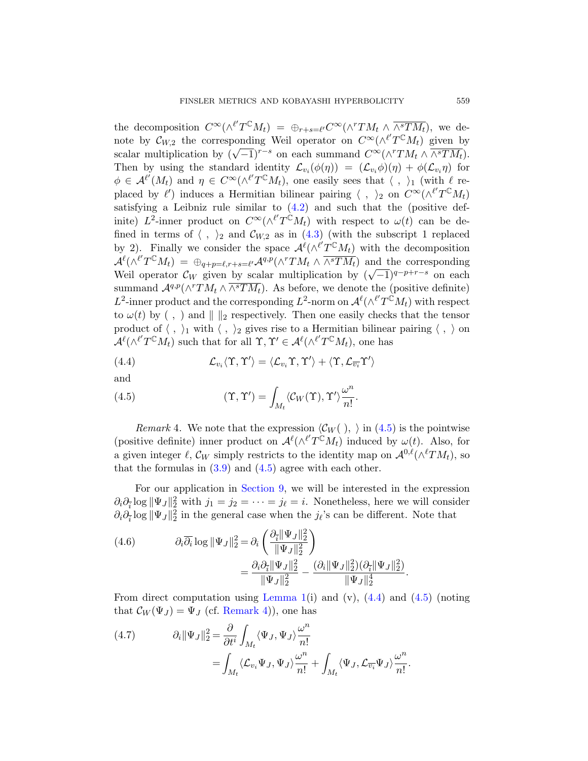the decomposi[tion](#page-11-1)  $C^{\infty}(\wedge^{l'}T^{\mathbb{C}}M_t) = \bigoplus_{r+s=l'} C^{\infty}(\wedge^{r}TM_t \wedge \overline{\wedge^{s}TM_t}),$  we denote by  $\mathcal{C}_{W,2}$  the corresponding Weil operator on  $C^{\infty}(\wedge^{\ell'}T^{\mathbb{C}}M_t)$  given by scalar multiplicati[on b](#page-11-2)y  $(\sqrt{-1})^{r-s}$  on each summand  $C^{\infty}(\wedge^{r}TM_{t}\wedge \overline{\wedge^{s}TM_{t}})$ . Then by using the standard identity  $\mathcal{L}_{v_i}(\phi(\eta)) = (\mathcal{L}_{v_i}\phi)(\eta) + \phi(\mathcal{L}_{v_i}\eta)$  for  $\phi \in \mathcal{A}^{\ell'}(M_t)$  and  $\eta \in C^{\infty}(\wedge^{\ell'} T^{\mathbb{C}}M_t)$ , one easily sees that  $\langle , \rangle_1$  (with  $\ell$  replaced by  $\ell'$ ) induces a Hermitian bilinear pairing  $\langle , \rangle_2$  on  $C^{\infty}(\wedge^{\ell'}T^{\mathbb{C}}M_t)$ satisfying a Leibniz rule similar to  $(4.2)$  and such that the (positive definite)  $L^2$ -inner product on  $C^{\infty}(\wedge^{l'}T^{\mathbb{C}}M_t)$  with respect to  $\omega(t)$  can be defined in terms of  $\langle , \rangle_2$  and  $\mathcal{C}_{W,2}$  as in (4.3) (with the subscript 1 replaced by 2). Finally we consider the space  $\mathcal{A}^{\ell}(\wedge^{\ell'}T^{\mathbb{C}}M_t)$  with the decomposition  $\mathcal{A}^{\ell}(\wedge^{\ell'}T^{C}M_{t}) = \bigoplus_{q+p=\ell,r+s=\ell'} \mathcal{A}^{q,p}(\wedge^{r}TM_{t}) \wedge \overline{\wedge^{s}TM_{t}}$  and the corresponding Weil operator  $\mathcal{C}_W$  given by scalar multiplication by  $(\sqrt{-1})^{q-p+r-s}$  on each summand  $\mathcal{A}^{q,p}(\wedge^r TM_t \wedge \overline{\wedge^s TM_t})$ . As before, we denote the (positive definite)  $L^2$ -inner product and the corresponding  $L^2$ -norm on  $\mathcal{A}^{\ell}(\wedge^{\ell'}T^{\mathbb{C}}M_t)$  with respect to  $\omega(t)$  by (,) and  $\| \cdot \|_2$  respectively. Then one easily checks that the tensor product of  $\langle , \rangle_1$  with  $\langle , \rangle_2$  gives rise to a Hermitian bilinear pairing  $\langle , \rangle$  on  $\mathcal{A}^{\ell}(\wedge^{\ell'}T^{\mathbb{C}}M_t)$  such that for all  $\Upsilon, \Upsilon' \in \mathcal{A}^{\ell}(\wedge^{\ell'}T^{\mathbb{C}}M_t)$ , one has

<span id="page-12-2"></span><span id="page-12-1"></span><span id="page-12-0"></span>(4.4) 
$$
\mathcal{L}_{v_i} \langle \Upsilon, \Upsilon' \rangle = \langle \mathcal{L}_{v_i} \Upsilon, \Upsilon' \rangle + \langle \Upsilon, \mathcal{L}_{\overline{v_i}} \Upsilon' \rangle
$$

[an](#page-9-0)d

(4.5) 
$$
(\Upsilon, \Upsilon') = \int_{M_t} \langle C_W(\Upsilon), \Upsilon' \rangle \frac{\omega^n}{n!}.
$$

Remark 4. We note that the expression  $\langle C_W ( ) , \rangle$  in (4.5) is the pointwise (positive definite) inner product on  $\mathcal{A}^{\ell}(\wedge^{\ell'}T^{\mathbb{C}}M_t)$  induced by  $\omega(t)$ . Also, for a given integer  $\ell$ ,  $\mathcal{C}_W$  simply restricts to the identity map on  $\mathcal{A}^{0,\ell}(\wedge^{\ell}TM_t)$ , so that the formulas in  $(3.9)$  and  $(4.5)$  agree with each other.

For our application in Section 9, we will be interested in the expression  $\partial_i \partial_{\bar{i}} \log ||\Psi_J||_2^2$  with  $j_1 = j_2 = \cdots = j_\ell = i$ . Nonetheless, here we will consider  $\partial_i \partial_{\bar{i}} \log ||\Psi_J||_2^2$  $\partial_i \partial_{\bar{i}} \log ||\Psi_J||_2^2$  $\partial_i \partial_{\bar{i}} \log ||\Psi_J||_2^2$  [in th](#page-11-0)e general ca[se w](#page-12-1)hen the  $j_{\ell}$  $j_{\ell}$ 's can be different. Note that

(4.6) 
$$
\partial_i \overline{\partial_i} \log \|\Psi_J\|_2^2 = \partial_i \left( \frac{\partial_{\overline{i}} \|\Psi_J\|_2^2}{\|\Psi_J\|_2^2} \right)
$$

$$
= \frac{\partial_i \partial_{\overline{i}} \|\Psi_J\|_2^2}{\|\Psi_J\|_2^2} - \frac{(\partial_i \|\Psi_J\|_2^2)(\partial_{\overline{i}} \|\Psi_J\|_2^2)}{\|\Psi_J\|_2^4}.
$$

From direct computation using Lemma 1(i) and  $(v)$ ,  $(4.4)$  and  $(4.5)$  (noting that  $\mathcal{C}_W(\Psi_J) = \Psi_J$  (cf. Remark 4)), one has

(4.7) 
$$
\partial_i \|\Psi_J\|_2^2 = \frac{\partial}{\partial t^i} \int_{M_t} \langle \Psi_J, \Psi_J \rangle \frac{\omega^n}{n!} = \int_{M_t} \langle \mathcal{L}_{v_i} \Psi_J, \Psi_J \rangle \frac{\omega^n}{n!} + \int_{M_t} \langle \Psi_J, \mathcal{L}_{\overline{v_i}} \Psi_J \rangle \frac{\omega^n}{n!}.
$$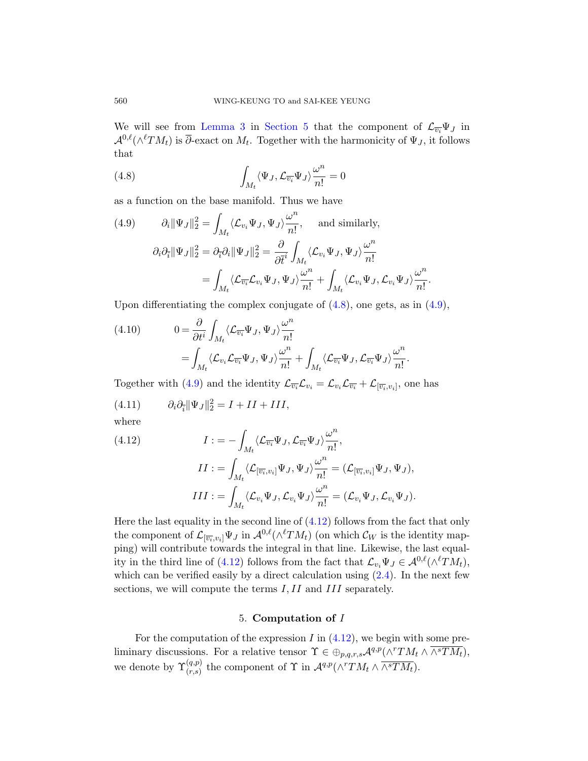<span id="page-13-1"></span><span id="page-13-0"></span>We will see from Lemma 3 in Section 5 that the component of  $\mathcal{L}_{\overline{v_i}}\Psi_J$  in  $\mathcal{A}^{0,\ell}(\wedge^{\ell}TM_t)$  is  $\overline{\partial}$ -exact on  $M_t$ . Together with the harmonicity of  $\Psi_J$ , it follows that

(4.8) 
$$
\int_{M_t} \langle \Psi_J, \mathcal{L}_{\overline{v_i}} \Psi_J \rangle \frac{\omega^n}{n!} = 0
$$

as a function on the base manifold. Thus we have

(4.9) 
$$
\partial_i \|\Psi_J\|_2^2 = \int_{M_t} \langle \mathcal{L}_{v_i} \Psi_J, \Psi_J \rangle \frac{\omega^n}{n!}, \text{ and similarly,}
$$

$$
\partial_i \partial_{\overline{i}} \|\Psi_J\|_2^2 = \partial_{\overline{i}} \partial_i \|\Psi_J\|_2^2 = \frac{\partial}{\partial \overline{t}^i} \int_{M_t} \langle \mathcal{L}_{v_i} \Psi_J, \Psi_J \rangle \frac{\omega^n}{n!}
$$

$$
= \int_{M_t} \langle \mathcal{L}_{\overline{v_i}} \mathcal{L}_{v_i} \Psi_J, \Psi_J \rangle \frac{\omega^n}{n!} + \int_{M_t} \langle \mathcal{L}_{v_i} \Psi_J, \mathcal{L}_{v_i} \Psi_J \rangle \frac{\omega^n}{n!}.
$$

<span id="page-13-3"></span>Upon differentiating the complex conjugate of  $(4.8)$ , one gets, as in  $(4.9)$ ,

<span id="page-13-2"></span>(4.10) 
$$
0 = \frac{\partial}{\partial t^i} \int_{M_t} \langle \mathcal{L}_{\overline{v_i}} \Psi_J, \Psi_J \rangle \frac{\omega^n}{n!} = \int_{M_t} \langle \mathcal{L}_{v_i} \mathcal{L}_{\overline{v_i}} \Psi_J, \Psi_J \rangle \frac{\omega^n}{n!} + \int_{M_t} \langle \mathcal{L}_{\overline{v_i}} \Psi_J, \mathcal{L}_{\overline{v_i}} \Psi_J \rangle \frac{\omega^n}{n!}.
$$

Together with (4.9) and the identity  $\mathcal{L}_{\overline{v_i}}\mathcal{L}_{v_i} = \mathcal{L}_{v_i}\mathcal{L}_{\overline{v_i}} + \mathcal{L}_{[\overline{v_i},v_i]}$ , one has

$$
(4.11) \t\t \partial_i \partial_{\bar{i}} ||\Psi_J||_2^2 = I + II + III,
$$

where

(4.12) 
$$
I := -\int_{M_t} \langle \mathcal{L}_{\overline{v_i}} \Psi_J, \mathcal{L}_{\overline{v_i}} \Psi_J \rangle \frac{\omega^n}{n!},
$$

$$
II := \int_{M_t} \langle \mathcal{L}_{[\overline{v_i}, v_i]} \Psi_J, \Psi_J \rangle \frac{\omega^n}{n!} = (\mathcal{L}_{[\overline{v_i}, v_i]} \Psi_J, \Psi_J),
$$

$$
III := \int_{M_t} \langle \mathcal{L}_{v_i} \Psi_J, \mathcal{L}_{v_i} \Psi_J \rangle \frac{\omega^n}{n!} = (\mathcal{L}_{v_i} \Psi_J, \mathcal{L}_{v_i} \Psi_J).
$$

Here the last equality in the second line of  $(4.12)$  follows from the fact that only the component of  $\mathcal{L}_{[\overline{v_i}, v_i]} \Psi_J$  in  $\mathcal{A}^{0,\ell}(\wedge^{\ell} TM_t)$  (on which  $\mathcal{C}_W$  is the identity mapping) will contribute towards the integral in that line. Likewise, the last equal-ity in the third line of ([4.12\)](#page-13-2) follows from the fact that  $\mathcal{L}_{v_i}\Psi_J \in \mathcal{A}^{0,\ell}(\wedge^{\ell}TM_t),$ which can be verified easily by a direct calculation using  $(2.4)$ . In the next few sections, we will compute the terms I, II and III separately.

# 5. Computation of I

For the computation of the expression  $I$  in  $(4.12)$ , we begin with some preliminary discussions. For a relative tensor  $\Upsilon \in \bigoplus_{p,q,r,s} \mathcal{A}^{q,p}(\wedge^r TM_t \wedge \overline{\wedge^s TM_t}),$ we denote by  $\Upsilon_{(r,s)}^{(q,p)}$  the component of  $\Upsilon$  in  $\mathcal{A}^{q,p}(\wedge^r TM_t \wedge \overline{\wedge^s TM_t})$ .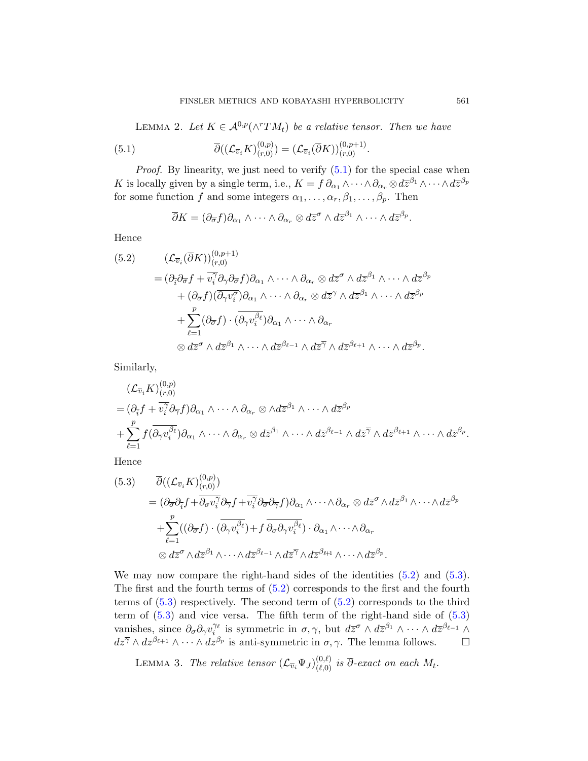<span id="page-14-0"></span>LEMMA 2. Let  $K \in \mathcal{A}^{0,p}(\wedge^r TM_t)$  be a relative tensor. Then we have

<span id="page-14-2"></span>(5.1) 
$$
\overline{\partial}((\mathcal{L}_{\overline{v}_i}K)_{(r,0)}^{(0,p)})=(\mathcal{L}_{\overline{v}_i}(\overline{\partial}K))_{(r,0)}^{(0,p+1)}.
$$

*Proof.* By linearity, we just need to verify  $(5.1)$  for the special case when K is locally given by a single term, i.e.,  $K = f \partial_{\alpha_1} \wedge \cdots \wedge \partial_{\alpha_r} \otimes d\overline{z}^{\beta_1} \wedge \cdots \wedge d\overline{z}^{\beta_p}$ for some function f and some integers  $\alpha_1, \ldots, \alpha_r, \beta_1, \ldots, \beta_p$ . Then

$$
\overline{\partial}K=(\partial_{\overline{\sigma}}f)\partial_{\alpha_1}\wedge\cdots\wedge\partial_{\alpha_r}\otimes d\overline{z}^{\sigma}\wedge d\overline{z}^{\beta_1}\wedge\cdots\wedge d\overline{z}^{\beta_p}.
$$

Hence

$$
(5.2) \qquad (\mathcal{L}_{\overline{v}_i}(\overline{\partial} K))_{(r,0)}^{(0,p+1)}
$$
  
\n
$$
= (\partial_{\overline{i}}\partial_{\overline{\sigma}}f + \overline{v_i^{\gamma}}\partial_{\gamma}\partial_{\overline{\sigma}}f)\partial_{\alpha_1} \wedge \cdots \wedge \partial_{\alpha_r} \otimes d\overline{z}^{\sigma} \wedge d\overline{z}^{\beta_1} \wedge \cdots \wedge d\overline{z}^{\beta_p}
$$
  
\n
$$
+ (\partial_{\overline{\sigma}}f)(\overline{\partial_{\gamma}v_i^{\sigma}})\partial_{\alpha_1} \wedge \cdots \wedge \partial_{\alpha_r} \otimes d\overline{z}^{\gamma} \wedge d\overline{z}^{\beta_1} \wedge \cdots \wedge d\overline{z}^{\beta_p}
$$
  
\n
$$
+ \sum_{\ell=1}^p (\partial_{\overline{\sigma}}f) \cdot (\overline{\partial_{\gamma}v_i^{\beta_\ell}})\partial_{\alpha_1} \wedge \cdots \wedge \partial_{\alpha_r}
$$
  
\n
$$
\otimes d\overline{z}^{\sigma} \wedge d\overline{z}^{\beta_1} \wedge \cdots \wedge d\overline{z}^{\beta_{\ell-1}} \wedge d\overline{z}^{\gamma} \wedge d\overline{z}^{\beta_{\ell+1}} \wedge \cdots \wedge d\overline{z}^{\beta_p}.
$$

<span id="page-14-1"></span>Similarly,

$$
(\mathcal{L}_{\overline{v}_i} K)^{(0,p)}_{(r,0)}
$$
  
=  $(\partial_{\overline{i}} f + \overline{v_i^{\gamma}} \partial_{\overline{\gamma}} f) \partial_{\alpha_1} \wedge \cdots \wedge \partial_{\alpha_r} \otimes \wedge d\overline{z}^{\beta_1} \wedge \cdots \wedge d\overline{z}^{\beta_p}$   
+  $\sum_{\ell=1}^p f(\overline{\partial_{\overline{\gamma}}v_i^{\beta_\ell}}) \partial_{\alpha_1} \wedge \cdots \wedge \partial_{\alpha_r} \otimes d\overline{z}^{\beta_1} \wedge \cdots \wedge d\overline{z}^{\beta_{\ell-1}} \wedge d\overline{z}^{\overline{\gamma}} \wedge d\overline{z}^{\beta_{\ell+1}} \wedge \cdots \wedge d\overline{z}^{\beta_p}.$ 

Hence

(5.3) 
$$
\overline{\partial}\left((\mathcal{L}_{\overline{v}_i}K)^{(0,p)}_{(r,0)}\right) = (\partial_{\overline{\sigma}}\partial_{\overline{i}}f + \overline{\partial_{\sigma}v_i^{\gamma}}\partial_{\overline{\gamma}}f + \overline{v_i^{\gamma}}\partial_{\overline{\sigma}}\partial_{\overline{\gamma}}f)\partial_{\alpha_1}\wedge\cdots\wedge\partial_{\alpha_r}\otimes d\overline{z}^{\sigma}\wedge d\overline{z}^{\beta_1}\wedge\cdots\wedge d\overline{z}^{\beta_p} \n+ \sum_{\ell=1}^p ((\partial_{\overline{\sigma}}f) \cdot (\overline{\partial_{\gamma}v_i^{\beta_{\ell}}}) + f \overline{\partial_{\sigma}}\partial_{\gamma}v_i^{\beta_{\ell}}) \cdot \partial_{\alpha_1}\wedge\cdots\wedge \partial_{\alpha_r} \n\otimes d\overline{z}^{\sigma}\wedge d\overline{z}^{\beta_1}\wedge\cdots\wedge d\overline{z}^{\beta_{\ell-1}}\wedge d\overline{z}^{\gamma}\wedge d\overline{z}^{\beta_{\ell+1}}\wedge\cdots\wedge d\overline{z}^{\beta_p}.
$$

We may now compare the right-hand sides of the identities  $(5.2)$  and  $(5.3)$ . The first and the fourth terms of (5.2) corresponds to the first and the fourth terms of  $(5.3)$  respectively. The second term of  $(5.2)$  corresponds to the third term of  $(5.3)$  and vice versa. The fifth term of the right-hand side of  $(5.3)$ vanishes, since  $\partial_{\sigma} \partial_{\gamma} v_i^{\gamma_{\ell}}$  is symmetric in  $\sigma, \gamma$ , but  $d\overline{z}^{\sigma} \wedge d\overline{z}^{\beta_1} \wedge \cdots \wedge d\overline{z}^{\beta_{\ell-1}} \wedge$  $d\overline{z}^{\gamma} \wedge d\overline{z}^{\beta_{\ell+1}} \wedge \cdots \wedge d\overline{z}^{\beta_p}$  is anti-symmetric in  $\sigma, \gamma$ . The lemma follows.  $\Box$ 

LEMMA 3. The relative tensor  $(\mathcal{L}_{\overline{v}_i}\Psi_J)_{(\ell,0)}^{(0,\ell)}$  is  $\overline{\partial}$ -exact on each  $M_t$ .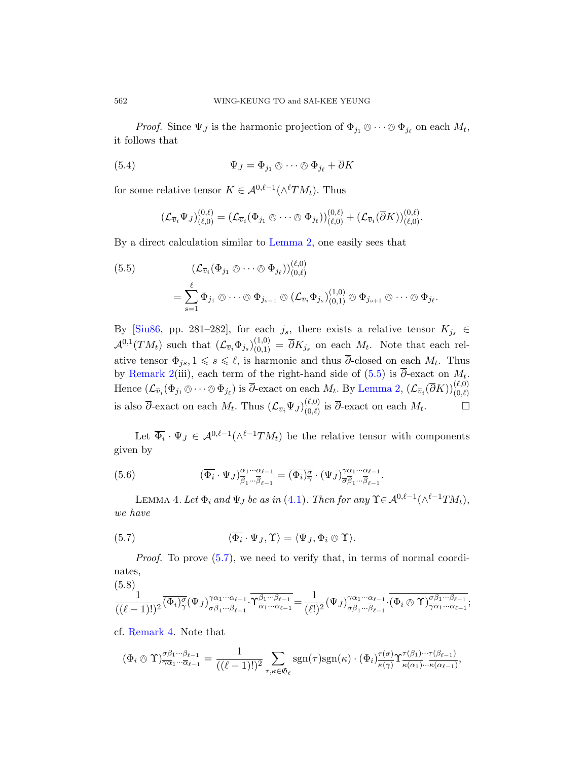*Proof.* Since  $\Psi_J$  is the harmonic projection of  $\Phi_{j_1} \otimes \cdots \otimes \Phi_{j_\ell}$  on each  $M_t$ , it follows that

(5.4) 
$$
\Psi_J = \Phi_{j_1} \otimes \cdots \otimes \Phi_{j_\ell} + \overline{\partial} K
$$

<span id="page-15-0"></span>for some relative tensor  $K \in \mathcal{A}^{0,\ell-1}(\wedge^{\ell}TM_t)$ . Thus

$$
(\mathcal{L}_{\overline{v}_i}\Psi_J)_{(\ell,0)}^{(0,\ell)}=(\mathcal{L}_{\overline{v}_i}(\Phi_{j_1}\otimes\cdots\otimes\Phi_{j_\ell}))_{(\ell,0)}^{(0,\ell)}+(\mathcal{L}_{\overline{v}_i}(\overline{\partial}K))_{(\ell,0)}^{(0,\ell)}.
$$

By a direct calculation similar to Lemma 2, one easily sees that

(5.5)  
\n
$$
(\mathcal{L}_{\overline{v}_i}(\Phi_{j_1} \otimes \cdots \otimes \Phi_{j_\ell}))_{(0,\ell)}^{(\ell,0)}
$$
\n
$$
= \sum_{s=1}^{\ell} \Phi_{j_1} \otimes \cdots \otimes \Phi_{j_{s-1}} \otimes (\mathcal{L}_{\overline{v}_i} \Phi_{j_s})_{(0,1)}^{(1,0)} \otimes \Phi_{j_{s+1}} \otimes \cdots \otimes \Phi_{j_\ell}.
$$

By [Siu86, pp. 281–282], for each  $j_s$ , there exists a relative tensor  $K_{j_s} \in$  $\mathcal{A}^{0,1}(TM_t)$  such that  $(\mathcal{L}_{\overline{v}_i}\Phi_{j_s})_{(0,1)}^{(1,0)} = \overline{\partial}K_{j_s}$  on each  $M_t$ . Note that each relative tensor  $\Phi_{js}, 1 \leq s \leq \ell$ , is harmonic and thus  $\overline{\partial}$ -closed on each  $M_t$ . Thus by Remark 2(iii), each term of the right-hand side of  $(5.5)$  is ∂-exact on  $M_t$ . Hence  $(\mathcal{L}_{\bar{v}_i}(\Phi_{j_1} \otimes \cdots \otimes \Phi_{j_\ell})$  is  $\bar{\partial}$ -exact on each  $M_t$ . By Lemma 2,  $(\mathcal{L}_{\bar{v}_i}(\bar{\partial}K))_{(0,\ell)}^{(\ell,0)}$ is also  $\overline{\partial}$ -exact [on](#page-10-1) each  $M_t$ . Thus  $(\mathcal{L}_{\overline{v}_i}\Psi_J)_{(0,\ell)}^{(\ell,0)}$  $\overline{O}(0,\ell)}$  is  $\overline{\partial}$ -exact on each  $M_t$  $\Box$ 

<span id="page-15-2"></span><span id="page-15-1"></span>Let  $\overline{\Phi_i} \cdot \Psi_J \in \mathcal{A}^{0,\ell-1}(\wedge^{\ell-1}TM_t)$  be the relative tensor with components given by

(5.6) 
$$
(\overline{\Phi}_i \cdot \Psi_J)_{\overline{\beta}_1 \cdots \overline{\beta}_{\ell-1}}^{\alpha_1 \cdots \alpha_{\ell-1}} = (\overline{\Phi}_i)_{\overline{\gamma}}^{\overline{\sigma}} \cdot (\Psi_J)_{\overline{\sigma} \overline{\beta}_1 \cdots \overline{\beta}_{\ell-1}}^{\gamma \alpha_1 \cdots \alpha_{\ell-1}}.
$$

LEMMA 4. Let  $\Phi_i$  and  $\Psi_J$  be as in (4.1). Then for any  $\Upsilon \in \mathcal{A}^{0,\ell-1}(\wedge^{\ell-1}TM_t),$ we have

(5.7) 
$$
\langle \overline{\Phi}_i \cdot \Psi_J, \Upsilon \rangle = \langle \Psi_J, \Phi_i \otimes \Upsilon \rangle.
$$

Proof. To prove (5.7), we need to verify that, in terms of normal coordinates,

$$
\frac{1}{((\ell-1)!)^2} \overline{(\Phi_i)^{\sigma}_{\overline{\gamma}}}(\Psi_J)^{\gamma\alpha_1\cdots\alpha_{\ell-1}}_{\overline{\sigma}\overline{\beta}_1\cdots\overline{\beta}_{\ell-1}} \cdot \overline{\Upsilon^{\beta_1\cdots\beta_{\ell-1}}_{\overline{\alpha}_1\cdots\overline{\alpha}_{\ell-1}}} = \frac{1}{(\ell!)^2} (\Psi_J)^{\gamma\alpha_1\cdots\alpha_{\ell-1}}_{\overline{\sigma}\overline{\beta}_1\cdots\overline{\beta}_{\ell-1}} \cdot \overline{(\Phi_i \otimes \Upsilon)^{\sigma\beta_1\cdots\beta_{\ell-1}}_{\overline{\gamma}\alpha_1\cdots\overline{\alpha}_{\ell-1}}};
$$

cf. Remark 4. Note that

$$
(\Phi_i \otimes \Upsilon)^{\sigma\beta_1\cdots\beta_{\ell-1}}_{\overline{\gamma\alpha_1}\cdots\overline{\alpha_{\ell-1}}} = \frac{1}{((\ell-1)!)^2} \sum_{\tau,\kappa \in \mathfrak{G}_{\ell}} \operatorname{sgn}(\tau) \operatorname{sgn}(\kappa) \cdot (\Phi_i)^{\tau(\sigma)}_{\kappa(\gamma)} \Upsilon^{\tau(\beta_1)\cdots\tau(\beta_{\ell-1})}_{\kappa(\alpha_1)\cdots\kappa(\alpha_{\ell-1})},
$$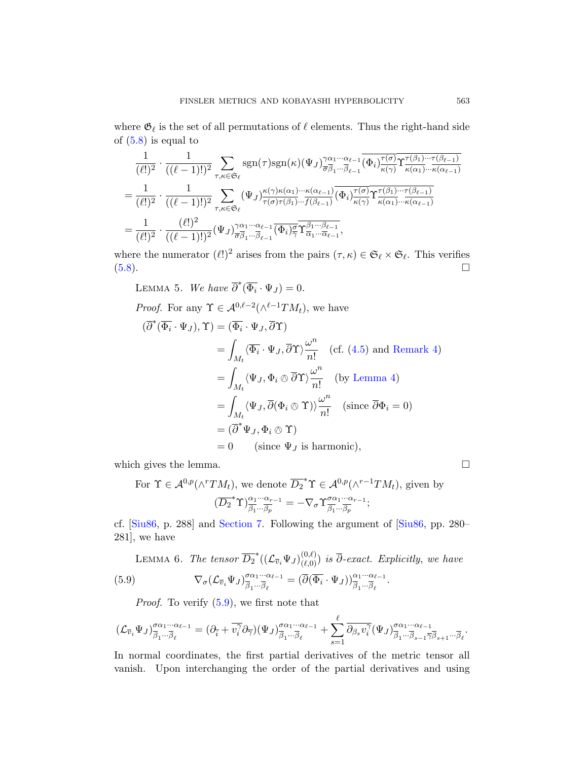where  $\mathfrak{G}_{\ell}$  is the set of all permutations of  $\ell$  elements. Thus the right-hand side of  $(5.8)$  is equal to

$$
\frac{1}{(\ell!)^2} \cdot \frac{1}{((\ell-1)!)^2} \sum_{\tau,\kappa \in \mathfrak{S}_{\ell}} \operatorname{sgn}(\tau) \operatorname{sgn}(\kappa) (\Psi_J)_{\overline{\sigma} \overline{\beta}_1 \cdots \overline{\beta}_{\ell-1}}^{\gamma \alpha_1 \cdots \alpha_{\ell-1}} (\overline{\Phi}_i)_{\kappa(\gamma)}^{\tau(\beta_1) \cdots \tau(\beta_{\ell-1})} \n= \frac{1}{(\ell!)^2} \cdot \frac{1}{((\ell-1)!)^2} \sum_{\tau,\kappa \in \mathfrak{S}_{\ell}} (\Psi_J)_{\overline{\tau(\sigma)} \tau(\beta_1) \cdots \overline{\tau(\beta_{\ell-1})}}^{\kappa(\gamma) \kappa(\alpha_1) \cdots \kappa(\alpha_{\ell-1})} (\overline{\Phi}_i)_{\kappa(\gamma)}^{\tau(\sigma)} \Upsilon_{\kappa(\alpha_1) \cdots \overline{\tau(\beta_{\ell-1})}}^{\tau(\beta_1) \cdots \tau(\beta_{\ell-1})} \n= \frac{1}{(\ell!)^2} \cdot \frac{(\ell!)^2}{((\ell-1)!)^2} (\Psi_J)_{\overline{\sigma} \overline{\beta}_1 \cdots \overline{\beta}_{\ell-1}}^{\gamma \alpha_1 \cdots \alpha_{\ell-1}} (\overline{\Phi}_i)_{\overline{\gamma}}^{\overline{\alpha}_1 \cdots \overline{\beta_{\ell-1}}} ,
$$

where the numerator  $(\ell!)^2$  arises from the pairs  $(\tau, \kappa) \in \mathfrak{S}_{\ell} \times \mathfrak{S}_{\ell}$ . This verifies (5.8).

LEMMA 5. We have  $\overline{\partial}^*(\overline{\Phi_i} \cdot \Psi_J) = 0.$  $\overline{\partial}^*(\overline{\Phi_i} \cdot \Psi_J) = 0.$  $\overline{\partial}^*(\overline{\Phi_i} \cdot \Psi_J) = 0.$ 

Proof. For any 
$$
\Upsilon \in \mathcal{A}^{0,\ell-2}(\wedge^{\ell-1}TM_t)
$$
, we have  
\n
$$
(\overline{\partial}^*(\overline{\Phi}_i \cdot \Psi_J), \Upsilon) = (\overline{\Phi}_i \cdot \Psi_J, \overline{\partial}\Upsilon)
$$
\n
$$
= \int_{M_t} \langle \overline{\Phi}_i \cdot \Psi_J, \overline{\partial}\Upsilon \rangle \frac{\omega^n}{n!} \quad (\text{cf. (4.5) and Remark 4})
$$
\n
$$
= \int_{M_t} \langle \Psi_J, \Phi_i \otimes \overline{\partial}\Upsilon \rangle \frac{\omega^n}{n!} \quad (\text{by Lemma 4})
$$
\n
$$
= \int_{M_t} \langle \Psi_J, \overline{\partial}(\Phi_i \otimes \Upsilon) \rangle \frac{\omega^n}{n!} \quad (\text{since } \overline{\partial}\Phi_i = 0)
$$
\n
$$
= (\overline{\partial}^* \Psi_J, \Phi_i \otimes \Upsilon)
$$
\n
$$
= 0 \quad (\text{since } \Psi_J \text{ is harmonic}),
$$

<span id="page-16-1"></span><span id="page-16-0"></span>which gives the lemma.  $\Box$ 

For  $\Upsilon \in \mathcal{A}^{0,p}(\wedge^r TM_t)$ , we denote  $\overline{D_2}^* \Upsilon \in \mathcal{A}^{0,p}(\wedge^{r-1} TM_t)$ , given by  $(\overline{D_2}^*\Upsilon)^{\alpha_1\cdots\alpha_{r-1}}_{\overline{\beta_1}\cdots\overline{\beta_p}}=-\nabla_{\sigma}\Upsilon^{\sigma\alpha_1\cdots\alpha_{r-1}}_{\overline{\beta_1}\cdots\overline{\beta_p}}$  $\frac{\overline{\partial} \alpha_1 \cdots \alpha_{r-1}}{\overline{\beta_1} \cdots \overline{\beta_p}};$ 

[cf.](#page-16-0) [Siu86, p. 288] and Section 7. Following the argument of [Siu86, pp. 280– 281], we have

LEMMA 6. The tensor  $\overline{D_2}^*((\mathcal{L}_{\overline{v}_i}\Psi_J)_{(\ell,0)}^{(0,\ell)})$  is  $\overline{\partial}$ -exact. Explicitly, we have (5.9)  $\nabla_{\sigma} (\mathcal{L}_{\overline{v}_i} \Psi_J)_{\overline{\beta}_i \dots \overline{\beta}_s}^{\alpha_1 \cdots \alpha_{\ell-1}}$  $\frac{\sigma\alpha_1\cdot\cdot\cdot\alpha_{\ell-1}}{\overline{\beta}_1\cdot\cdot\cdot\overline{\beta}_\ell} = (\overline{\partial}(\overline{\Phi}_i\cdot\Psi_J))_{\overline{\beta}_1\cdot\cdot\cdot\overline{\beta}_\ell}^{\alpha_1\cdot\cdot\cdot\alpha_{\ell-1}}.$ 

*Proof.* To verify  $(5.9)$ , we first note that

$$
(\mathcal{L}_{\overline{v}_i}\Psi_J)^{\sigma\alpha_1\cdots\alpha_{\ell-1}}_{\overline{\beta}_1\cdots\overline{\beta}_\ell}=(\partial_{\overline{i}}+\overline{v_i^{\gamma}}\partial_{\overline{\gamma}})(\Psi_J)^{\sigma\alpha_1\cdots\alpha_{\ell-1}}_{\overline{\beta}_1\cdots\overline{\beta}_\ell}+\sum_{s=1}^\ell\overline{\partial_{\beta_s}v_i^{\gamma}}(\Psi_J)^{\sigma\alpha_1\cdots\alpha_{\ell-1}}_{\overline{\beta}_1\cdots\overline{\beta}_{s-1}\overline{\gamma}\overline{\beta}_{s+1}\cdots\overline{\beta}_\ell}.
$$

In normal coordinates, the first partial derivatives of the metric tensor all vanish. Upon interchanging the order of the partial derivatives and using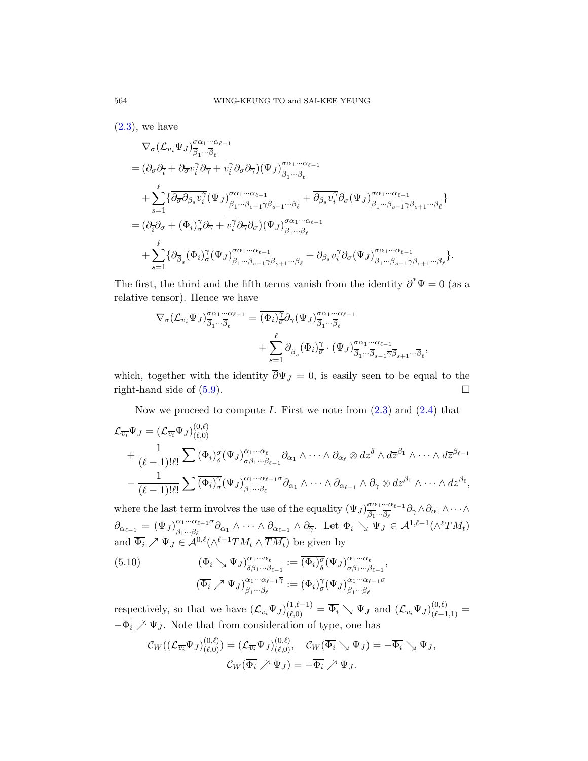$(2.3)$ , we have

$$
\begin{split} &\nabla_{\sigma}(\mathcal{L}_{\overline{v}_{i}}\Psi_{J})^{\sigma\alpha_{1}\cdots\alpha_{\ell-1}}_{\overline{\beta}_{1}\cdots\overline{\beta}_{\ell}}\\ &= (\partial_{\sigma}\partial_{\overline{i}} + \overline{\partial_{\sigma}v_{i}^{\gamma}}\partial_{\overline{\gamma}} + \overline{v_{i}^{\gamma}}\partial_{\sigma}\partial_{\overline{\gamma}})(\Psi_{J})^{\sigma\alpha_{1}\cdots\alpha_{\ell-1}}_{\overline{\beta}_{1}\cdots\overline{\beta}_{\ell}}\\ &\quad + \sum_{s=1}^{\ell}\{\overline{\partial_{\overline{\sigma}}\partial_{\beta_{s}}v_{i}^{\gamma}}(\Psi_{J})^{\sigma\alpha_{1}\cdots\alpha_{\ell-1}}_{\overline{\beta}_{1}\cdots\overline{\beta}_{s-1}\overline{\gamma}\overline{\beta}_{s+1}\cdots\overline{\beta}_{\ell}} + \overline{\partial_{\beta_{s}}v_{i}^{\gamma}}\partial_{\sigma}(\Psi_{J})^{\sigma\alpha_{1}\cdots\alpha_{\ell-1}}_{\overline{\beta}_{1}\cdots\overline{\beta}_{s-1}\overline{\gamma}\overline{\beta}_{s+1}\cdots\overline{\beta}_{\ell}}\}\\ &= (\partial_{\overline{i}}\partial_{\sigma} + \overline{(\Phi_{i})_{\sigma}^{\gamma}}\partial_{\overline{\gamma}} + \overline{v_{i}^{\gamma}}\partial_{\overline{\gamma}}\partial_{\sigma})(\Psi_{J})^{\sigma\alpha_{1}\cdots\alpha_{\ell-1}}_{\overline{\beta}_{1}\cdots\overline{\beta}_{\ell}}\\ &\quad + \sum_{s=1}^{\ell}\{\partial_{\overline{\beta}_{s}}(\overline{\Phi_{i}})_{\overline{\sigma}}^{\gamma}(\Psi_{J})^{\sigma\alpha_{1}\cdots\alpha_{\ell-1}}_{\overline{\beta}_{s-1}\overline{\gamma}\overline{\beta}_{s+1}\cdots\overline{\beta}_{\ell}} + \overline{\partial_{\beta_{s}}v_{i}^{\gamma}}\partial_{\sigma}(\Psi_{J})^{\sigma\alpha_{1}\cdots\alpha_{\ell-1}}_{\overline{\beta}_{1}\cdots\overline{\beta}_{s-1}\overline{\gamma}\overline{\beta}_{s+1}\cdots\overline{\beta}_{\ell}}\}. \end{split}
$$

The first, the third and the fifth terms vanish from the identity  $\overline{\partial}^* \Psi = 0$  (as a relative tensor). Hence we have

$$
\nabla_{\sigma} (\mathcal{L}_{\overline{v}_i} \Psi_J)_{\overline{\beta}_1 \cdots \overline{\beta}_\ell}^{\sigma \alpha_1 \cdots \alpha_{\ell-1}} = \overline{(\Phi_i)_{\overline{\sigma}}^{\gamma}} \partial_{\overline{\gamma}} (\Psi_J)_{\overline{\beta}_1 \cdots \overline{\beta}_\ell}^{\sigma \alpha_1 \cdots \alpha_{\ell-1}} + \sum_{s=1}^{\ell} \partial_{\overline{\beta}_s} \overline{(\Phi_i)_{\overline{\sigma}}^{\gamma}} \cdot (\Psi_J)_{\overline{\beta}_1 \cdots \overline{\beta}_{s-1} \overline{\gamma} \overline{\beta}_{s+1} \cdots \overline{\beta}_\ell}^{\sigma \alpha_1 \cdots \alpha_{\ell-1}},
$$

which, together with the identity  $\overline{\partial} \Psi_J = 0$ , is easily seen to be equal to the right-hand side of  $(5.9)$ .

Now we proceed to compute I. First we note from  $(2.3)$  and  $(2.4)$  that

$$
\mathcal{L}_{\overline{v_i}} \Psi_J = (\mathcal{L}_{\overline{v_i}} \Psi_J)_{(\ell,0)}^{(0,\ell)} \n+ \frac{1}{(\ell-1)!\ell!} \sum \overline{(\Phi_i)^{\sigma}_{\overline{\delta}}} (\Psi_J)_{\overline{\sigma} \beta_1 \cdots \beta_{\ell-1}}^{\alpha_1 \cdots \alpha_{\ell}} \partial_{\alpha_1} \wedge \cdots \wedge \partial_{\alpha_\ell} \otimes dz^{\delta} \wedge d\overline{z}^{\beta_1} \wedge \cdots \wedge d\overline{z}^{\beta_{\ell-1}} \n- \frac{1}{(\ell-1)!\ell!} \sum \overline{(\Phi_i)^{\gamma}_{\overline{\sigma}}} (\Psi_J)_{\overline{\beta_1} \cdots \overline{\beta_{\ell}}}^{\alpha_1 \cdots \alpha_{\ell-1} \sigma} \partial_{\alpha_1} \wedge \cdots \wedge \partial_{\alpha_{\ell-1}} \wedge \partial_{\overline{\gamma}} \otimes d\overline{z}^{\beta_1} \wedge \cdots \wedge d\overline{z}^{\beta_{\ell}},
$$

<span id="page-17-0"></span>where the last term involves the use of the equality  $(\Psi_J)_{\overline{g}_1,\dots,\overline{g}_s}^{\sigma\alpha_1\cdots\alpha_{\ell-1}}$  $\frac{\partial \alpha_1 \cdots \alpha_{\ell-1}}{\beta_1 \cdots \beta_{\ell}} \partial_{\overline{\gamma}} \wedge \partial_{\alpha_1} \wedge \cdots \wedge$  $\partial_{\alpha_{\ell-1}} = (\Psi_J)_{\overline{\beta_1}...\overline{\beta_\ell}}^{\alpha_1...\alpha_{\ell-1}\sigma}$  $\frac{\alpha_1 \cdots \alpha_{\ell-1} \sigma}{\beta_1 \cdots \beta_{\ell}} \partial_{\alpha_1} \wedge \cdots \wedge \partial_{\alpha_{\ell-1}} \wedge \partial_{\overline{\gamma}}.$  Let  $\overline{\Phi}_i \searrow \Psi_J \in \mathcal{A}^{1,\ell-1}(\wedge^{\ell} TM_t)$ and  $\overline{\Phi_i} \nearrow \Psi_J \in \mathcal{A}^{0,\ell}(\wedge^{\ell-1}TM_t \wedge \overline{TM_t})$  be given by

(5.10) 
$$
(\overline{\Phi}_i \searrow \Psi_J)_{\delta \overline{\beta_1} \cdots \overline{\beta_{\ell-1}}}^{\alpha_1 \cdots \alpha_{\ell}} := \overline{(\Phi_i)_{\delta}^{\sigma}} (\Psi_J)_{\overline{\sigma \beta_1} \cdots \overline{\beta_{\ell-1}}}^{\alpha_1 \cdots \alpha_{\ell}},
$$

$$
(\overline{\Phi}_i \nearrow \Psi_J)_{\overline{\beta_1} \cdots \overline{\beta_{\ell}}}^{\alpha_1 \cdots \alpha_{\ell-1} \overline{\gamma}} := \overline{(\Phi_i)_{\sigma}^{\gamma}} (\Psi_J)_{\overline{\beta_1} \cdots \overline{\beta_{\ell}}}^{\alpha_1 \cdots \alpha_{\ell-1} \sigma}
$$

respectively, so that we have  $(\mathcal{L}_{\overline{v_i}}\Psi_J)_{(\ell,0)}^{(1,\ell-1)} = \overline{\Phi_i} \searrow \Psi_J$  and  $(\mathcal{L}_{\overline{v_i}}\Psi_J)_{(\ell-1,1)}^{(0,\ell)} =$  $-\overline{\Phi}_i \nearrow \Psi_J$ . Note that from consideration of type, one has

$$
\mathcal{C}_{W}((\mathcal{L}_{\overline{v_i}}\Psi_J)_{(\ell,0)}^{(0,\ell)})=(\mathcal{L}_{\overline{v_i}}\Psi_J)_{(\ell,0)}^{(0,\ell)},\quad \mathcal{C}_{W}(\overline{\Phi_i}\searrow \Psi_J)=-\overline{\Phi_i}\searrow \Psi_J,
$$

$$
\mathcal{C}_{W}(\overline{\Phi_i}\nearrow \Psi_J)=-\overline{\Phi_i}\nearrow \Psi_J.
$$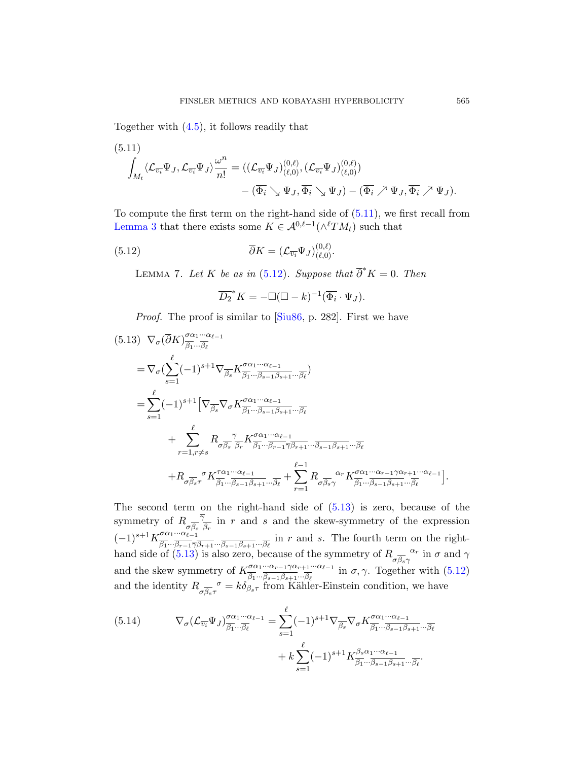<span id="page-18-0"></span>Together with (4.5), it follow[s read](#page-18-0)ily that

<span id="page-18-1"></span>(5.11)  
\n
$$
\int_{M_t} \langle \mathcal{L}_{\overline{v_i}} \Psi_J, \mathcal{L}_{\overline{v_i}} \Psi_J \rangle \frac{\omega^n}{n!} = \left( (\mathcal{L}_{\overline{v_i}} \Psi_J)_{(\ell,0)}^{(0,\ell)}, (\mathcal{L}_{\overline{v_i}} \Psi_J)_{(\ell,0)}^{(0,\ell)} \right) \n- (\overline{\Phi_i} \searrow \Psi_J, \overline{\Phi_i} \searrow \Psi_J) - (\overline{\Phi_i} \nearrow \Psi_J, \overline{\Phi_i} \nearrow \Psi_J).
$$

<span id="page-18-2"></span>To compute the first term on the right-hand side of (5.11), we first recall from Lemma 3 th[at ther](#page-39-2)e exists some  $K \in \mathcal{A}^{0,\ell-1}(\wedge^{\ell}TM_t)$  such that

(5.12) 
$$
\overline{\partial}K = (\mathcal{L}_{\overline{v_i}}\Psi_J)_{(\ell,0)}^{(0,\ell)}.
$$

LEMMA 7. Let K be as in (5.12). Suppose that  $\overline{\partial}^* K = 0$ . Then

$$
\overline{D_2}^* K = -\Box(\Box - k)^{-1} (\overline{\Phi_i} \cdot \Psi_J).
$$

Proof. The proof is similar to Siu86, p. 282. First we have

$$
(5.13) \nabla_{\sigma} (\overline{\partial} K)^{\sigma \alpha_1 \cdots \alpha_{\ell-1}}_{\overline{\beta_1} \cdots \overline{\beta_{\ell}}} \n= \nabla_{\sigma} (\sum_{s=1}^{\ell} (-1)^{s+1} \nabla_{\overline{\beta_s}} K^{\sigma \alpha_1 \cdots \alpha_{\ell-1}}_{\overline{\beta_1} \cdots \overline{\beta_{s-1}} \beta_{s+1} \cdots \overline{\beta_{\ell}}}) \n= \sum_{s=1}^{\ell} (-1)^{s+1} \left[ \nabla_{\overline{\beta_s}} \nabla_{\sigma} K^{\sigma \alpha_1 \cdots \alpha_{\ell-1}}_{\overline{\beta_1} \cdots \overline{\beta_{s-1}} \beta_{s+1} \cdots \overline{\beta_{\ell}}} + \sum_{r=1, r \neq s}^{\ell} R_{\sigma \overline{\beta_s}} \frac{\overline{\gamma}}{\overline{\beta_r}} K^{\sigma \alpha_1 \cdots \alpha_{\ell-1}}_{\overline{\beta_1} \cdots \overline{\beta_{r-1}} \overline{\gamma_{r+1}} \cdots \overline{\beta_{s-1}} \beta_{s+1} \cdots \overline{\beta_{\ell}}} \n+ R_{\sigma \overline{\beta_s} \tau} {\sigma K^{\tau \alpha_1 \cdots \alpha_{\ell-1}}_{\overline{\beta_1} \cdots \overline{\beta_{s-1}} \beta_{s+1} \cdots \overline{\beta_{\ell}}} + \sum_{r=1}^{\ell-1} R_{\sigma \overline{\beta_s} \gamma} {\alpha_r} K^{\sigma \alpha_1 \cdots \alpha_{r-1} \gamma \alpha_{r+1} \cdots \alpha_{\ell-1}}_{\overline{\beta_{\ell}}}.
$$

The second term on the right-hand side of  $(5.13)$  is zero, because of the symmetry of  $R_{\overline{a}}^{\overline{a}}$  $\sigma_{\beta_s} \frac{\gamma}{\beta_r}$  in r and s and the skew-symmetry of the expression  $(-1)^{s+1} K^{\sigma \alpha_1 \cdots \alpha_{\ell-1}}_{\overline{\sigma}}$  $\frac{\partial \alpha_1 \cdots \alpha_{\ell-1}}{\partial_1 \cdots \partial_{r-1} \overline{\gamma} \beta_{r+1} \cdots \beta_{s-1} \beta_{s+1} \cdots \overline{\beta_{\ell}}}$  in r and s. The fourth term on the righthand side of  $(5.13)$  is also zero, because of the symmetry of  $R_{\alpha}$ <sup> $\alpha$ </sup>  $\sigma_{\beta s\gamma}^{\alpha r}$  in  $\sigma$  and  $\gamma$ and the skew symmetry of  $K^{\sigma\alpha_1\cdots\alpha_{r-1}\gamma\alpha_{r+1}\cdots\alpha_{\ell-1}}_{\overline{\rho}}$  $\frac{\partial \alpha_1 \cdots \alpha_{r-1} \gamma \alpha_{r+1} \cdots \alpha_{\ell-1}}{\beta_1 \cdots \beta_{s-1} \beta_{s+1} \cdots \beta_{\ell}}$  in  $\sigma, \gamma$ . Together with  $(5.12)$ and the identity  $R_{\sigma\overline{\beta_s}\tau}^{\sigma} = k\delta_{\beta_s\tau}$  from Kähler-Einstein condition, we have

(5.14) 
$$
\nabla_{\sigma} (\mathcal{L}_{\overline{v_i}} \Psi_J)_{\overline{\beta_1} \cdots \overline{\beta_\ell}}^{\sigma \alpha_1 \cdots \alpha_{\ell-1}} = \sum_{s=1}^{\ell} (-1)^{s+1} \nabla_{\overline{\beta_s}} \nabla_{\sigma} K^{\sigma \alpha_1 \cdots \alpha_{\ell-1}}_{\overline{\beta_1} \cdots \overline{\beta_{s-1}} \beta_{s+1} \cdots \overline{\beta_\ell}} + k \sum_{s=1}^{\ell} (-1)^{s+1} K^{\beta_s \alpha_1 \cdots \alpha_{\ell-1}}_{\overline{\beta_1} \cdots \overline{\beta_{s-1}} \beta_{s+1} \cdots \overline{\beta_\ell}}.
$$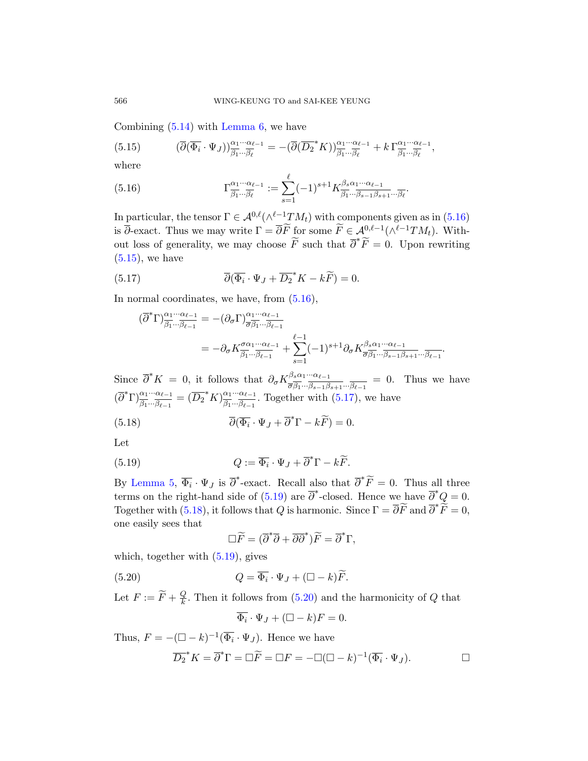<span id="page-19-0"></span>Combining (5.14) with Lemma 6, we have

(5.15) 
$$
(\overline{\partial}(\overline{\Phi_i}\cdot\Psi_J))_{\overline{\beta_1}\cdots\overline{\beta_\ell}}^{\alpha_1\cdots\alpha_{\ell-1}} = -(\overline{\partial}(\overline{D_2}^*K))_{\overline{\beta_1}\cdots\overline{\beta_\ell}}^{\alpha_1\cdots\alpha_{\ell-1}} + k\Gamma_{\overline{\beta_1}\cdots\overline{\beta_\ell}}^{\alpha_1\cdots\alpha_{\ell-1}},
$$

where

<span id="page-19-1"></span>(5.16) 
$$
\Gamma^{\alpha_1 \cdots \alpha_{\ell-1}}_{\overline{\beta_1} \cdots \overline{\beta_{\ell}}} := \sum_{s=1}^{\ell} (-1)^{s+1} K^{\beta_s \alpha_1 \cdots \alpha_{\ell-1}}_{\overline{\beta_1} \cdots \overline{\beta_{s-1} \beta_{s+1}} \cdots \overline{\beta_{\ell}}}.
$$

In particular, t[he ten](#page-19-0)sor  $\Gamma \in \mathcal{A}^{0,\ell}(\wedge^{\ell-1}TM_t)$  with components given as in  $(5.16)$ is  $\overline{\partial}$ -exact. Thus we may write  $\Gamma = \overline{\partial} \widetilde{F}$  for some  $\widetilde{F} \in \mathcal{A}^{0,\ell-1}(\wedge^{\ell-1}TM_t)$ . Without loss of generality, we may choose  $\widetilde{F}$  such that  $\overline{\partial}^* \widetilde{F} = 0$ . Upon rewriting  $(5.15)$ , we have

(5.17) 
$$
\overline{\partial}(\overline{\Phi_i}\cdot\Psi_J+\overline{D_2}^*K-k\widetilde{F})=0.
$$

In normal coordinates, we have, from (5.16),

$$
\begin{split} (\overline{\partial}^{*} \Gamma)^{\alpha_{1} \cdots \alpha_{\ell-1}}_{\overline{\beta_{1}} \cdots \overline{\beta_{\ell-1}}} & = -(\partial_{\sigma} \Gamma)^{\alpha_{1} \cdots \alpha_{\ell-1}}_{\overline{\sigma} \overline{\beta_{1}} \cdots \overline{\beta_{\ell-1}}} \\ & = -\partial_{\sigma} K^{\sigma \alpha_{1} \cdots \alpha_{\ell-1}}_{\overline{\beta_{1}} \cdots \overline{\beta_{\ell-1}}} + \sum_{s=1}^{\ell-1} (-1)^{s+1} \partial_{\sigma} K^{\beta_{s} \alpha_{1} \cdots \alpha_{\ell-1}}_{\overline{\sigma} \overline{\beta_{1}} \cdots \overline{\beta_{s-1}} \overline{\beta_{s+1}} \cdots \overline{\beta_{\ell-1}}} . \end{split}
$$

<span id="page-19-2"></span>Since  $\overline{\partial}^* K = 0$ , it follows that  $\partial_{\sigma} K^{\beta_s \alpha_1 \cdots \alpha_{\ell-1}}_{\overline{\sigma} \overline{\beta_{\ell}}}$  $\frac{\overline{\sigma}_{\beta} \overline{\alpha}_1 \cdots \overline{\alpha}_{\ell-1}}{\overline{\sigma}_{\beta_1} \cdots \overline{\beta_{s-1} \beta_{s+1}} \cdots \overline{\beta_{\ell-1}}} = 0$ . Thus we have  $(\overline{\partial}^*\Gamma)^{\alpha_1\cdots\alpha_{\ell-1}}_{\overline{\beta_1}\cdots\overline{\beta_{\ell-1}}}=(\overline{D_2}^*K)^{\alpha_1\cdots\alpha_{\ell-1}}_{\overline{\beta_1}\cdots\overline{\beta_{\ell-1}}}$  $\frac{\alpha_1 \cdots \alpha_{\ell-1}}{\beta_1 \cdots \beta_{\ell-1}}$ . Together with  $(5.17)$ , we have

(5.18) 
$$
\overline{\partial}(\overline{\Phi_i}\cdot\Psi_J+\overline{\partial}^*\Gamma-k\widetilde{F})=0.
$$

Let

(5.19) 
$$
Q := \overline{\Phi_i} \cdot \Psi_J + \overline{\partial}^* \Gamma - k \widetilde{F}.
$$

<span id="page-19-3"></span>[By](#page-19-2) Lemma 5,  $\overline{\Phi}_i \cdot \Psi_J$  is  $\overline{\partial}^*$ -exact. Recall also that  $\overline{\partial}^* \widetilde{F} = 0$ . Thus all three terms on the right-hand side of (5.19) are  $\overline{\partial}^*$ -closed. Hence we have  $\overline{\partial}^*Q=0$ . Together with ([5.18\),](#page-19-3) it follows that Q is harmonic. Since  $\Gamma = \overline{\partial} \widetilde{F}$  and  $\overline{\partial}^* \widetilde{F} = 0$ , one easily sees that

$$
\Box \widetilde{F} = (\overline{\partial}^* \overline{\partial} + \overline{\partial} \overline{\partial}^*) \widetilde{F} = \overline{\partial}^* \Gamma,
$$

which, together with  $(5.19)$ , gives

(5.20) 
$$
Q = \overline{\Phi}_i \cdot \Psi_J + (\Box - k) \widetilde{F}.
$$

Let  $F := \widetilde{F} + \frac{Q}{k}$  $\frac{Q}{k}$ . Then it follows from (5.20) and the harmonicity of Q that

$$
\overline{\Phi_i} \cdot \Psi_J + (\Box - k)F = 0.
$$

Thus,  $F = -(\Box - k)^{-1} (\overline{\Phi_i} \cdot \Psi_J)$ . Hence we have

$$
\overline{D_2}^* K = \overline{\partial}^* \Gamma = \Box \widetilde{F} = \Box F = -\Box (\Box - k)^{-1} (\overline{\Phi_i} \cdot \Psi_J).
$$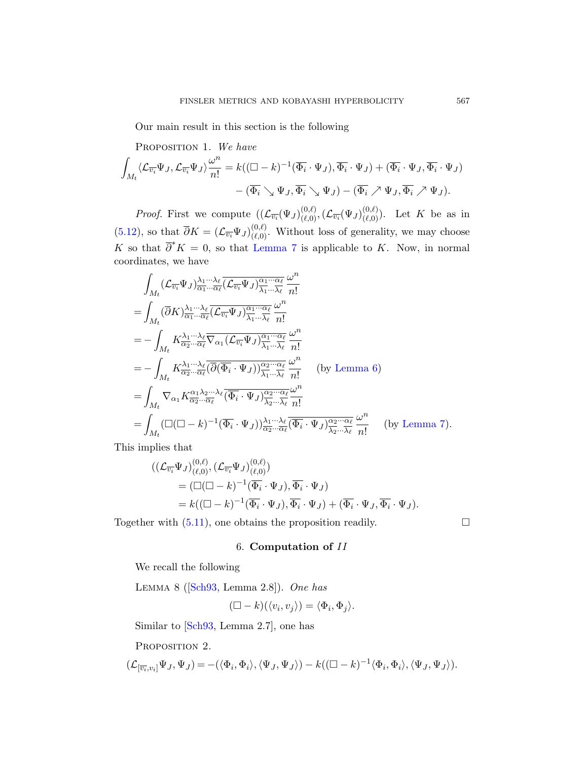Our main result in this section is the following

PROPOSITION 1. We have  
\n
$$
\int_{M_t} \langle \mathcal{L}_{\overline{v_i}} \Psi_J, \mathcal{L}_{\overline{v_i}} \Psi_J \rangle \frac{\omega^n}{n!} = k((\Box - k)^{-1} (\overline{\Phi_i} \cdot \Psi_J), \overline{\Phi_i} \cdot \Psi_J) + (\overline{\Phi_i} \cdot \Psi_J, \overline{\Phi_i} \cdot \Psi_J) - (\overline{\Phi_i} \searrow \Psi_J, \overline{\Phi_i} \nearrow \Psi_J) - (\overline{\Phi_i} \nearrow \Psi_J, \overline{\Phi_i} \nearrow \Psi_J).
$$

*Proof.* First we compute  $((\mathcal{L}_{\overline{v_i}}(\Psi_J)_{(\ell,0)}^{(0,\ell)},(\mathcal{L}_{\overline{v_i}}(\Psi_J)_{(\ell,0)}^{(0,\ell)}))$ . Let K be as in (5.12), so that  $\overline{\partial}K = (\mathcal{L}_{\overline{v_i}}\Psi_J)_{(\ell,0)}^{(0,\ell)}$ . Without loss of generality, we may choose K so that  $\overline{\partial}^* K = 0$ , so that Lemma 7 is applicable to K. Now, in normal coordinates, we have

$$
\int_{M_t} (\mathcal{L}_{\overline{v_i}} \Psi_J)_{\overline{\alpha_1} \cdots \overline{\alpha_\ell}}^{\lambda_1 \cdots \lambda_\ell} (\overline{\mathcal{L}_{\overline{v_i}}} \Psi_J)_{\overline{\lambda_1} \cdots \overline{\lambda_\ell}}^{\alpha_1 \cdots \alpha_\ell} \omega^n
$$
\n
$$
= \int_{M_t} (\overline{\partial} K)_{\overline{\alpha_1} \cdots \overline{\alpha_\ell}}^{\lambda_1 \cdots \lambda_\ell} (\mathcal{L}_{\overline{v_i}} \Psi_J)_{\overline{\lambda_1} \cdots \overline{\lambda_\ell}}^{\alpha_1 \cdots \alpha_\ell} \frac{\omega^n}{n!}
$$
\n
$$
= - \int_{M_t} K^{\lambda_1 \cdots \lambda_\ell}_{\overline{\alpha_2} \cdots \overline{\alpha_\ell}} \overline{\nabla_{\alpha_1} (\mathcal{L}_{\overline{v_i}} \Psi_J)_{\overline{\lambda_1} \cdots \overline{\lambda_\ell}}^{\alpha_1 \cdots \alpha_\ell} \frac{\omega^n}{n!}
$$
\n
$$
= - \int_{M_t} K^{\lambda_1 \cdots \lambda_\ell}_{\overline{\alpha_2} \cdots \overline{\alpha_\ell}} (\overline{\partial} (\overline{\Phi_i} \cdot \Psi_J))_{\overline{\lambda_1} \cdots \overline{\lambda_\ell}}^{\alpha_1 \cdots \alpha_\ell} \frac{\omega^n}{n!}
$$
\n(by Lemma 6)\n
$$
= \int_{M_t} \nabla_{\alpha_1} K^{\alpha_1 \lambda_2 \cdots \lambda_\ell}_{\overline{\alpha_2} \cdots \overline{\alpha_\ell}} \overline{(\overline{\Phi_i} \cdot \Psi_J)_{\overline{\lambda_2} \cdots \overline{\lambda_\ell}}^{\alpha_2 \cdots \alpha_\ell} \frac{\omega^n}{n!}
$$
\n
$$
= \int_{M_t} (\Box(\Box - k)^{-1} (\overline{\Phi_i} \cdot \Psi_J))_{\overline{\alpha_2} \cdots \overline{\alpha_\ell}}^{\lambda_1 \cdots \lambda_\ell} \overline{(\overline{\Phi_i} \cdot \Psi_J)_{\overline{\lambda_2} \cdots \overline{\lambda_\ell}}^{\alpha_2 \cdots \alpha_\ell} \frac{\omega^n}{n!}
$$
\n(by Lemma 7).\n
$$
\vdots
$$

This implies that

$$
\begin{split} &((\mathcal{L}_{\overline{v_i}}\Psi_J)_{(\ell,0)}^{(0,\ell)}, (\mathcal{L}_{\overline{v_i}}\Psi_J)_{(\ell,0)}^{(0,\ell)}) \\ &= (\square(\square - k)^{-1}(\overline{\Phi_i} \cdot \Psi_J), \overline{\Phi_i} \cdot \Psi_J) \\ &= k((\square - k)^{-1}(\overline{\Phi_i} \cdot \Psi_J), \overline{\Phi_i} \cdot \Psi_J) + (\overline{\Phi_i} \cdot \Psi_J, \overline{\Phi_i} \cdot \Psi_J). \end{split}
$$

<span id="page-20-1"></span><span id="page-20-0"></span>Together with  $(5.11)$ , one obtains the proposition readily.  $\Box$ 

## 6. Computation of II

We recall the following

Lemma 8 ([Sch93, Lemma 2.8]). One has

$$
(\Box - k)(\langle v_i, v_j \rangle) = \langle \Phi_i, \Phi_j \rangle.
$$

Similar to [Sch93, Lemma 2.7], one has

PROPOSITION 2.

$$
(\mathcal{L}_{[\overline{v_i},v_i]}\Psi_J,\Psi_J)=-(\langle \Phi_i,\Phi_i\rangle,\langle \Psi_J,\Psi_J\rangle)-k((\Box-k)^{-1}\langle \Phi_i,\Phi_i\rangle,\langle \Psi_J,\Psi_J\rangle).
$$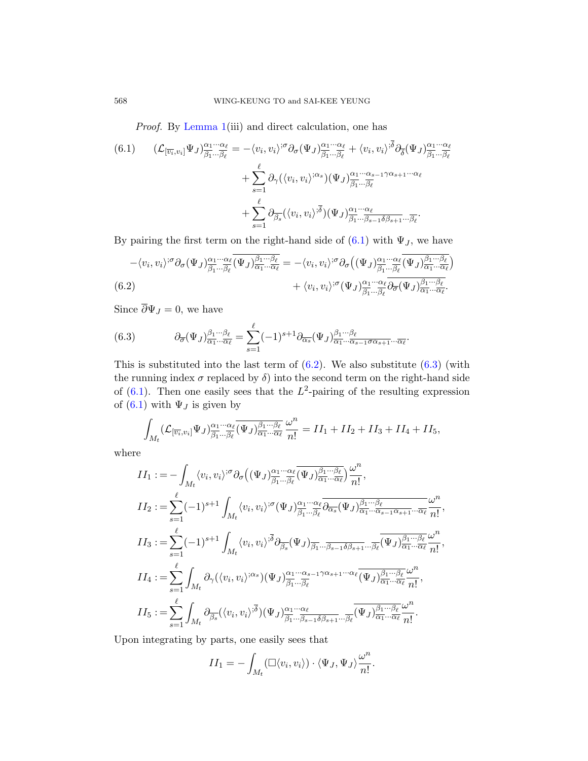Proof. By Lemma 1(iii) and direct calculation, one has

(6.1) 
$$
(\mathcal{L}_{[\overline{v_i}, v_i]} \Psi_J)_{\overline{\beta_1} \dots \overline{\beta_\ell}}^{\alpha_1 \dots \alpha_\ell} = -\langle v_i, v_i \rangle^{;\sigma} \partial_\sigma (\Psi_J)_{\overline{\beta_1} \dots \overline{\beta_\ell}}^{\alpha_1 \dots \alpha_\ell} + \langle v_i, v_i \rangle^{;\overline{\delta}} \partial_{\overline{\delta}} (\Psi_J)_{\overline{\beta_1} \dots \overline{\beta_\ell}}^{\alpha_1 \dots \alpha_\ell} + \sum_{s=1}^\ell \partial_\gamma (\langle v_i, v_i \rangle^{;\alpha_s}) (\Psi_J)_{\overline{\beta_1} \dots \overline{\beta_\ell}}^{\alpha_1 \dots \alpha_{s-1} \gamma \alpha_{s+1} \dots \alpha_\ell} + \sum_{s=1}^\ell \partial_{\overline{\beta_s}} (\langle v_i, v_i \rangle^{;\overline{\delta}}) (\Psi_J)_{\overline{\beta_1} \dots \overline{\beta_{s-1} \delta \beta_{s+1}} \dots \overline{\beta_\ell}}^{\alpha_1 \dots \alpha_\ell}.
$$

<span id="page-21-1"></span>By pairing the first term on the right-hand side of  $(6.1)$  with  $\Psi_J$ , we have

$$
-\langle v_i, v_i \rangle^{;\sigma} \partial_{\sigma} (\Psi_J)_{\overline{\beta_1} \dots \overline{\beta_\ell}}^{\alpha_1 \dots \alpha_\ell} \overline{(\Psi_J)_{\overline{\alpha_1} \dots \overline{\alpha_\ell}}^{\beta_1 \dots \beta_\ell}} = -\langle v_i, v_i \rangle^{;\sigma} \partial_{\sigma} \left( (\Psi_J)_{\overline{\beta_1} \dots \overline{\beta_\ell}}^{\alpha_1 \dots \alpha_\ell} \overline{(\Psi_J)_{\overline{\alpha_1} \dots \overline{\alpha_\ell}}^{\beta_1 \dots \beta_\ell}} \right) + \langle v_i, v_i \rangle^{;\sigma} (\Psi_J)_{\overline{\beta_1} \dots \overline{\beta_\ell}}^{\alpha_1 \dots \alpha_\ell} \overline{\partial_{\sigma} (\Psi_J)_{\overline{\alpha_1} \dots \overline{\alpha_\ell}}^{\beta_1 \dots \beta_\ell}}.
$$

Since  $\overline{\partial} \Psi_J = 0$ , we have

(6.3) 
$$
\partial_{\overline{\sigma}}(\Psi_J)_{\overline{\alpha_1}...\overline{\alpha_\ell}}^{\beta_1...\beta_\ell} = \sum_{s=1}^\ell (-1)^{s+1} \partial_{\overline{\alpha_s}}(\Psi_J)_{\overline{\alpha_1}...\overline{\alpha_{s-1}}\overline{\alpha_{s+1}}...\overline{\alpha_\ell}}^{\beta_1...\beta_\ell}.
$$

This is substituted into the last term of  $(6.2)$ . We also substitute  $(6.3)$  (with the running index  $\sigma$  replaced by  $\delta$ ) into the second term on the right-hand side of  $(6.1)$ . Then one easily sees that the  $L^2$ -pairing of the resulting expression of (6.1) with  $\Psi_J$  is given by

$$
\int_{M_t} (\mathcal{L}_{[\overline{v_i}, v_i]} \Psi_J)_{\overline{\beta_1} \dots \overline{\beta_\ell}}^{\alpha_1 \dots \alpha_\ell} (\overline{\Psi_J})_{\overline{\alpha_1} \dots \overline{\alpha_\ell}}^{\beta_1 \dots \beta_\ell} \frac{\omega^n}{n!} = II_1 + II_2 + II_3 + II_4 + II_5,
$$

where

$$
II_{1} := -\int_{M_{t}} \langle v_{i}, v_{i} \rangle^{;\sigma} \partial_{\sigma} \left( (\Psi_{J})^{\alpha_{1} \cdots \alpha_{\ell}}_{\overline{\beta_{1}} \cdots \overline{\beta_{\ell}}} \overline{\Psi_{J}} \rangle^{\underline{\beta_{1} \cdots \beta_{\ell}}}_{\overline{\alpha_{1}} \cdots \overline{\alpha_{\ell}}} \right) \frac{\omega^{n}}{n!},
$$
  
\n
$$
II_{2} := \sum_{s=1}^{\ell} (-1)^{s+1} \int_{M_{t}} \langle v_{i}, v_{i} \rangle^{;\sigma} (\Psi_{J})^{\alpha_{1} \cdots \alpha_{\ell}}_{\overline{\beta_{1}} \cdots \overline{\beta_{\ell}}} \overline{\partial_{\overline{\alpha_{s}}} (\Psi_{J})^{\beta_{1} \cdots \beta_{\ell}}_{\alpha_{1} \cdots \alpha_{s-1} \alpha_{s+1} \cdots \overline{\alpha_{\ell}}} \frac{\omega^{n}}{n!},
$$
  
\n
$$
II_{3} := \sum_{s=1}^{\ell} (-1)^{s+1} \int_{M_{t}} \langle v_{i}, v_{i} \rangle^{;\overline{\delta}} \partial_{\overline{\beta_{s}}} (\Psi_{J})^{\alpha_{1} \cdots \alpha_{\ell}}_{\overline{\beta_{1}} \cdots \overline{\beta_{s-1}} \delta \beta_{s+1} \cdots \overline{\beta_{\ell}}} \overline{\Psi_{J}} \overline{\partial_{\overline{\alpha_{1}} \cdots \overline{\alpha_{\ell}}} \frac{\omega^{n}}{n!},
$$
  
\n
$$
II_{4} := \sum_{s=1}^{\ell} \int_{M_{t}} \partial_{\gamma} (\langle v_{i}, v_{i} \rangle^{;\alpha_{s}}) (\Psi_{J})^{\alpha_{1} \cdots \alpha_{s-1}}_{\overline{\beta_{1}} \cdots \overline{\beta_{\ell}}} \overline{\partial_{\overline{\alpha_{1}}} \cdots \overline{\partial_{\ell}} \frac{\omega^{n}}{\alpha_{1} \cdots \overline{\alpha_{\ell}}} \frac{\omega^{n}}{n!},
$$
  
\n
$$
II_{5} := \sum_{s=1}^{\ell} \int_{M_{t}} \partial_{\overline{\beta_{s}}} (\langle v_{i}, v_{i} \rangle^{;\overline{\delta}}) (\Psi_{J})^{\alpha_{1} \cdots \alpha_{\ell}}_{\overline{\beta_{1
$$

Upon integrating by parts, one easily sees that

$$
II_1 = -\int_{M_t} (\Box \langle v_i, v_i \rangle) \cdot \langle \Psi_J, \Psi_J \rangle \frac{\omega^n}{n!}.
$$

<span id="page-21-0"></span>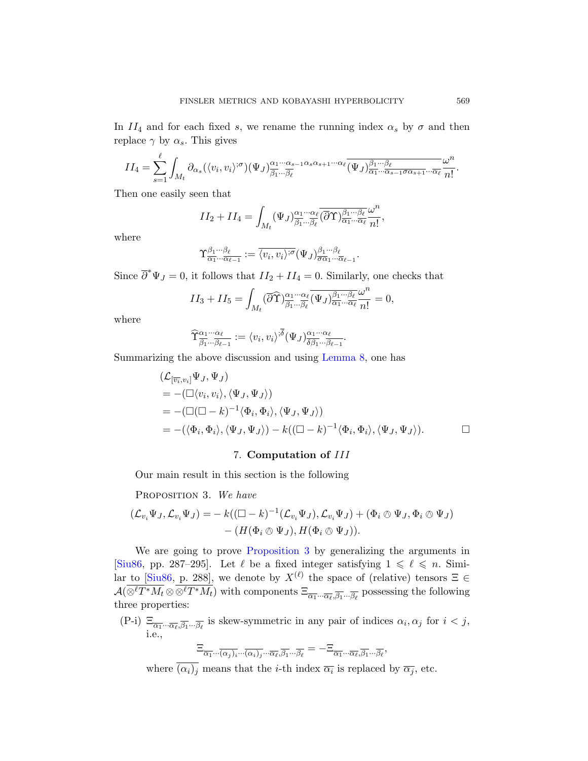In  $II_4$  and for each fixed s, we rename the running index  $\alpha_s$  by  $\sigma$  and then replace  $\gamma$  by  $\alpha_s$ . This gives

$$
II_4 = \sum_{s=1}^{\ell} \int_{M_t} \partial_{\alpha_s} (\langle v_i, v_i \rangle^{\mathfrak{O}}) (\Psi_J)_{\overline{\beta_1} \cdots \overline{\beta_{\ell}}}^{\alpha_1 \cdots \alpha_{s-1} \alpha_s \alpha_{s+1} \cdots \alpha_{\ell}} \overline{(\Psi_J)_{\alpha_1 \cdots \alpha_{s-1} \sigma \alpha_{s+1} \cdots \overline{\alpha_{\ell}}}^{\beta_1 \cdots \beta_{\ell}} \frac{\omega^n}{n!}.
$$

Then one easily seen that

$$
II_2 + II_4 = \int_{M_t} (\Psi_J)_{\overline{\beta_1} \cdots \overline{\beta_\ell}}^{\alpha_1 \cdots \alpha_\ell} (\overline{\partial} \Upsilon)_{\overline{\alpha_1} \cdots \overline{\alpha_\ell}}^{\beta_1 \cdots \overline{\beta_\ell}} \frac{\omega^n}{n!},
$$

where

$$
\Upsilon_{\overline{\alpha_1}\cdots\overline{\alpha_{\ell-1}}}^{\beta_1\cdots\beta_\ell}:=\overline{\langle v_i,v_i\rangle^{;\sigma}}(\Psi_J)_{\overline{\sigma\alpha_1}\cdots\overline{\alpha_{\ell-1}}}^{\beta_1\cdots\beta_\ell}.
$$

Since  $\overline{\partial}^* \Psi_J = 0$ , it fol[lows that](#page-20-0)  $II_2 + II_4 = 0$ . Similarly, one checks that

$$
II_3 + II_5 = \int_{M_t} (\overline{\partial} \widehat{\Upsilon})^{\alpha_1 \cdots \alpha_\ell}_{\overline{\beta_1} \cdots \overline{\beta_\ell}} (\overline{\Psi}_J)^{\beta_1 \cdots \beta_\ell}_{\overline{\alpha_1} \cdots \overline{\alpha_\ell}} \frac{\omega^n}{n!} = 0,
$$

where

$$
\widehat{\Upsilon}_{\overline{\beta_1}\cdots\overline{\beta_{\ell-1}}}^{\alpha_1\cdots\alpha_\ell} := \langle v_i, v_i \rangle^{;\overline{\delta}} (\Psi_J)_{\overline{\delta\beta_1}\cdots\overline{\beta_{\ell-1}}}^{\alpha_1\cdots\alpha_\ell}.
$$

<span id="page-22-0"></span>Summarizing the above discussion and using Lemma 8, one has

$$
(\mathcal{L}_{[\overline{v_i}, v_i]} \Psi_J, \Psi_J)
$$
  
= -(\Box \langle v\_i, v\_i \rangle, \langle \Psi\_J, \Psi\_J \rangle)  
= -(\Box (\Box - k)^{-1} \langle \Phi\_i, \Phi\_i \rangle, \langle \Psi\_J, \Psi\_J \rangle)  
= -(\langle \Phi\_i, \Phi\_i \rangle, \langle \Psi\_J, \Psi\_J \rangle) - k((\Box - k)^{-1} \langle \Phi\_i, \Phi\_i \rangle, \langle \Psi\_J, \Psi\_J \rangle). \Box

## 7. Computation of III

[Our main result](#page-22-0) in this section is the following

PROPOSITION 3. We have

$$
(\mathcal{L}_{v_i}\Psi_J,\mathcal{L}_{v_i}\Psi_J)=-k((\Box -k)^{-1}(\mathcal{L}_{v_i}\Psi_J),\mathcal{L}_{v_i}\Psi_J)+(\Phi_i\otimes\Psi_J,\Phi_i\otimes\Psi_J)-(H(\Phi_i\otimes\Psi_J),H(\Phi_i\otimes\Psi_J)).
$$

We are going to prove Proposition 3 by generalizing the arguments in [Siu86, pp. 287–295]. Let  $\ell$  be a fixed integer satisfying  $1 \leq \ell \leq n$ . Similar to [Siu86, p. 288], we denote by  $X^{(\ell)}$  the space of (relative) tensors  $\Xi \in$  $\mathcal{A}(\otimes^{\ell} T^*M_t \otimes \otimes^{\ell} T^*M_t)$  with components  $\Xi_{\overline{\alpha_1} \cdots \overline{\alpha_{\ell}},\overline{\beta_1} \cdots \overline{\beta_{\ell}}}$  possessing the following three properties:

(P-i)  $\Xi_{\overline{\alpha_1} \cdots \overline{\alpha_\ell}, \overline{\beta_1} \cdots \overline{\beta_\ell}}$  is skew-symmetric in any pair of indices  $\alpha_i, \alpha_j$  for  $i < j$ , i.e.,

$$
\Xi_{\overline{\alpha_1}\cdots\overline{(\alpha_j)_i}\cdots\overline{(\alpha_i)_j}\cdots\overline{\alpha_\ell},\overline{\beta_1}\cdots\overline{\beta_\ell}}=-\Xi_{\overline{\alpha_1}\cdots\overline{\alpha_\ell},\overline{\beta_1}\cdots\overline{\beta_\ell}},
$$

where  $(\alpha_i)_j$  means that the *i*-th index  $\overline{\alpha_i}$  is replaced by  $\overline{\alpha_j}$ , etc.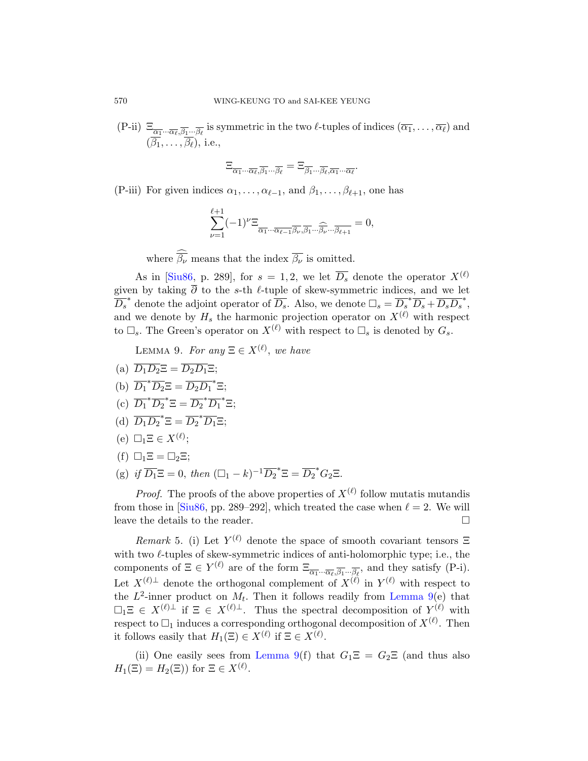(P-ii)  $\Xi_{\overline{\alpha_1} \cdots \overline{\alpha_\ell}, \overline{\beta_1} \cdots \overline{\beta_\ell}}$  is symmetric in the two  $\ell$ -tuples of indices  $(\overline{\alpha_1}, \ldots, \overline{\alpha_\ell})$  and  $(\overline{\beta_1}, \ldots, \overline{\beta_\ell}),$  i.e.,

$$
\Xi_{\overline{\alpha_1}\cdots\overline{\alpha_\ell},\overline{\beta_1}\cdots\overline{\beta_\ell}}=\Xi_{\overline{\beta_1}\cdots\overline{\beta_\ell},\overline{\alpha_1}\cdots\overline{\alpha_\ell}}.
$$

(P-iii) For given indices  $\alpha_1, \ldots, \alpha_{\ell-1}$ , and  $\beta_1, \ldots, \beta_{\ell+1}$ , one has

$$
\sum_{\nu=1}^{\ell+1}(-1)^{\nu}\Xi_{\overline{\alpha_1}\cdots\overline{\alpha_{\ell-1}}\overline{\beta_{\nu}},\overline{\beta_1}\cdots\widehat{\beta_{\nu}}\cdots\overline{\beta_{\ell+1}}}=0,
$$

where  $\widehat{\overline{\beta_{\nu}}}$  means that the index  $\overline{\beta_{\nu}}$  is omitted.

<span id="page-23-0"></span>As in [Siu86, p. 289], for  $s = 1, 2$ , we let  $\overline{D_s}$  denote the operator  $X^{(\ell)}$ given by taking  $\overline{\partial}$  to the s-th  $\ell$ -tuple of skew-symmetric indices, and we let  $\overline{D_s}^*$  denote the adjoint operator of  $\overline{D_s}$ . Also, we denote  $\Box_s = \overline{D_s}^* \overline{D_s} + \overline{D_s D_s}^*$ , and we denote by  $H_s$  the harmonic projection operator on  $X^{(\ell)}$  with respect to  $\Box_s$ . The Green's operator on  $X^{(\ell)}$  with respect to  $\Box_s$  is denoted by  $G_s$ .

LEMMA 9. For any  $\Xi \in X^{(\ell)}$ , we have

- (a)  $\overline{D_1D_2}\Xi = \overline{D_2D_1}\Xi;$
- (b)  $\overline{D_1}^* \overline{D_2} \Xi = \overline{D_2} \overline{D_1}^* \Xi;$
- (c)  $\overline{D_1}^* \overline{D_2}^* \Xi = \overline{D_2}^* \overline{D_1}^* \Xi;$
- (d)  $\overline{D_1D_2}^* \Xi = \overline{D_2}^* \overline{D_1} \Xi;$
- (e)  $\Box_1 \Xi \in X^{(\ell)}$ ;
- <span id="page-23-1"></span>(f)  $\square_1 \Xi = \square_2 \Xi$ ;
- (g) if  $\overline{D_1} \Xi = 0$ , then  $(\Box_1 k)^{-1} \overline{D_2}^* \Xi = \overline{D_2}^* G_2 \Xi$ .

*Proof.* The proofs of the above properties of  $X^{(\ell)}$  follow mutatis mutandis from those in [Siu86, pp. 289–292], w[hich treate](#page-23-0)d the case when  $\ell = 2$ . We will leave the details to the reader.

*Remark* 5. (i) Let  $Y^{(\ell)}$  denote the space of smooth covariant tensors  $\Xi$ with two  $\ell$ -tuples of skew-symmetric indices of anti-holomorphic type; i.e., the components of  $\Xi \in Y^{(\ell)}$  are of the form  $\Xi_{\overline{\alpha_1} \cdots \overline{\alpha_\ell}, \overline{\beta_1} \cdots \overline{\beta_\ell}}$ , and they satisfy (P-i). Let  $X^{(\ell)\perp}$  denote the orthogonal complement of  $X^{(\ell)}$  in  $Y^{(\ell)}$  with respect to the  $L^2$ -inner product on  $M_t$ . Then it follows readily from Lemma 9(e) that  $\Box_1 \Xi \in X^{(\ell)\perp}$  if  $\Xi \in X^{(\ell)\perp}$ . Thus the spectral decomposition of  $Y^{(\ell)}$  with respect to  $\Box_1$  induces a corresponding orthogonal decomposition of  $X^{(\ell)}$ . Then it follows easily that  $H_1(\Xi) \in X^{(\ell)}$  if  $\Xi \in X^{(\ell)}$ .

(ii) One easily sees from Lemma 9(f) that  $G_1\Xi = G_2\Xi$  (and thus also  $H_1(\Xi) = H_2(\Xi)$  for  $\Xi \in X^{(\ell)}$ .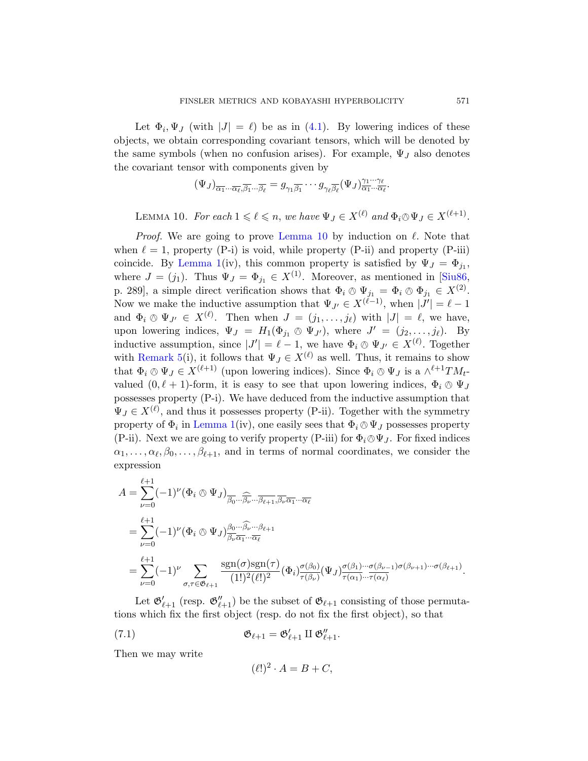<span id="page-24-0"></span>Let  $\Phi_i, \Psi_J$  (with  $|J| = \ell$ ) be as in (4.1). By lowering indices of these objects, we obtain corresponding covariant tensors, which will be denoted by the same sy[mbols \(when](#page-24-0) no confusion arises). For example,  $\Psi_J$  also denotes the covariant tensor with components given by

$$
(\Psi_J)_{\overline{\alpha_1} \cdots \overline{\alpha_\ell}, \overline{\beta_1} \cdots \overline{\beta_\ell}} = g_{\gamma_1 \overline{\beta_1}} \cdots g_{\gamma_\ell \overline{\beta_\ell}} (\Psi_J)_{\overline{\alpha_1} \cdots \overline{\alpha_\ell}}^{\gamma_1 \cdots \gamma_\ell}.
$$

LEMMA 10. For each  $1 \leq \ell \leq n$ , we have  $\Psi_J \in X^{(\ell)}$  and  $\Phi_i \otimes \Psi_J \in X^{(\ell+1)}$ .

*Proof.* We are going to prove Lemma 10 by induction on  $\ell$ . Note that when  $\ell = 1$ , property (P-i) is void, while property (P-ii) and property (P-iii) coincide. By Lemma 1(iv), this common property is satisfied by  $\Psi_J = \Phi_{j_1}$ , where  $J = (j_1)$ . Thus  $\Psi_J = \Phi_{j_1} \in X^{(1)}$ . Moreover, as mentioned in [Siu86, p. 289], a simple direct verification shows that  $\Phi_i \otimes \Psi_{j_1} = \Phi_i \otimes \Phi_{j_1} \in X^{(2)}$ .<br>Now we make the inductive equivariant that  $\Psi_i \subset \mathbf{X}^{(\ell-1)}$  when  $|I'| = \ell-1$ . Now we make the inductive assumption that  $\Psi_{J'} \in X^{(\ell-1)}$ , when  $|J'| = \ell - 1$ and  $\Phi_i \otimes \Psi_{J'} \in X^{(\ell)}$ . Then when  $J = (j_1, \ldots, j_\ell)$  with  $|J| = \ell$ , we have, upon lowering indices,  $\Psi_J = H_1(\Phi_{j_1} \otimes \Psi_{J'})$ , where  $J' = (j_2, \ldots, j_\ell)$ . By [indu](#page-11-0)ctive assumption, since  $|J'| = \ell - 1$ , we have  $\Phi_i \otimes \Psi_{J'} \in X^{(\ell)}$ . Together with Remark 5(i), it follows that  $\Psi_J \in X^{(\ell)}$  as well. Thus, it remains to show that  $\Phi_i \otimes \Psi_J \in X^{(\ell+1)}$  (upon lowering indices). Since  $\Phi_i \otimes \Psi_J$  is a  $\wedge^{\ell+1}TM_t$ -<br>the subset  $(0, \ell+1)$  form it is easy to see that upon lowering indices  $\Phi \otimes \Psi$ valued  $(0, \ell + 1)$ -form, it is easy to see that upon lowering indices,  $\Phi_i \otimes \Psi_J$ possesses property (P-i). We have deduced from the inductive assumption that  $\Psi_J \in X^{(\ell)}$ , and thus it possesses property (P-ii). Together with the symmetry property of  $\Phi_i$  in Lemma 1(iv), one easily sees that  $\Phi_i \otimes \Psi_J$  possesses property<br>(D ii) Nort we are going to youth property (D iii) for  $\Phi \otimes \Psi_J$ . For fixed indices (P-ii). Next we are going to verify property (P-iii) for  $\Phi_i \otimes \Psi_J$ . For fixed indices  $\alpha_1, \ldots, \alpha_\ell, \beta_0, \ldots, \beta_{\ell+1}$ , and in terms of normal coordinates, we consider the expression

$$
A = \sum_{\nu=0}^{\ell+1} (-1)^{\nu} (\Phi_i \otimes \Psi_J)_{\overline{\beta_0} \cdots \overline{\beta_{\nu}} \cdots \overline{\beta_{\ell+1}}, \overline{\beta_{\nu}} \overline{\alpha_1} \cdots \overline{\alpha_{\ell}}}
$$
  
\n
$$
= \sum_{\nu=0}^{\ell+1} (-1)^{\nu} (\Phi_i \otimes \Psi_J)_{\overline{\beta_{\nu}} \overline{\alpha_1} \cdots \overline{\alpha_{\ell}}}^{\beta_0 \cdots \widehat{\beta_{\nu}} \cdots \beta_{\ell+1}}
$$
  
\n
$$
= \sum_{\nu=0}^{\ell+1} (-1)^{\nu} \sum_{\sigma, \tau \in \mathfrak{G}_{\ell+1}} \frac{\text{sgn}(\sigma) \text{sgn}(\tau)}{(1!)^2 (\ell!)^2} (\Phi_i)_{\tau(\beta_{\nu})}^{\sigma(\beta_0)} (\Psi_J)_{\tau(\alpha_1) \cdots \tau(\alpha_{\ell})}^{\sigma(\beta_{\nu-1}) \sigma(\beta_{\nu+1}) \cdots \sigma(\beta_{\ell+1})}.
$$

Let  $\mathfrak{G}'_{\ell+1}$  (resp.  $\mathfrak{G}''_{\ell+1}$ ) be the subset of  $\mathfrak{G}_{\ell+1}$  consisting of those permutations which fix the first object (resp. do not fix the first object), so that

(7.1) 
$$
\mathfrak{G}_{\ell+1} = \mathfrak{G}'_{\ell+1} \amalg \mathfrak{G}''_{\ell+1}.
$$

Then we may write

$$
(\ell!)^2 \cdot A = B + C,
$$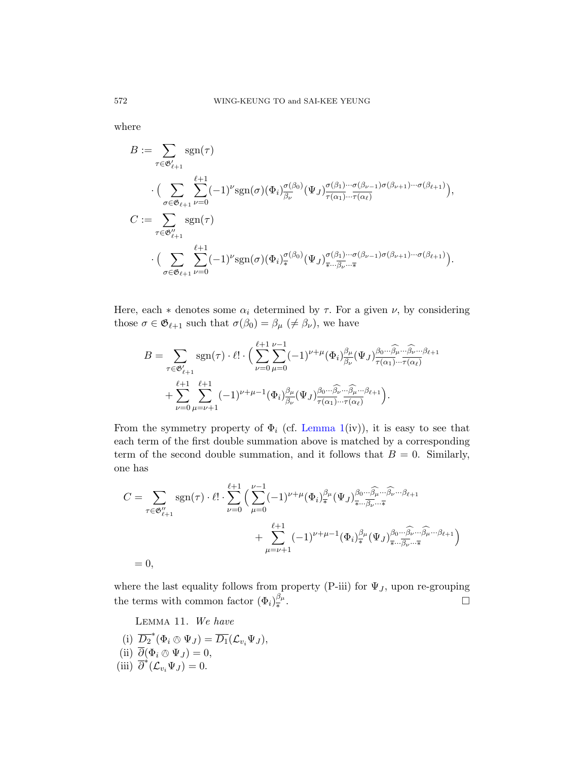where

$$
B := \sum_{\tau \in \mathfrak{G}'_{\ell+1}} \text{sgn}(\tau)
$$
  
\n
$$
\cdot \Big( \sum_{\sigma \in \mathfrak{G}_{\ell+1}} \sum_{\nu=0}^{\ell+1} (-1)^{\nu} \text{sgn}(\sigma) (\Phi_i)_{\overline{\beta_{\nu}}}^{\sigma(\beta_0)} (\Psi_J)_{\tau(\alpha_1) \cdots \tau(\alpha_{\ell})}^{\sigma(\beta_1) \cdots \sigma(\beta_{\nu-1}) \sigma(\beta_{\nu+1}) \cdots \sigma(\beta_{\ell+1})} \Big),
$$
  
\n
$$
C := \sum_{\tau \in \mathfrak{G}''_{\ell+1}} \text{sgn}(\tau)
$$
  
\n
$$
\cdot \Big( \sum_{\sigma \in \mathfrak{G}_{\ell+1}} \sum_{\nu=0}^{\ell+1} (-1)^{\nu} \text{sgn}(\sigma) (\Phi_i)_{\overline{\ast}}^{\sigma(\beta_0)} (\Psi_J)_{\overline{\ast} \cdots \overline{\beta_{\nu}} \cdots \overline{\ast}}^{\sigma(\beta_{\nu-1}) \sigma(\beta_{\nu+1}) \cdots \sigma(\beta_{\ell+1})} \Big).
$$

Here, each  $*$  denotes some  $\alpha_i$  determined by  $\tau$ . For a given  $\nu$ , by considering those  $\sigma \in \mathfrak{G}_{\ell+1}$  such that  $\sigma(\beta_0) = \beta_\mu \ (\neq \beta_\nu)$ , we have

$$
B = \sum_{\tau \in \mathfrak{G}_{\ell+1}'} \operatorname{sgn}(\tau) \cdot \ell! \cdot \Big( \sum_{\nu=0}^{\ell+1} \sum_{\mu=0}^{\nu-1} (-1)^{\nu+\mu} (\Phi_i)_{\overline{\beta_{\nu}}}^{\beta_{\mu}} (\Psi_J)_{\overline{\tau(\alpha_1)} \cdots \overline{\tau(\alpha_{\ell})}}^{\beta_0 \cdots \widehat{\beta_{\nu}}} \cdots \beta_{\ell+1}^{\beta_{\ell+1}}
$$
  
+ 
$$
\sum_{\nu=0}^{\ell+1} \sum_{\mu=\nu+1}^{\ell+1} (-1)^{\nu+\mu-1} (\Phi_i)_{\overline{\beta_{\nu}}}^{\beta_{\mu}} (\Psi_J)_{\overline{\tau(\alpha_1)} \cdots \overline{\tau(\alpha_{\ell})}}^{\beta_0 \cdots \widehat{\beta_{\nu}}} \cdots \widehat{\beta_{\mu}}^{\beta_{\ell+1}} \Big).
$$

From the symmetry property of  $\Phi_i$  (cf. Lemma 1(iv)), it is easy to see that each term of the first double summation above is matched by a corresponding term of the second double summation, and it follows that  $B = 0$ . Similarly, one has

$$
C = \sum_{\tau \in \mathfrak{G}_{\ell+1}''} \text{sgn}(\tau) \cdot \ell! \cdot \sum_{\nu=0}^{\ell+1} \Big( \sum_{\mu=0}^{\nu-1} (-1)^{\nu+\mu} (\Phi_i)_{\overline{\ast}}^{\beta_{\mu}} (\Psi_J)_{\overline{\ast} \cdots \overline{\beta_{\nu}}}^{\beta_0 \cdots \widehat{\beta_{\mu}}} \cdots \widehat{\beta_{\nu}} \cdots \beta_{\ell+1} + \sum_{\mu=\nu+1}^{\ell+1} (-1)^{\nu+\mu-1} (\Phi_i)_{\overline{\ast}}^{\beta_{\mu}} (\Psi_J)_{\overline{\ast} \cdots \overline{\beta_{\nu}}}^{\beta_0 \cdots \widehat{\beta_{\nu}}} \cdots \widehat{\beta_{\ell+1}} \Big)
$$
  
= 0,

<span id="page-25-0"></span>where the last equality follows from property (P-iii) for  $\Psi_J$ , upon re-grouping the terms with common factor  $(\Phi_i)_{\ast}^{\beta\mu}$ ∗ .

Lemma 11. We have (i)  $\overline{D_2}^*(\Phi_i \otimes \Psi_J) = \overline{D_1}(\mathcal{L}_{v_i}\Psi_J),$ <br>  $\overline{P_1}(\mathcal{L}_{v_i}\Psi_J)$ (ii)  $\overline{\partial}(\Phi_i \otimes \Psi_J) = 0,$ <br>(iii)  $\overline{\partial}^*(\mathcal{L}_{v_i}\Psi_J) = 0.$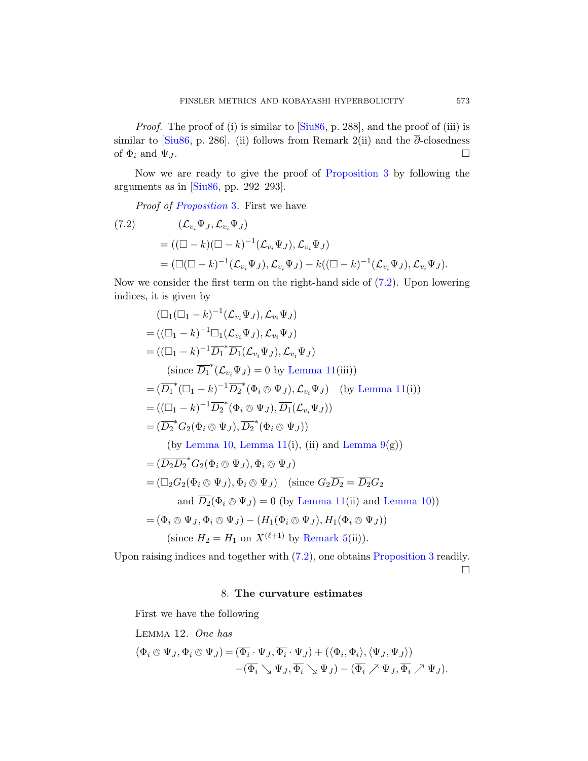<span id="page-26-1"></span>Proof. The proof of (i) is similar to [Siu86, p. 288], and the proof of (iii) is similar to [Siu86, p. 286]. (ii) follows from Remark 2(ii) and the  $\overline{\partial}$ -closedness of  $\Phi_i$  and  $\Psi_J$ .

Now we are ready to give the proof of Proposition 3 by following the arguments as in  $[Siu86, pp. 292-293]$ .

Proof of Proposition 3. First [we h](#page-26-1)ave

(7.2) 
$$
(\mathcal{L}_{v_i}\Psi_J, \mathcal{L}_{v_i}\Psi_J)
$$
  
= 
$$
((\Box - k)(\Box - k)^{-1}(\mathcal{L}_{v_i}\Psi_J), \mathcal{L}_{v_i}\Psi_J)
$$
  
= 
$$
(\Box(\Box - k)^{-1}(\mathcal{L}_{v_i}\Psi_J), \mathcal{L}_{v_i}\Psi_J) - k((\Box - k)^{-1}(\mathcal{L}_{v_i}\Psi_J), \mathcal{L}_{v_i}\Psi_J).
$$

Now we consi[der the first](#page-25-0) term on the right-hand side of (7.2). Upon lowering indices, it is given by

$$
(\Box_1(\Box_1 - k)^{-1}(\mathcal{L}_{v_i}\Psi_J), \mathcal{L}_{v_i}\Psi_J)
$$
  
\n
$$
= ((\Box_1 - k)^{-1}\Box_1(\mathcal{L}_{v_i}\Psi_J), \mathcal{L}_{v_i}\Psi_J)
$$
  
\n
$$
= ((\Box_1 - k)^{-1}\overline{D_1}^*\overline{D_1}(\mathcal{L}_{v_i}\Psi_J), \mathcal{L}_{v_i}\Psi_J)
$$
  
\n(since  $\overline{D_1}^*(\mathcal{L}_{v_i}\Psi_J) = 0$  by Lemma 11(iii))  
\n
$$
= (\overline{D_1}^*(\Box_1 - k)^{-1}\overline{D_2}^*(\Phi_i \otimes \Psi_J), \mathcal{L}_{v_i}\Psi_J) \text{ (by Lemma 11(i))}
$$
  
\n
$$
= ((\Box_1 - k)^{-1}\overline{D_2}^*(\Phi_i \otimes \Psi_J), \overline{D_1}(\mathcal{L}_{v_i}\Psi_J))
$$
  
\n
$$
= (\overline{D_2}^*G_2(\Phi_i \otimes \Psi_J), \overline{D_2}^*(\Phi_i \otimes \Psi_J))
$$
  
\n(by Lemma 10, Lemma 11(i), (ii) and Lemma 9(g))  
\n
$$
= (\overline{D_2D_2}^*G_2(\Phi_i \otimes \Psi_J), \Phi_i \otimes \Psi_J)
$$
  
\n
$$
= (\Box_2G_2(\Phi_i \otimes \Psi_J), \Phi_i \otimes \Psi_J) \text{ (since } G_2\overline{D_2} = \overline{D_2}G_2
$$
  
\nand  $\overline{D_2}(\Phi_i \otimes \Psi_J) = 0$  (by Lemma 11(ii) and Lemma 10))  
\n
$$
= (\Phi_i \otimes \Psi_J, \Phi_i \otimes \Psi_J) - (H_1(\Phi_i \otimes \Psi_J), H_1(\Phi_i \otimes \Psi_J))
$$
  
\n(since  $H_2 = H_1$  on  $X^{(\ell+1)}$  by Remark 5(ii)).

<span id="page-26-2"></span><span id="page-26-0"></span>Upon raising indices and together with (7.2), one obtains Proposition 3 readily.

 $\Box$ 

## 8. The curvature estimates

First we have the following

Lemma 12. One has  $(\Phi_i\otimes\Psi_J,\Phi_i\otimes\Psi_J) = (\overline{\Phi_i}\cdot\Psi_J,\overline{\Phi_i}\cdot\Psi_J) + (\langle\Phi_i,\Phi_i\rangle,\langle\Psi_J,\Psi_J\rangle)$  $-(\overline{\Phi_i}\searrow \Psi_J, \overline{\Phi_i}\searrow \Psi_J) - (\overline{\Phi_i}\nearrow \Psi_J, \overline{\Phi_i}\nearrow \Psi_J).$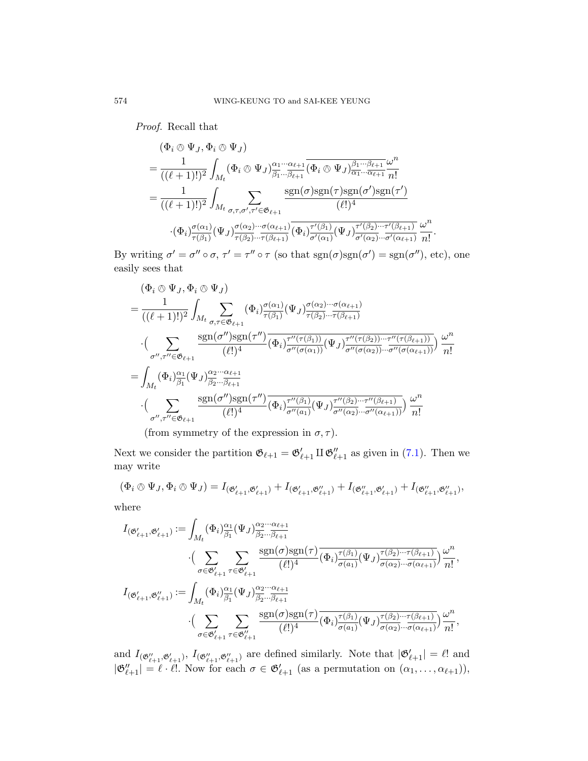Proof. Recall that

$$
\begin{split}\n&=\frac{(\Phi_i \otimes \Psi_J, \Phi_i \otimes \Psi_J)}{((\ell+1)!)^2} \\
&=\frac{1}{((\ell+1)!)^2} \int_{M_t} (\Phi_i \otimes \Psi_J)_{\overline{\beta_1} \dots \overline{\beta_{\ell+1}}}^{\alpha_1 \dots \alpha_{\ell+1}} \overline{(\Phi_i \otimes \Psi_J)_{\overline{\alpha_1} \dots \overline{\alpha_{\ell+1}}}^{\beta_1 \dots \beta_{\ell+1}}} \frac{\omega^n}{n!} \\
&=\frac{1}{((\ell+1)!)^2} \int_{M_t} \sum_{\sigma, \tau, \sigma', \tau' \in \mathfrak{G}_{\ell+1}} \frac{\text{sgn}(\sigma) \text{sgn}(\tau) \text{sgn}(\sigma') \text{sgn}(\tau')}{(\ell!)^4} \\
&\cdot (\Phi_i)_{\overline{\tau(\beta_1)}}^{\sigma(\alpha_1)} (\Psi_J)_{\overline{\tau(\beta_2)} \dots \overline{\tau(\beta_{\ell+1})}}^{\sigma(\alpha_{\ell+1})}} \overline{(\Phi_i)_{\sigma'(\alpha_1)}}^{\tau'(\beta_1)} (\Psi_J)_{\overline{\sigma'(\alpha_2)} \dots \overline{\tau'(\beta_{\ell+1})}}^{\tau(\beta_{\ell+1})}} \frac{\omega^n}{n!}.\n\end{split}
$$

By writing  $\sigma' = \sigma'' \circ \sigma$ ,  $\tau' = \tau'' \circ \tau$  (so that  $sgn(\sigma)sgn(\sigma') = sgn(\sigma'')$ , etc), one easily sees that

$$
\begin{split}\n&= \frac{(\Phi_i \otimes \Psi_J, \Phi_i \otimes \Psi_J)}{((\ell+1)!)^2} \\
&= \frac{1}{((\ell+1)!)^2} \int_{M_t} \sum_{\sigma,\tau \in \mathfrak{G}_{\ell+1}} (\Phi_i)_{\tau(\beta_1)}^{\sigma(\alpha_1)} (\Psi_J)_{\tau(\beta_2)}^{\sigma(\alpha_2)\cdots\sigma(\alpha_{\ell+1})} \\
&\cdot \Big(\sum_{\sigma'',\tau'' \in \mathfrak{G}_{\ell+1}} \frac{\text{sgn}(\sigma'')\text{sgn}(\tau'')}{(\ell!)^4} \overline{(\Phi_i)_{\sigma''(\sigma(\alpha_1))}^{\tau''(\tau(\beta_1))}} (\Psi_J)_{\sigma''(\sigma(\alpha_2))\cdots\sigma''(\sigma(\alpha_{\ell+1}))}^{\tau''(\tau(\beta_{\ell+1}))} \Big) \frac{\omega^n}{n!} \\
&= \int_{M_t} (\Phi_i)_{\beta_1}^{\alpha_1} (\Psi_J)_{\beta_2\cdots\beta_{\ell+1}}^{\alpha_2\cdots\alpha_{\ell+1}} \\
&\cdot \Big(\sum_{\sigma'',\tau'' \in \mathfrak{G}_{\ell+1}} \frac{\text{sgn}(\sigma'')\text{sgn}(\tau'')}{(\ell!)^4} \overline{(\Phi_i)_{\sigma''(\alpha_1)}^{\tau''(\beta_1)} (\Psi_J)_{\sigma''(\alpha_2)\cdots\sigma''(\alpha_{\ell+1})}^{\tau''(\beta_{\ell+1})}} \Big) \frac{\omega^n}{n!}\n\end{split}
$$

(from symmetry of the expression in  $\sigma$ ,  $\tau$ ).

Next we consider the partition  $\mathfrak{G}_{\ell+1} = \mathfrak{G}'_{\ell+1} \amalg \mathfrak{G}''_{\ell+1}$  as given in (7.1). Then we may write

$$
(\Phi_i \otimes \Psi_J, \Phi_i \otimes \Psi_J) = I_{(\mathfrak{G}'_{\ell+1}, \mathfrak{G}'_{\ell+1})} + I_{(\mathfrak{G}'_{\ell+1}, \mathfrak{G}''_{\ell+1})} + I_{(\mathfrak{G}''_{\ell+1}, \mathfrak{G}'_{\ell+1})} + I_{(\mathfrak{G}''_{\ell+1}, \mathfrak{G}''_{\ell+1})},
$$

where

$$
I_{(\mathfrak{G}'_{\ell+1},\mathfrak{G}'_{\ell+1})} := \int_{M_t} (\Phi_i)_{\overline{\beta_1}}^{\alpha_1} (\Psi_J)_{\overline{\beta_2} \dots \overline{\beta_{\ell+1}}}^{\alpha_2 \dots \alpha_{\ell+1}}
$$
  
\n
$$
\cdot (\sum_{\sigma \in \mathfrak{G}'_{\ell+1}} \sum_{\tau \in \mathfrak{G}'_{\ell+1}} \frac{\text{sgn}(\sigma) \text{sgn}(\tau)}{(\ell!)^4} (\Phi_i)_{\sigma(a_1)}^{\tau(\beta_1)} (\Psi_J)_{\sigma(\alpha_2)}^{\tau(\beta_2) \dots \tau(\beta_{\ell+1})} ) \frac{\omega^n}{n!},
$$
  
\n
$$
I_{(\mathfrak{G}'_{\ell+1},\mathfrak{G}''_{\ell+1})} := \int_{M_t} (\Phi_i)_{\overline{\beta_1}}^{\alpha_1} (\Psi_J)_{\overline{\beta_2} \dots \overline{\beta_{\ell+1}}}^{\alpha_2 \dots \alpha_{\ell+1}}
$$
  
\n
$$
\cdot (\sum_{\sigma \in \mathfrak{G}'_{\ell+1}} \sum_{\tau \in \mathfrak{G}''_{\ell+1}} \frac{\text{sgn}(\sigma) \text{sgn}(\tau)}{(\ell!)^4} (\Phi_i)_{\sigma(a_1)}^{\tau(\beta_1)} (\Psi_J)_{\sigma(\alpha_2)}^{\tau(\beta_2) \dots \tau(\beta_{\ell+1})} ) \frac{\omega^n}{n!},
$$

and  $I_{(\mathfrak{G}''_{\ell+1},\mathfrak{G}'_{\ell+1})}$ ,  $I_{(\mathfrak{G}''_{\ell+1},\mathfrak{G}''_{\ell+1})}$  are defined similarly. Note that  $|\mathfrak{G}'_{\ell+1}|=\ell!$  and  $|\mathfrak{G}''_{\ell+1}| = \ell \cdot \ell!$ . Now for each  $\sigma \in \mathfrak{G}'_{\ell+1}$  (as a permutation on  $(\alpha_1, \ldots, \alpha_{\ell+1}),$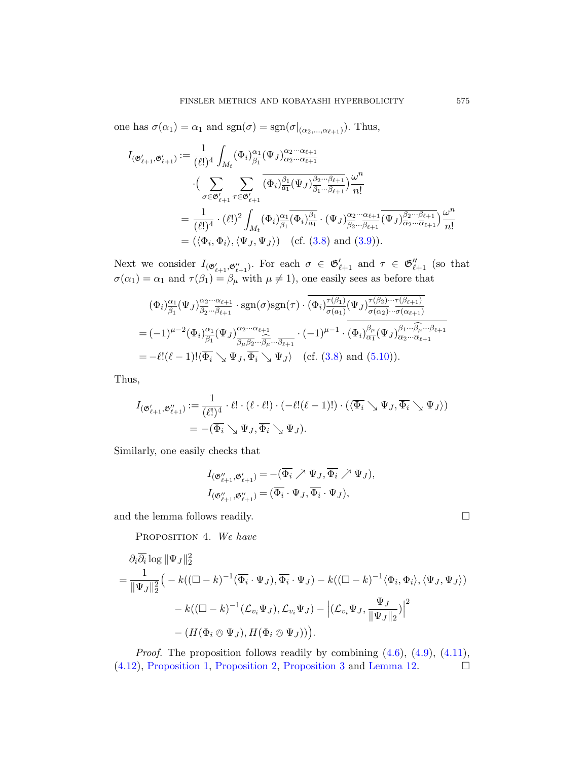one has  $\sigma(\alpha_1) = \alpha_1$  and  $sgn(\sigma) = sgn(\sigma|_{(\alpha_2,\ldots,\alpha_{\ell+1})})$ . Thus,

$$
I_{(\mathfrak{G}'_{\ell+1}, \mathfrak{G}'_{\ell+1})} := \frac{1}{(\ell!)^4} \int_{M_t} (\Phi_i)_{\beta_1}^{\alpha_1} (\Psi_J)_{\overline{\alpha_2} \cdots \overline{\alpha_{\ell+1}}}^{\alpha_2 \cdots \alpha_{\ell+1}}
$$
  

$$
\cdot \Big( \sum_{\sigma \in \mathfrak{G}'_{\ell+1}} \sum_{\tau \in \mathfrak{G}'_{\ell+1}} \overline{(\Phi_i)_{\overline{\alpha_1}}^{\beta_1} (\Psi_J)_{\overline{\beta_1} \cdots \overline{\beta_{\ell+1}}}^{\beta_2 \cdots \beta_{\ell+1}}} \Big) \frac{\omega^n}{n!}
$$
  

$$
= \frac{1}{(\ell!)^4} \cdot (\ell!)^2 \int_{M_t} (\Phi_i)_{\overline{\beta_1}}^{\alpha_1} (\overline{\Phi_i})_{\overline{\alpha_1}}^{\beta_1} \cdot (\Psi_J)_{\overline{\beta_2} \cdots \overline{\beta_{\ell+1}}}^{\alpha_2 \cdots \alpha_{\ell+1}} \overline{(\Psi_J)_{\overline{\alpha_2} \cdots \overline{\alpha_{\ell+1}}}^{\beta_2 \cdots \beta_{\ell+1}}} \Big) \frac{\omega^n}{n!}
$$
  

$$
= (\langle \Phi_i, \Phi_i \rangle, \langle \Psi_J, \Psi_J \rangle) \quad (\text{cf. (3.8) and (3.9)}).
$$

Next we consider  $I_{(\mathfrak{G}'_{\ell+1},\mathfrak{G}''_{\ell+1})}$  $I_{(\mathfrak{G}'_{\ell+1},\mathfrak{G}''_{\ell+1})}$  $I_{(\mathfrak{G}'_{\ell+1},\mathfrak{G}''_{\ell+1})}$ . For each  $\sigma \in \mathfrak{G}'_{\ell+1}$  and  $\tau \in \mathfrak{G}''_{\ell+1}$  (so that  $\sigma(\alpha_1) = \alpha_1$  $\sigma(\alpha_1) = \alpha_1$  $\sigma(\alpha_1) = \alpha_1$  and  $\tau(\beta_1) = \beta_\mu$  with  $\mu \neq 1$ , one easily sees as before that

$$
(\Phi_i)_{\beta_1}^{\alpha_1} (\Psi_J)_{\beta_2}^{\alpha_2 \cdots \alpha_{\ell+1}} \cdot \text{sgn}(\sigma) \text{sgn}(\tau) \cdot \overline{(\Phi_i)_{\sigma(a_1)}^{\tau(\beta_1)} (\Psi_J)_{\sigma(\alpha_2)}^{\tau(\beta_2) \cdots \tau(\beta_{\ell+1})}}
$$
  
=  $(-1)^{\mu-2} (\Phi_i)_{\beta_1}^{\alpha_1} (\Psi_J)_{\beta_2 \cdots \beta_{\ell+1}}^{\alpha_2 \cdots \alpha_{\ell+1}} \cdot (-1)^{\mu-1} \cdot \overline{(\Phi_i)_{\alpha_1}^{\beta_1} (\Psi_J)_{\alpha_2 \cdots \alpha_{\ell+1}}^{\beta_1 \cdots \beta_{\ell+1}}} \cdot (-1)^{\mu-1} \cdot \overline{(\Phi_i)_{\alpha_1}^{\beta_1} (\Psi_J)_{\alpha_2 \cdots \alpha_{\ell+1}}^{\beta_1 \cdots \beta_{\ell+1}}} \cdot (-1)^{\mu-1} \cdot \overline{(\Phi_i)_{\alpha_1}^{\beta_1} (\Psi_J)_{\alpha_2 \cdots \alpha_{\ell+1}}}^{\beta_1 \cdots \beta_{\ell+1}}$   
=  $-\ell! (\ell-1)! \langle \overline{\Phi_i} \searrow \Psi_J, \overline{\Phi_i} \searrow \Psi_J \rangle$  (cf. (3.8) and (5.10)).

Thus,

$$
I_{(\mathfrak{G}'_{\ell+1}, \mathfrak{G}''_{\ell+1})} := \frac{1}{(\ell!)^4} \cdot \ell! \cdot (\ell \cdot \ell!) \cdot (-\ell! (\ell-1)!) \cdot (\langle \overline{\Phi_i} \searrow \Psi_J, \overline{\Phi_i} \searrow \Psi_J \rangle)
$$
  
= -(\overline{\Phi\_i} \searrow \Psi\_J, \overline{\Phi\_i} \searrow \Psi\_J).

<span id="page-28-0"></span>Similarly, one easily checks that

$$
\begin{aligned} &I_{(\mathfrak{G}_{\ell+1}''',\mathfrak{G}_{\ell+1}')}=-(\overline{\Phi_i} \nearrow \Psi_J, \overline{\Phi_i} \nearrow \Psi_J), \\ &I_{(\mathfrak{G}_{\ell+1}'',\mathfrak{G}_{\ell+1}'})=(\overline{\Phi_i} \cdot \Psi_J, \overline{\Phi_i} \cdot \Psi_J), \end{aligned}
$$

and the lemma follows readily.  $\hfill \square$ 

PROPOSITION 4. We have

$$
\partial_i \overline{\partial_i} \log \|\Psi_J\|_2^2
$$
\n
$$
= \frac{1}{\|\Psi_J\|_2^2} \Big( -k((\Box - k)^{-1}(\overline{\Phi_i} \cdot \Psi_J), \overline{\Phi_i} \cdot \Psi_J) - k((\Box - k)^{-1} \langle \Phi_i, \Phi_i \rangle, \langle \Psi_J, \Psi_J \rangle) - k((\Box - k)^{-1} \langle \mathcal{L}_{v_i} \Psi_J, \mathcal{L}_{v_i} \Psi_J) - \left| (\mathcal{L}_{v_i} \Psi_J, \frac{\Psi_J}{\|\Psi_J\|_2}) \right|^2 - (H(\Phi_i \otimes \Psi_J), H(\Phi_i \otimes \Psi_J))).
$$

*Proof.* The proposition follows readily by combining  $(4.6)$ ,  $(4.9)$ ,  $(4.11)$ , (4.12), Proposition 1, Proposition 2, Proposition 3 and Lemma 12.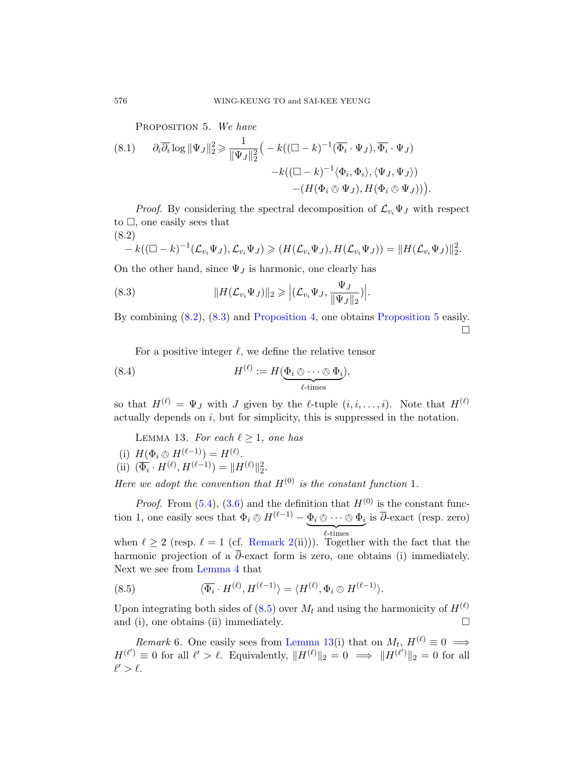PROPOSITION 5. We have

(8.1) 
$$
\partial_i \overline{\partial_i} \log \|\Psi_J\|_2^2 \ge \frac{1}{\|\Psi_J\|_2^2} \Big( -k\big( (\Box - k)^{-1} (\overline{\Phi_i} \cdot \Psi_J), \overline{\Phi_i} \cdot \Psi_J \big) -k\big( (\Box - k)^{-1} \langle \Phi_i, \Phi_i \rangle, \langle \Psi_J, \Psi_J \rangle \big) - (H(\Phi_i \otimes \Psi_J), H(\Phi_i \otimes \Psi_J)) \Big)
$$

<span id="page-29-0"></span>*Proof.* By considering the spectral decomposition of  $\mathcal{L}_{v_i}\Psi_J$  with respect to $\square$ , o[ne easily sees](#page-28-0) that  $(8.2)$  $(8.2)$ 

.

 $\frac{2}{2}$ .

$$
-k((\Box - k)^{-1}(\mathcal{L}_{v_i}\Psi_J), \mathcal{L}_{v_i}\Psi_J) \geq (H(\mathcal{L}_{v_i}\Psi_J), H(\mathcal{L}_{v_i}\Psi_J)) = ||H(\mathcal{L}_{v_i}\Psi_J)||
$$

On the other hand, since  $\Psi_J$  is harmonic, one clearly has

<span id="page-29-4"></span>(8.3) 
$$
||H(\mathcal{L}_{v_i}\Psi_J)||_2 \geqslant \left|(\mathcal{L}_{v_i}\Psi_J, \frac{\Psi_J}{\|\Psi_J\|_2})\right|.
$$

By combining (8.2), (8.3) and Proposition 4, one obtains Proposition 5 easily.  $\Box$ 

For a positive integer  $\ell$ , we define the relative tensor

<span id="page-29-2"></span>(8.4) 
$$
H^{(\ell)} := H(\underbrace{\Phi_i \otimes \cdots \otimes \Phi_i}_{\ell \text{-times}}),
$$

so that  $H^{(\ell)} = \Psi_J$  with J given by the  $\ell$ -tuple  $(i, i, \ldots, i)$ . Note that  $H^{(\ell)}$ a[ctua](#page-8-0)lly depends on  $i$ , but for simplicity, this is suppressed in the notation.

LEMMA 13. For each  $\ell \geq 1$ , one has

(i) 
$$
H(\Phi_i \otimes H^{(\ell-1)}) = H^{(\ell)}
$$
.  
(ii)  $(\overline{\Phi}_i \cdot H^{(\ell)} \cdot H^{(\ell-1)}) = H^{(\ell)}$ .

(ii) 
$$
(\overline{\Phi_i} \cdot H^{(\ell)}, H^{(\ell-1)}) = ||H^{(\ell)}||_2^2.
$$

[Here](#page-15-2) we adopt the convention that  $H^{(0)}$  is the constant function 1.

<span id="page-29-1"></span>*Proof.* From  $(5.4)$ ,  $(3.6)$  and the definition that  $H^{(0)}$  is the constant function 1, [one e](#page-29-1)asily sees that  $\Phi_i \otimes H^{(\ell-1)} - \underbrace{\Phi_i \otimes \cdots \otimes \Phi_i}_{i}$  is  $\overline{\partial}$ -exact (resp. zero) when  $\ell \geq 2$  (resp.  $\ell = 1$  (cf. Remark 2(ii))). Together with the fact that the harmonic pro[jection of a](#page-29-2)  $\overline{\partial}$ -exact form is zero, one obtains (i) immediately. Next we see from Lemma 4 that

<span id="page-29-5"></span>(8.5) 
$$
\langle \overline{\Phi_i} \cdot H^{(\ell)}, H^{(\ell-1)} \rangle = \langle H^{(\ell)}, \Phi_i \otimes H^{(\ell-1)} \rangle.
$$

Upon integrating both sides of (8.5) over  $M_t$  and using the harmonicity of  $H^{(\ell)}$ and (i), one obtains (ii) immediately.  $\square$ 

*Remark* 6. One easily sees from Lemma 13(i) that on  $M_t$ ,  $H^{(\ell)} \equiv 0 \implies$  $H^{(\ell')} \equiv 0$  for all  $\ell' > \ell$ . Equivalently,  $||H^{(\ell)}||_2 = 0 \implies ||H^{(\ell')}||_2 = 0$  for all  $\ell' > \ell$ .

<span id="page-29-3"></span>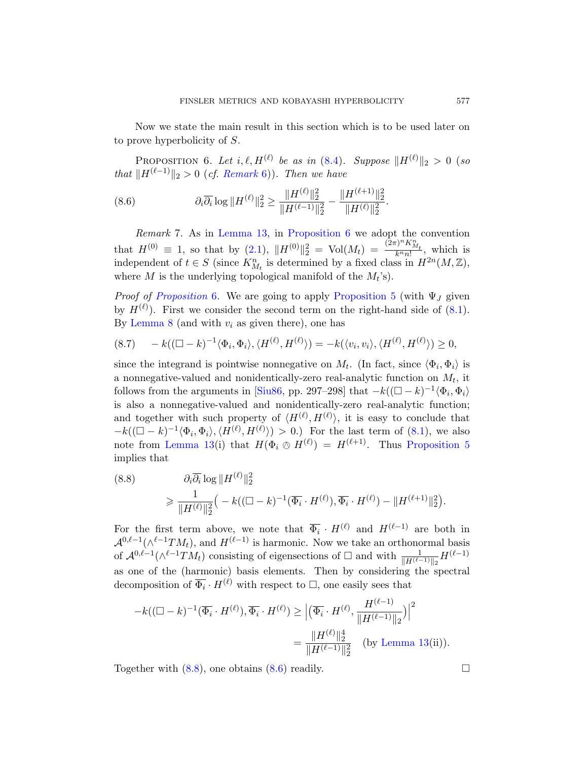<span id="page-30-2"></span><span id="page-30-1"></span><span id="page-30-0"></span>Now we state the main result in this section which is to be used later on to prove hyperbolicity of S.

[P](#page-29-2)ROPOSITION 6. Let  $i, \ell, H^{(\ell)}$  be as in (8.4). Supp[o](#page-29-2)se  $\|H^{(\ell)}\|_2 > 0$  (so that  $||H^{(\ell-1)}||_2 > 0$  (cf. Remark 6)). Then we have

(8.6) 
$$
\partial_i \overline{\partial_i} \log \| H^{(\ell)} \|_2^2 \ge \frac{\| H^{(\ell)} \|_2^2}{\| H^{(\ell-1)} \|_2^2} - \frac{\| H^{(\ell+1)} \|_2^2}{\| H^{(\ell)} \|_2^2}.
$$

Remark 7. As in Lemma 13, in Proposition [6](#page-29-3) we adopt the convention that  $H^{(0)} \equiv 1$ , so that by (2.1),  $||H^{(0)}||_2^2 = Vol(M_t) = \frac{(\hat{2}\pi)^n K_{M_t}^n}{k^n n!}$ , which is independent of  $t \in S$  (since  $K_{M_t}^n$  is determined by a fixed class in  $H^{2n}(M,\mathbb{Z}),$ where M is the underlying topological manifold of the  $M_t$ 's).

*Proof of Proposition* 6. We are going to apply Proposition 5 (with  $\Psi_J$  given by  $H^{(\ell)}$ [\). Firs](#page-39-2)t we consider the second term on the right-hand side of (8.1). By Lemma 8 (and with  $v_i$  as given there), one has

$$
(8.7) \qquad -k((\Box - k)^{-1} \langle \Phi_i, \Phi_i \rangle, \langle H^{(\ell)}, H^{(\ell)} \rangle) = -k(\langle v_i, v_i \rangle, \langle H^{(\ell)}, H^{(\ell)} \rangle) \ge 0,
$$

since the integrand is pointwise nonnega[tive on](#page-29-3)  $M_t$ . (In fact, since  $\langle \Phi_i, \Phi_i \rangle$  is a nonnegative-valued and nonidentically-zero real-analytic function on  $M_t$ , it follows from the arguments in [Siu86, pp. 297–298] that  $-k((\Box - k)^{-1} \langle \Phi_i, \Phi_i \rangle)$ is also a nonnegative-valued and nonidentically-zero real-analytic function; and together with such property of  $\langle H^{(\ell)}, H^{(\ell)} \rangle$ , it is easy to conclude that  $-k((\Box - k)^{-1} \langle \Phi_i, \Phi_i \rangle, \langle H^{(\ell)}, H^{(\ell)} \rangle) > 0.$  For the last term of (8.1), we also note from Lemma 13(i) that  $H(\Phi_i \otimes H^{(\ell)}) = H^{(\ell+1)}$ . Thus Proposition 5 implies that

(8.8) 
$$
\partial_i \overline{\partial_i} \log \| H^{(\ell)} \|_2^2
$$
  

$$
\geq \frac{1}{\| H^{(\ell)} \|_2^2} \Big( -k((\Box - k)^{-1} (\overline{\Phi_i} \cdot H^{(\ell)}), \overline{\Phi_i} \cdot H^{(\ell)}) - \| H^{(\ell+1)} \|_2^2 \Big).
$$

For the first term above, we note that  $\overline{\Phi_i} \cdot H^{(\ell)}$  and  $H^{(\ell-1)}$  are both in  $\mathcal{A}^{0,\ell-1}(\wedge^{\ell-1}TM_t)$ , and  $H^{(\ell-1)}$  is harmonic. Now we take an orthonormal basis of $\mathcal{A}^{0,\ell-1}(\wedge^{\ell-1}TM_t)$  consisting of e[igensections](#page-29-2) of  $\Box$  and with  $\frac{1}{\|H^{(\ell-1)}\|_2}H^{(\ell-1)}$ as one of the (harmonic) basis elements. Then by considering the spectral decomposi[tion](#page-30-1) of  $\overline{\Phi_i} \cdot H^{(\ell)}$  with respect to  $\Box$ , one easily sees that

$$
-k((\Box - k)^{-1}(\overline{\Phi_i} \cdot H^{(\ell)}), \overline{\Phi_i} \cdot H^{(\ell)}) \ge \left| (\overline{\Phi_i} \cdot H^{(\ell)}, \frac{H^{(\ell-1)}}{\|H^{(\ell-1)}\|_2}) \right|^2
$$
  
= 
$$
\frac{\|H^{(\ell)}\|_2^4}{\|H^{(\ell-1)}\|_2^2} \quad \text{(by Lemma 13(ii))}.
$$

Together with  $(8.8)$ , one obtains  $(8.6)$  readily.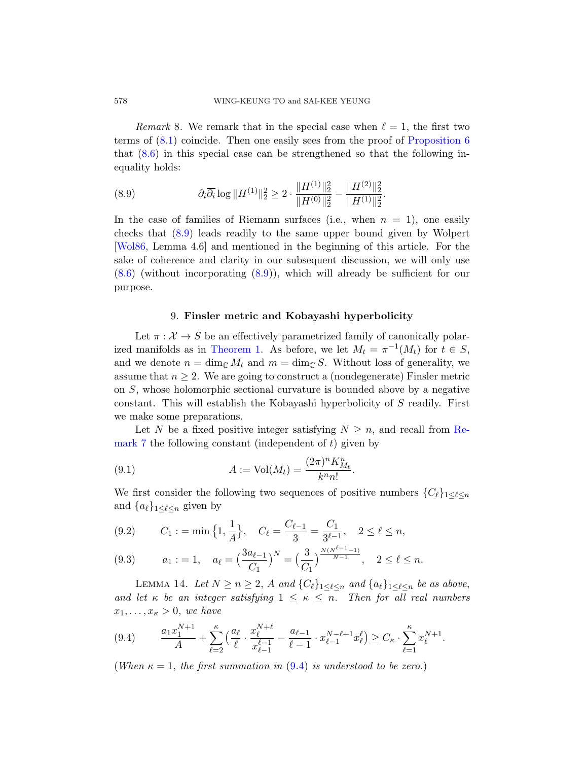Remark 8. We remark that in the special case when  $\ell = 1$ , the first two terms of (8.1) coincide. Then one easily sees from the proof of Proposition 6 that (8.6) in this special case can be strengthened so that the following inequality holds:

.

(8.9) 
$$
\partial_i \overline{\partial_i} \log ||H^{(1)}||_2^2 \ge 2 \cdot \frac{||H^{(1)}||_2^2}{||H^{(0)}||_2^2} - \frac{||H^{(2)}||_2^2}{||H^{(1)}||_2^2}
$$

<span id="page-31-0"></span>In the case of families of Riemann surfaces (i.e., when  $n = 1$ ), one easily checks that (8.9) leads readily to the same upper bound given by Wolpert [Wol86, Lemma 4.6] and mentioned in the beginning of this article. For the [sake of co](#page-1-0)herence and clarity in our subsequent discussion, we will only use (8.6) (without incorporating (8.9)), which will already be sufficient for our purpose.

#### 9. Finsler metric and Kobayashi hyperbolicity

Let  $\pi : \mathcal{X} \to S$  be an effectively parametrized family of canonically polarized manifolds as in Theorem 1. As before, we let  $M_t = \pi^{-1}(M_t)$  $M_t = \pi^{-1}(M_t)$  for  $t \in S$ , and we denote  $n = \dim_{\mathbb{C}} M_t$  and  $m = \dim_{\mathbb{C}} S$ . Without loss of generality, we assume that  $n \geq 2$ . We are going to construct a (nondegenerate) Finsler metric on S, whose holomorphic sectional curvature is bounded above by a negative constant. This will establish the Kobayashi hyperbolicity of S readily. First we make some preparations.

<span id="page-31-2"></span>Let N be a fixed positive integer satisfying  $N \geq n$ , and recall from Remark 7 the following constant (independent of  $t$ ) given by

<span id="page-31-3"></span>(9.1) 
$$
A := \text{Vol}(M_t) = \frac{(2\pi)^n K_{M_t}^n}{k^n n!}.
$$

We first consider the following two sequences of positive numbers  ${C_\ell}_{1\leq \ell \leq n}$ and  $\{a_{\ell}\}_{1\leq \ell \leq n}$  given by

(9.2) 
$$
C_1 := \min\left\{1, \frac{1}{A}\right\}, \quad C_\ell = \frac{C_{\ell-1}}{3} = \frac{C_1}{3^{\ell-1}}, \quad 2 \leq \ell \leq n,
$$

<span id="page-31-1"></span>
$$
(9.3) \t a_1 := 1, \t a_\ell = \left(\frac{3a_{\ell-1}}{C_1}\right)^N = \left(\frac{3}{C_1}\right)^{\frac{N(N^{\ell-1}-1)}{N-1}}, \t 2 \leq \ell \leq n.
$$

[L](#page-31-1)EMMA 14. Let  $N \ge n \ge 2$ , A and  $\{C_\ell\}_{1 \le \ell \le n}$  and  $\{a_\ell\}_{1 \le \ell \le n}$  be as above, and let  $\kappa$  be an integer satisfying  $1 \leq \kappa \leq n$ . Then for all real numbers  $x_1, \ldots, x_{\kappa} > 0$ , we have

$$
(9.4) \qquad \frac{a_1 x_1^{N+1}}{A} + \sum_{\ell=2}^{\kappa} \left( \frac{a_{\ell}}{\ell} \cdot \frac{x_{\ell}^{N+\ell}}{x_{\ell-1}^{\ell-1}} - \frac{a_{\ell-1}}{\ell-1} \cdot x_{\ell-1}^{N-\ell+1} x_{\ell}^{\ell} \right) \ge C_{\kappa} \cdot \sum_{\ell=1}^{\kappa} x_{\ell}^{N+1}.
$$

(When  $\kappa = 1$ , the first summation in (9.4) is understood to be zero.)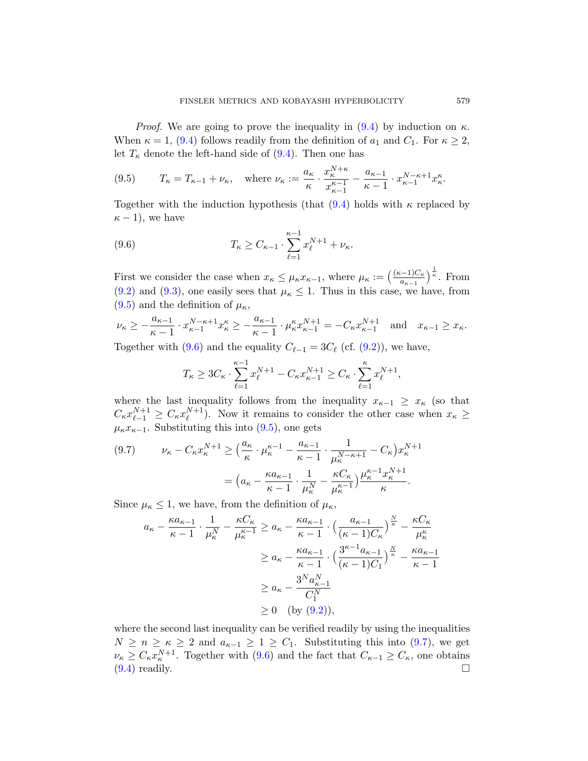<span id="page-32-0"></span>*Proof.* We are goin[g to](#page-31-1) prove the inequality in  $(9.4)$  by induction on  $\kappa$ . When  $\kappa = 1$ , (9.4) follows readily from the definition of  $a_1$  and  $C_1$ . For  $\kappa \geq 2$ , let  $T_{\kappa}$  denote the left-hand side of  $(9.4)$ . Then one has

(9.5) 
$$
T_{\kappa} = T_{\kappa - 1} + \nu_{\kappa}
$$
, where  $\nu_{\kappa} := \frac{a_{\kappa}}{\kappa} \cdot \frac{x_{\kappa}^{N+\kappa}}{x_{\kappa-1}^{\kappa-1}} - \frac{a_{\kappa-1}}{\kappa-1} \cdot x_{\kappa-1}^{N-\kappa+1} x_{\kappa}^{\kappa}$ .

Together with the induction hypothesis (that  $(9.4)$  holds with  $\kappa$  replaced by  $\kappa - 1$ , we have

(9.6) 
$$
T_{\kappa} \geq C_{\kappa-1} \cdot \sum_{\ell=1}^{\kappa-1} x_{\ell}^{N+1} + \nu_{\kappa}.
$$

First we consider the case when  $x_{\kappa} \leq \mu_{\kappa} x_{\kappa-1}$ , where  $\mu_{\kappa} := \left(\frac{(\kappa-1)C_{\kappa}}{a_{\kappa-1}}\right)$  $\frac{(-1)C_{\kappa}}{a_{\kappa-1}}$ <sup> $\frac{1}{\kappa}$ </sup>. From  $(9.2)$  and  $(9.3)$ , one easily sees that  $\mu_{\kappa} \leq 1$ . Thus in this case, we have, from  $(9.5)$  and the definition of  $\mu_{\kappa}$ ,

$$
\nu_{\kappa} \ge -\frac{a_{\kappa-1}}{\kappa-1} \cdot x_{\kappa-1}^{N-\kappa+1} x_{\kappa}^{\kappa} \ge -\frac{a_{\kappa-1}}{\kappa-1} \cdot \mu_{\kappa}^{\kappa} x_{\kappa-1}^{N+1} = -C_{\kappa} x_{\kappa-1}^{N+1} \text{ and } x_{\kappa-1} \ge x_{\kappa}.
$$

<span id="page-32-1"></span>Togethe[r wit](#page-32-0)h (9.6) and the equality  $C_{\ell-1} = 3C_{\ell}$  (cf. (9.2)), we have,

$$
T_{\kappa} \ge 3C_{\kappa} \cdot \sum_{\ell=1}^{\kappa-1} x_{\ell}^{N+1} - C_{\kappa} x_{\kappa-1}^{N+1} \ge C_{\kappa} \cdot \sum_{\ell=1}^{\kappa} x_{\ell}^{N+1}
$$

,

where the last inequality follows from the inequality  $x_{\kappa-1} \geq x_{\kappa}$  (so that  $C_{\kappa} x_{\ell-1}^{N+1} \geq C_{\kappa} x_{\ell}^{N+1}$ ). Now it remains to consider the other case when  $x_{\kappa} \geq$  $\mu_{\kappa} x_{\kappa-1}$ . Substituting this into (9.5), one gets

$$
(9.7) \qquad \nu_{\kappa} - C_{\kappa} x_{\kappa}^{N+1} \ge \left(\frac{a_{\kappa}}{\kappa} \cdot \mu_{\kappa}^{\kappa-1} - \frac{a_{\kappa-1}}{\kappa-1} \cdot \frac{1}{\mu_{\kappa}^{N-\kappa+1}} - C_{\kappa}\right) x_{\kappa}^{N+1}
$$

$$
= \left(a_{\kappa} - \frac{\kappa a_{\kappa-1}}{\kappa-1} \cdot \frac{1}{\mu_{\kappa}^{N}} - \frac{\kappa C_{\kappa}}{\mu_{\kappa}^{\kappa-1}}\right) \frac{\mu_{\kappa}^{\kappa-1} x_{\kappa}^{N+1}}{\kappa}.
$$

Since  $\mu_{\kappa} \leq 1$ , we have, from the definition of  $\mu_{\kappa}$ ,

$$
a_{\kappa} - \frac{\kappa a_{\kappa - 1}}{\kappa - 1} \cdot \frac{1}{\mu_{\kappa}^{N}} - \frac{\kappa C_{\kappa}}{\mu_{\kappa}^{\kappa - 1}} \ge a_{\kappa} - \frac{\kappa a_{\kappa - 1}}{\kappa - 1} \cdot \left( \frac{a_{\kappa - 1}}{(\kappa - 1)C_{\kappa}} \right)^{\frac{N}{\kappa}} - \frac{\kappa C_{\kappa}}{\mu_{\kappa}^{\kappa}}
$$
  

$$
\ge a_{\kappa} - \frac{\kappa a_{\kappa - 1}}{\kappa - 1} \cdot \left( \frac{3^{\kappa - 1} a_{\kappa - 1}}{(\kappa - 1)C_{1}} \right)^{\frac{N}{\kappa}} - \frac{\kappa a_{\kappa - 1}}{\kappa - 1}
$$
  

$$
\ge a_{\kappa} - \frac{3^{N} a_{\kappa - 1}^{N}}{C_{1}^{N}}
$$
  

$$
\ge 0 \quad \text{(by (9.2))},
$$

where the second last inequality can be verified readily by using the inequalities  $N \geq n \geq \kappa \geq 2$  and  $a_{\kappa-1} \geq 1 \geq C_1$ . Substituting this into (9.7), we get  $\nu_{\kappa} \geq C_{\kappa} x_{\kappa}^{N+1}$ . Together with (9.6) and the fact that  $C_{\kappa-1} \geq C_{\kappa}$ , one obtains  $(9.4)$  readily.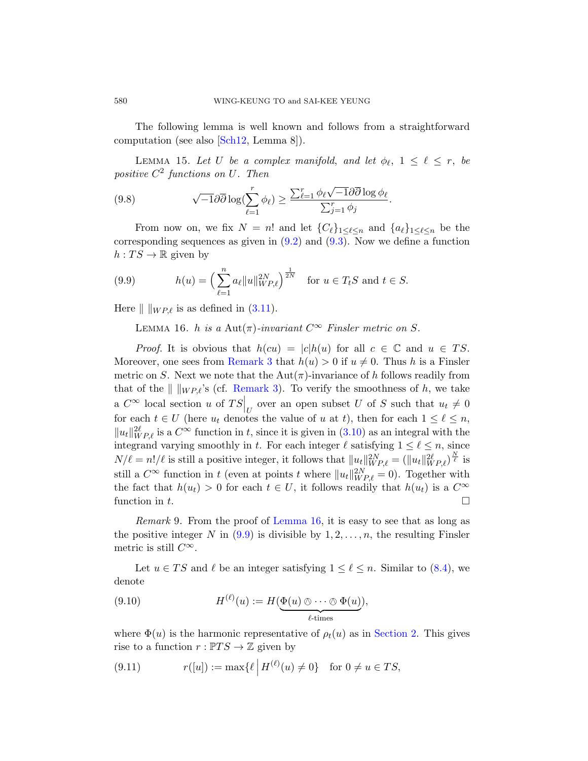The following lemma is well known and follows from a straightforward computation (see also [Sch12, Lemma 8]).

LEMMA [15.](#page-31-2) Let U [be](#page-31-3) a complex manifold, and let  $\phi_{\ell}$ ,  $1 \leq \ell \leq r$ , be positive  $C^2$  functions on U. Then

<span id="page-33-1"></span>(9.8) 
$$
\sqrt{-1}\partial\overline{\partial}\log(\sum_{\ell=1}^r\phi_\ell)\geq \frac{\sum_{\ell=1}^r\phi_\ell\sqrt{-1}\partial\overline{\partial}\log\phi_\ell}{\sum_{j=1}^r\phi_j}.
$$

<span id="page-33-0"></span>Fr[om n](#page-9-3)ow on, we fix  $N = n!$  and let  ${C_{\ell}}_{1 \leq \ell \leq n}$  and  ${a_{\ell}}_{1 \leq \ell \leq n}$  be the corresponding sequences as given in  $(9.2)$  and  $(9.3)$ . Now we define a function  $h: TS \to \mathbb{R}$  given by

(9.9) 
$$
h(u) = \left(\sum_{\ell=1}^n a_{\ell} ||u||_{WP,\ell}^{2N}\right)^{\frac{1}{2N}} \text{ for } u \in T_tS \text{ and } t \in S.
$$

Here  $\| \ \|_{WP\ell}$  is as defined in (3.11).

LEMMA 16. h is a Aut $(\pi)$ -invariant  $C^{\infty}$  Finsler metric on S.

*Proof.* It is obvious [that](#page-9-1)  $h(cu) = |c|h(u)$  for all  $c \in \mathbb{C}$  and  $u \in TS$ . Moreover, one sees from Remark 3 that  $h(u) > 0$  if  $u \neq 0$ . Thus h is a Finsler metric on S. Next we note that the  $Aut(\pi)$ -invariance of h follows readily from that of the  $\| \ \|_{WP,\ell}$ 's (cf. Remark 3). To verify the smoothness of h, we take a  $C^{\infty}$  local section u of  $TS|_U$  over an open subset U of S such that  $u_t \neq 0$ for each  $t \in U$  (here  $u_t$  denotes the value of u at t), then for each  $1 \leq \ell \leq n$ ,  $||u_t||_{WP,\ell}^{2\ell}$  is a  $C^{\infty}$  function in t, since it is given in (3.10) as an integral with the int[egra](#page-33-1)nd [varying smo](#page-33-0)othly in t. For each integer  $\ell$  satisfying  $1 \leq \ell \leq n$ , since  $N/\ell = n!/\ell$  is still a positive integer, it follows that  $||u_t||_{WP,\ell}^{2N} = (||u_t||_{WP,\ell}^{2\ell})^{\frac{N}{\ell}}$  is still a  $C^{\infty}$  function in t (even at points t where  $||u_t||_{WP,\ell}^{2N} = 0$ ). Together with the fact that  $h(u_t) > 0$  for each  $t \in U$ , it foll[ows](#page-29-4) readily that  $h(u_t)$  is a  $C^{\infty}$ function in t.

Remark 9. From the proof of Lemma 16, it is easy to see that as long as the positive integer N in  $(9.9)$  is divisible by  $1, 2, \ldots, n$ , the resulting Finsler metric is still  $C^{\infty}$ .

Let  $u \in TS$  and  $\ell$  be an integer satisfying  $1 \leq \ell \leq n$ . Similar to (8.4), we denote

(9.10) 
$$
H^{(\ell)}(u) := H(\underbrace{\Phi(u) \otimes \cdots \otimes \Phi(u)}_{\ell \text{-times}}),
$$

where  $\Phi(u)$  is the harmonic representative of  $\rho_t(u)$  as in Section 2. This gives rise to a function  $r: \mathbb{P}TS \to \mathbb{Z}$  given by

(9.11) 
$$
r([u]) := \max\{\ell \mid H^{(\ell)}(u) \neq 0\} \text{ for } 0 \neq u \in TS,
$$

<span id="page-33-2"></span>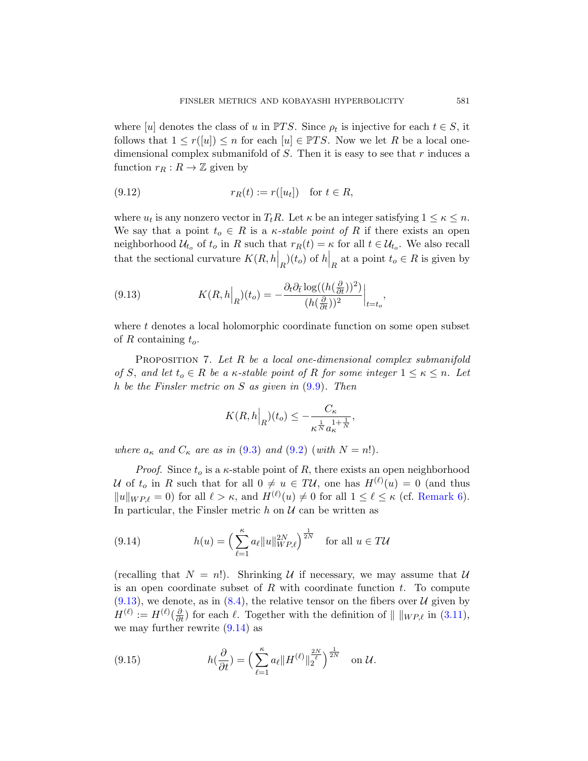where [u] denotes the class of u in  $\mathbb{P}TS$ . Since  $\rho_t$  is injective for each  $t \in S$ , it follows that  $1 \leq r(\lceil u \rceil) \leq n$  for each  $\lceil u \rceil \in \mathbb{P}TS$ . Now we let R be a local onedimensional complex submanifold of  $S$ . Then it is easy to see that  $r$  induces a function  $r_R : R \to \mathbb{Z}$  given by

$$
(9.12) \t\t\t\t\t r_R(t) := r([u_t]) \t\t for t \in R,
$$

<span id="page-34-1"></span>where  $u_t$  is any nonzero vector in  $T_t R$ . Let  $\kappa$  be an integer satisfying  $1 \leq \kappa \leq n$ . We say that a point  $t_o \in R$  is a *κ*-stable point of R if there exists an open neighborhood  $\mathcal{U}_{t_o}$  of  $t_o$  in R such that  $r_R(t) = \kappa$  for all  $t \in \mathcal{U}_{t_o}$ . We also recall that the sectional curvature  $K(R, h_R|_{R})(t_o)$  of  $h_R|_{R}$  at a point  $t_o \in R$  is given by

<span id="page-34-0"></span>(9.13) 
$$
K(R, h\Big|_{R})(t_o) = -\frac{\partial_t \partial_{\bar{t}} \log((h(\frac{\partial}{\partial t}))^2)}{(h(\frac{\partial}{\partial t}))^2}\Big|_{t=t_o},
$$

where  $t$  denotes a local holomorphic coordinate function on some open subset of R containing  $t_o$ .

PROPOSITION 7. Let  $R$  be a local one-dimens[ion](#page-31-2)al complex submanifold of S, [and](#page-31-3) let  $t_o \in R$  be a  $\kappa$ -stable point of R for some integer  $1 \leq \kappa \leq n$ . Let h be the Finsler metric on S as given in (9.9). Then

$$
K(R,h|_{R})(t_o) \leq -\frac{C_{\kappa}}{\kappa^{\frac{1}{N}} a_{\kappa}^{1+\frac{1}{N}}},
$$

<span id="page-34-2"></span>where  $a_{\kappa}$  and  $C_{\kappa}$  are as in (9.3) and (9.2) (with  $N = n!$ ).

*Proof.* Since  $t_o$  is a  $\kappa$ -stable point of R, there exists an open neighborhood U of  $t_o$  in R such that for all  $0 \neq u \in T\mathcal{U}$ , one has  $H^{(\ell)}(u) = 0$  (and thus  $||u||_{WP,\ell} = 0$  for all  $\ell > \kappa$ , and  $H^{(\ell)}(u) \neq 0$  for all  $1 \leq \ell \leq \kappa$  (cf. Remark 6). I[n pa](#page-29-4)rticular, the Finsler metric  $h$  on  $\mathcal U$  can be written as

(9.14) 
$$
h(u) = \left(\sum_{\ell=1}^{\kappa} a_{\ell} ||u||_{WP,\ell}^{2N}\right)^{\frac{1}{2N}} \text{ for all } u \in T\mathcal{U}
$$

<span id="page-34-3"></span>(recalling that  $N = n!$ ). Shrinking U if necessary, we may assume that U is an open coordinate subset of R with coordinate function  $t$ . To compute  $(9.13)$ , we denote, as in  $(8.4)$ , the relative tensor on the fibers over U given by  $H^{(\ell)} := H^{(\ell)}(\frac{\partial}{\partial t})$  for each  $\ell$ . Together with the definition of  $\| \ \|_{WP,\ell}$  in (3.11), we may further rewrite (9.14) as

(9.15) 
$$
h(\frac{\partial}{\partial t}) = \left(\sum_{\ell=1}^{\kappa} a_{\ell} || H^{(\ell)} ||_2^{\frac{2N}{\ell}}\right)^{\frac{1}{2N}} \text{ on } \mathcal{U}.
$$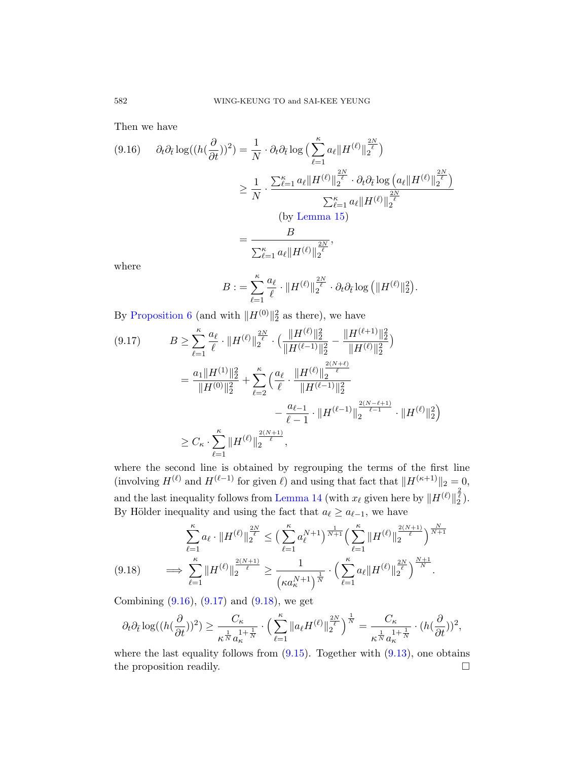Then we have

$$
(9.16) \quad \partial_t \partial_{\bar{t}} \log((h(\frac{\partial}{\partial t}))^2) = \frac{1}{N} \cdot \partial_t \partial_{\bar{t}} \log\Big(\sum_{\ell=1}^{\kappa} a_{\ell} \|H^{(\ell)}\|_2^{\frac{2N}{\ell}}\Big)
$$

$$
\geq \frac{1}{N} \cdot \frac{\sum_{\ell=1}^{\kappa} a_{\ell} \|H^{(\ell)}\|_2^{\frac{2N}{\ell}} \cdot \partial_t \partial_{\bar{t}} \log\Big(a_{\ell} \|H^{(\ell)}\|_2^{\frac{2N}{\ell}}\Big)}{\sum_{\ell=1}^{\kappa} a_{\ell} \|H^{(\ell)}\|_2^{\frac{2N}{\ell}}}
$$

$$
= \frac{B}{\sum_{\ell=1}^{\kappa} a_{\ell} \|H^{(\ell)}\|_2^{\frac{2N}{\ell}}},
$$

<span id="page-35-0"></span>where

$$
B := \sum_{\ell=1}^{\kappa} \frac{a_{\ell}}{\ell} \cdot \|H^{(\ell)}\|_2^{\frac{2N}{\ell}} \cdot \partial_t \partial_{\bar{t}} \log \left(\|H^{(\ell)}\|_2^2\right).
$$

By Proposition 6 (and with  $||H^{(0)}||_2^2$  as there), we have

$$
(9.17) \tB \geq \sum_{\ell=1}^{\kappa} \frac{a_{\ell}}{\ell} \cdot \|H^{(\ell)}\|_{2}^{\frac{2N}{\ell}} \cdot \left(\frac{\|H^{(\ell)}\|_{2}^{2}}{\|H^{(\ell-1)}\|_{2}^{2}} - \frac{\|H^{(\ell+1)}\|_{2}^{2}}{\|H^{(\ell)}\|_{2}^{2}}\right)
$$
  

$$
= \frac{a_{1} \|H^{(1)}\|_{2}^{2}}{\|H^{(0)}\|_{2}^{2}} + \sum_{\ell=2}^{\kappa} \left(\frac{a_{\ell}}{\ell} \cdot \frac{\|H^{(\ell)}\|_{2}^{\frac{2(N+\ell)}{\ell}}}{\|H^{(\ell-1)}\|_{2}^{2}} - \frac{a_{\ell-1}}{\ell-1} \cdot \|H^{(\ell-1)}\|_{2}^{\frac{2(N-\ell+1)}{\ell-1}} \cdot \|H^{(\ell)}\|_{2}^{2}\right)
$$
  

$$
\geq C_{\kappa} \cdot \sum_{\ell=1}^{\kappa} \|H^{(\ell)}\|_{2}^{\frac{2(N+1)}{\ell}},
$$

<span id="page-35-1"></span>where the second line is obtained by regrouping the terms of the first line (involving  $H^{(\ell)}$  and  $H^{(\ell-1)}$  for given  $\ell$ ) and using that fact that  $\|H^{(\kappa+1)}\|_2 = 0$ , and the last inequality follows from Lemma 14 (with  $x_{\ell}$  given here by  $\|H^{(\ell)}\|_2^{\frac{2}{\ell}}$ ). [B](#page-35-0)y Höl[der in](#page-35-1)equality and using the fact that  $a_\ell \ge a_{\ell-1}$ , we have

$$
(9.18) \qquad \sum_{\ell=1}^{\kappa} a_{\ell} \cdot \|H^{(\ell)}\|_{2}^{\frac{2N}{\ell}} \leq \Big(\sum_{\ell=1}^{\kappa} a_{\ell}^{N+1}\Big)^{\frac{1}{N+1}} \Big(\sum_{\ell=1}^{\kappa} \|H^{(\ell)}\|_{2}^{\frac{2(N+1)}{\ell}}\Big)^{\frac{N}{N+1}} \implies \sum_{\ell=1}^{\kappa} \|H^{(\ell)}\|_{2}^{\frac{2(N+1)}{\ell}} \geq \frac{1}{\left(\kappa a_{\kappa}^{N+1}\right)^{\frac{1}{N}}} \cdot \Big(\sum_{\ell=1}^{\kappa} a_{\ell} \|H^{(\ell)}\|_{2}^{\frac{2N}{\ell}}\Big)^{\frac{N+1}{N}}.
$$

Combining  $(9.16)$ ,  $(9.17)$  and  $(9.18)$ , we get

$$
\partial_t \partial_{\overline{t}} \log((h(\frac{\partial}{\partial t}))^2) \geq \frac{C_\kappa}{\kappa^{\frac{1}{N}}a_\kappa^{\frac{1}{1}+\frac{1}{N}}} \cdot \Big(\sum_{\ell=1}^\kappa \|a_\ell H^{(\ell)}\|_2^{\frac{2N}{\ell}}\Big)^{\frac{1}{N}} = \frac{C_\kappa}{\kappa^{\frac{1}{N}}a_\kappa^{\frac{1}{1}+\frac{1}{N}}} \cdot (h(\frac{\partial}{\partial t}))^2,
$$

where the last equality follows from  $(9.15)$ . Together with  $(9.13)$ , one obtains the proposition readily.  $\Box$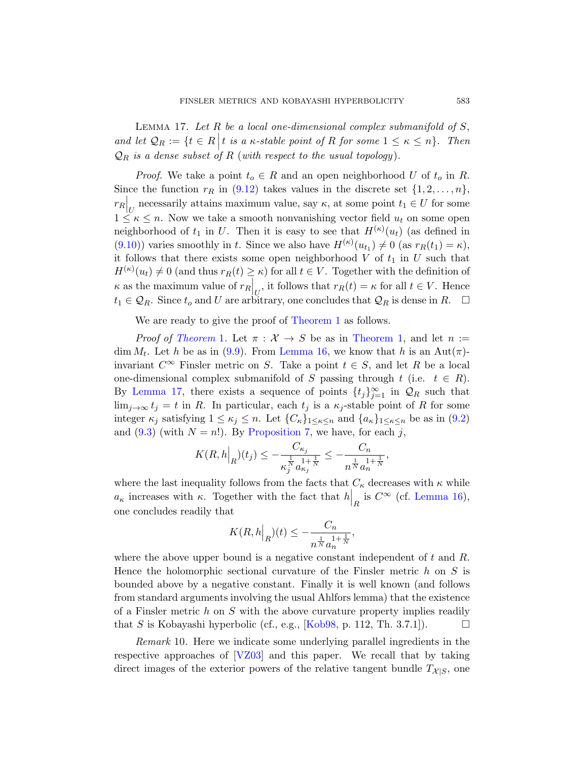LEMMA 17. Let  $R$  be a local one-dimensional complex submanifold of  $S$ , and let  $\mathcal{Q}_R := \{t \in R \mid t \text{ is a } \kappa\text{-stable point of } R \text{ for some } 1 \leq \kappa \leq n\}.$  Then  $\mathcal{Q}_R$  is a dense subset of R (with respect to the usual topology).

*Proof.* We take a point  $t_o \in R$  and an open neighborhood U of  $t_o$  in R. Since the function  $r_R$  in (9.12) takes values in the discrete set  $\{1, 2, \ldots, n\}$ ,  $r_R\Big|_U$  necessarily attains maximum value, say  $\kappa$ , at some point  $t_1 \in U$  for some  $1 \leq \kappa \leq n$ . Now we take a smooth nonvanishing vector field  $u_t$  on some open neighborhood of  $t_1$  in U. Then it is easy to see that  $H^{(\kappa)}(u_t)$  (as defined in (9.10)) varies s[moothly in](#page-1-0) t. Since we also have  $H^{(\kappa)}(u_{t_1}) \neq 0$  (as  $r_R(t_1) = \kappa$ ), [it](#page-1-0) follows that there exists [some open n](#page-1-0)eighborhood  $V$  of  $t_1$  in  $U$  such that  $H^{(\kappa)}(u_t) \neq 0$  $H^{(\kappa)}(u_t) \neq 0$  $H^{(\kappa)}(u_t) \neq 0$  [\(and thus](#page-33-0)  $r_R(t) \geq \kappa$ ) for all  $t \in V$ . Together with the definition of  $\kappa$  as the maximum value of  $r_R\Big|_U$ , it follows that  $r_R(t) = \kappa$  for all  $t \in V$ . Hence  $t_1 \in \mathcal{Q}_R$ . Since  $t_o$  and U are arbitrary, one concludes that  $\mathcal{Q}_R$  is dense in  $R$ .  $\Box$ 

We are ready to give the proof of Theorem 1 as follows.

*Proof of [Th](#page-31-2)eorem* 1. Let  $\pi : \mathcal{X} \to S$  be as in Theorem 1, and let  $n :=$ dim  $M_t$ [. Let](#page-34-0) h be as in (9.9). From Lemma 16, we know that h is an Aut( $\pi$ )invariant  $C^{\infty}$  Finsler metric on S. Take a point  $t \in S$ , and let R be a local one-dimensional complex submanifold of S passing through t (i.e.  $t \in R$ ). By Lemma 17, there exists a sequence of points  $\{t_j\}_{j=1}^{\infty}$  in  $\mathcal{Q}_R$  such that  $\lim_{j\to\infty} t_j = t$  in R. In particular, each  $t_j$  is a  $\kappa_j$ -stable point of R for some integer  $\kappa_j$  satisfying  $1 \leq \kappa_j \leq n$ . Let  $\{C_\kappa\}_{1 \leq \kappa \leq n}$  [and](#page-33-0)  $\{a_\kappa\}_{1 \leq \kappa \leq n}$  be as in  $(9.2)$ and  $(9.3)$  (with  $N = n!$ ). By Proposition 7, we have, for each j,

$$
K(R,h|_{R})(t_{j}) \leq -\frac{C_{\kappa_{j}}}{\kappa_{j}^{\frac{1}{N}} a_{\kappa_{j}}^{1+\frac{1}{N}}} \leq -\frac{C_{n}}{n^{\frac{1}{N}} a_{n}^{1+\frac{1}{N}}},
$$

where the last inequality follows from the facts that  $C_\kappa$  decreases with  $\kappa$  while  $a_{\kappa}$  increases with  $\kappa$ . Together with the fact that  $h\Big|_R$  is  $C^{\infty}$  (cf. Lemma 16), one concludes readily that

$$
K(R,h|_{R})(t) \leq -\frac{C_n}{n^{\frac{1}{N}} a_n^{1+\frac{1}{N}}},
$$

<span id="page-36-0"></span>where the above upper bound is a negative constant independent of  $t$  and  $R$ . He[nce th](#page-39-4)e holomorphic sectional curvature of the Finsler metric  $h$  on  $S$  is bounded above by a negative constant. Finally it is well known (and follows from standard arguments involving the usual Ahlfors lemma) that the existence of a Finsler metric h on S with the above curvature property implies readily that S is Kobayashi hyperbolic (cf., e.g., [Kob98, p. 112, Th. 3.7.1]).

Remark 10. Here we indicate some underlying parallel ingredients in the respective approaches of [VZ03] and this paper. We recall that by taking direct images of the exterior powers of the relative tangent bundle  $T_{\mathcal{X}|S}$ , one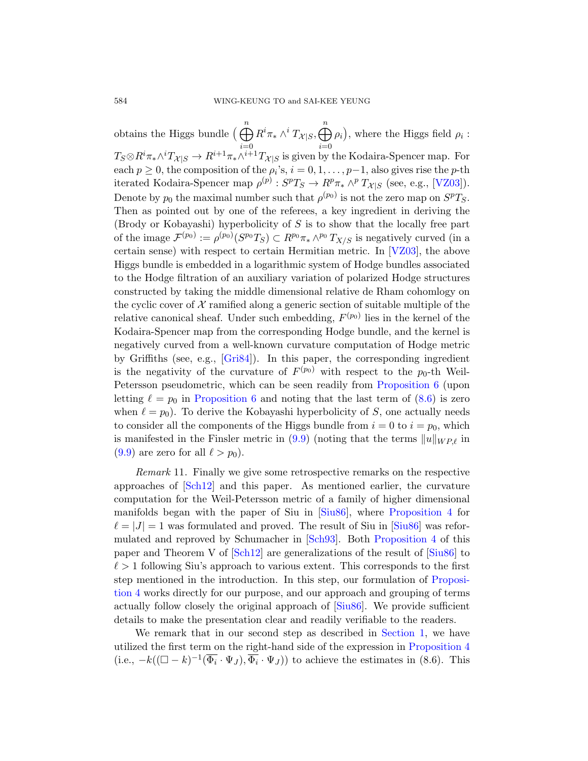obtains the Higgs bundle  $\left(\bigoplus_{n=1}^{n} a_n\right)$  $i=0$  $R^i\pi_* \wedge^i T_{\mathcal{X}|S}$  $i=0$  $\rho_i$ , where the Higgs field  $\rho_i$ :  $T_S \otimes R^i \pi_* \wedge^i T_{\mathcal{X}|S} \to R^{i+1} \pi_* \wedge^{i+1} T_{\mathcal{X}|S}$  is given by the Kodaira-Spencer map. For each  $p \geq 0$ , the composition of the  $\rho_i$ 's,  $i = 0, 1, \ldots, p-1$  $i = 0, 1, \ldots, p-1$  $i = 0, 1, \ldots, p-1$ , also gives rise the p-th iterated Kodaira-Spencer map  $\rho^{(p)} : S^pT_S \to R^p\pi_* \wedge^p T_{\mathcal{X}|S}$  (see, e.g., [VZ03]). Denote by  $p_0$  the maximal number such that  $\rho^{(p_0)}$  is not the zero map on  $S^pT_S$ . Then as pointed out by one of the referees, a key ingredient in deriving the (Brody or Kobayashi) hyperbolicity of S is to show that the locally free part of the image  $\mathcal{F}^{(p_0)} := \rho^{(p_0)}(S^{p_0}T_S) \subset R^{p_0}\pi_* \wedge^{p_0}T_{X/S}$  is negatively curved (in a certain sense) with respect to certain Hermitian metric. In [VZ03], the above Higgs bundle is embedded in a logarithmic system of Hodge bundles associated [to the H](#page-38-5)odge filtration of an auxiliary variation of polarized Hodge structures constructed by taking the middle dimensional relative de Rham cohomlogy on the cyclic cover of  $\mathcal X$  ramified alon[g a generic sect](#page-30-0)ion of suitable multiple of the [relative c](#page-30-0)anonical sheaf. Under such embe[dding](#page-30-1),  $F^{(p_0)}$  lies in the kernel of the Kodaira-Spencer map from the corresponding Hodge bundle, and the kernel is negatively curved from a well-known curvature computation of Hodge metric by Griffiths (se[e, e](#page-33-1).g., [Gri84]). In this paper, the corresponding ingredient is the negativity of the curvature of  $F^{(p_0)}$  with respect to the  $p_0$ -th Weil-Petersson pseudometric, which can be seen readily from Proposition 6 (upon letting  $\ell = p_0$  in Proposition 6 and noting that the last term of (8.6) is zero when  $\ell = p_0$ . To derive the Kobayashi hyperbolicity of S, one actually needs to consider all the co[mponen](#page-39-2)ts of the [Higgs bundle f](#page-28-0)rom  $i = 0$  to  $i = p_0$ , which is manifested in the Finsler metric in  $(9.9)$  (noting that the terms  $||u||_{WP,\ell}$  in  $(9.9)$  are zero for all  $\ell > p_0$ .

<span id="page-37-0"></span>[Rem](#page-39-7)ark 11. Finally we give some retros[pective](#page-39-2) remarks on the respective approaches of [Sch12] and this paper. As mentioned earlier, the curvature computation for the Weil-Petersson metric of [a family](#page-28-0) of higher dimensional manifolds began with the paper of Siu in [Siu86], where Proposition 4 for  $\ell = |J| = 1$  was formulat[ed and](#page-39-2) proved. The result of Siu in [Siu86] was reformulated and reproved by Schumacher in [Sch93]. Both Proposition 4 of this paper and Theorem V of [Sch12] a[re generaliz](#page-0-0)ations of the result of [Siu86] to  $\ell > 1$  following Siu's approach to various [extent. This c](#page-28-0)orresponds to the first step mentioned in the introduction. In this step, our formulation of Proposition 4 works directly for our purpose, and our approach and grouping of terms actually follow closely the original approach of [Siu86]. We provide sufficient details to make the presentation clear and readily verifiable to the readers.

We remark that in our second step as described in Section 1, we have utilized the first term on the right-hand side of the expression in Proposition 4 (i.e.,  $-k((\Box - k)^{-1}(\overline{\Phi_i} \cdot \Psi_J), \overline{\Phi_i} \cdot \Psi_J))$  to achieve the estimates in (8.6). This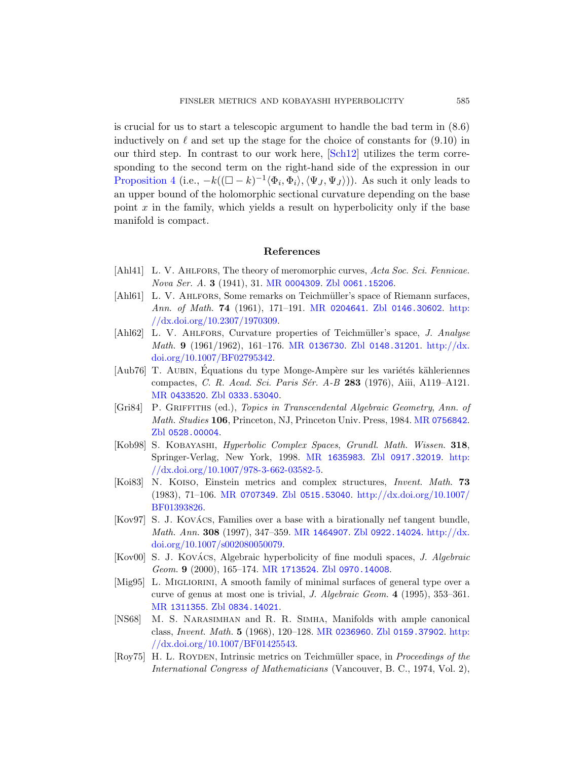is crucial for us to start a telescopic argument to handle the bad term in (8.6) inductively on  $\ell$  and set up the stage for the choice of constants for (9.10) in our third step. In contrast to our work here, [Sch12] utilizes the term corresponding to the second term on the right-hand side of the expression in our Proposition 4 (i.e.,  $-k((\Box - k)^{-1} \langle \Phi_i, \Phi_i \rangle, \langle \Psi_J, \Psi_J \rangle)$ ). As such it only leads to an upper [bound of the](http://www.ams.org/mathscinet-getitem?mr=0004309) [holomorphic sec](http://www.zentralblatt-math.org/zmath/en/search/?q=an:0061.15206)tional curvature depending on the base point  $x$  in the family, which yields a result on hyperbolicity only if the base manifold is compac[t.](http://www.ams.org/mathscinet-getitem?mr=0204641)

#### References

- [\[Ahl41\]](http://dx.doi.org/10.1007/BF02795342) L. V. AHLFORS, The [theory of meromor](http://www.zentralblatt-math.org/zmath/en/search/?q=an:0148.31201)[phic curves,](http://dx.doi.org/10.1007/BF02795342) Acta Soc. Sci. Fennicae. Nova Ser. A. 3 (1941), 31. MR 0004309. Zbl 0061.15206.
- [Ahl61] L. V. AHLFORS, Some remarks on Teichmüller's space of Riemann surfaces, [Ann](http://www.zentralblatt-math.org/zmath/en/search/?q=an:0333.53040). of Math. 74 (1961), 171–191. MR 0204641. Zbl 0146.30602. http: //dx.doi.org/10.2307/1970309.
- <span id="page-38-5"></span>[Ahl62] L. V. AHLFORS, Curvature propert[ies of Teichm](http://www.ams.org/mathscinet-getitem?mr=0756842)üller's space, J. Analyse  $Math. 9$  (1961/1962), 161–176. MR 0136730. Zbl 0148.31201. http://dx. doi.org/10.1007/BF02795342.
- <span id="page-38-1"></span>[Aub76] T. AUBIN, Équations du type Monge-Ampè[re sur](http://dx.doi.org/10.1007/978-3-662-03582-5) les variétés kähleriennes [compactes,](http://dx.doi.org/10.1007/978-3-662-03582-5) C. R. Acad. Sci. Paris Sér. A-B 283 (1976), Aiii, A119–A121. MR 0433520. Zbl 0333.53040.
- <span id="page-38-4"></span>[\[Gri84\]](http://www.ams.org/mathscinet-getitem?mr=0707349) P. GRIFFITHS (ed.), T[opics in Transcendental Alge](http://dx.doi.org/10.1007/BF01393826)braic Geometry, Ann. of Math. Studies 106, Princeton, NJ, Princeton Univ. Press, 1984. MR 0756842. Zbl 0528.00004.
- [Kob98] S. Kobayashi, [Hyper](http://www.ams.org/mathscinet-getitem?mr=1464907)[bolic Complex Sp](http://www.zentralblatt-math.org/zmath/en/search/?q=an:0922.14024)aces, [Grun](http://dx.doi.org/10.1007/s002080050079)dl. Math. Wissen. 318, [Spring](http://dx.doi.org/10.1007/s002080050079)er-Verlag, New York, 1998. MR 1635983. Zbl 0917.32019. http: //dx.doi.org/10.1007/978-3-662-03582-5.
- <span id="page-38-3"></span><span id="page-38-2"></span>[Koi83] [N. Koiso](http://www.ams.org/mathscinet-getitem?mr=1713524), Ei[nstein metrics a](http://www.zentralblatt-math.org/zmath/en/search/?q=an:0970.14008)nd complex structures, Invent. Math. 73 (1983), 71–106. MR 0707349. Zbl 0515.53040. http://dx.doi.org/10.1007/ BF01393826.
- [\[Kov97\]](http://www.zentralblatt-math.org/zmath/en/search/?q=an:0834.14021) S. J. KOVÁCS, Families over a base with a birationally nef tangent bundle, Math. Ann. 308 (1997), 347–359. MR 1464907. Zbl 0922.14024. http://dx. doi.org/10.10[07/s002080050](http://www.ams.org/mathscinet-getitem?mr=0236960)079.
- <span id="page-38-0"></span>[\[Kov00\]](http://dx.doi.org/10.1007/BF01425543)S. J. KOVÁCS, Algebraic h[yperbolicity of fi](http://www.zentralblatt-math.org/zmath/en/search/?q=an:0159.37902)[ne mo](http://dx.doi.org/10.1007/BF01425543)duli spaces, J. Algebraic Geom. 9 (2000), 165–174. MR 1713524. Zbl 0970.14008.
- [Mig95] L. MIGLIORINI, A smooth family of minimal surfaces of general type over a curve of genus at most one is trivial, J. Algebraic Geom. 4 (1995), 353–361. MR 1311355. Zbl 0834.14021.
- [NS68] M. S. Narasimhan and R. R. Simha, Manifolds with ample canonical class, Invent. Math. 5 (1968), 120–128. MR 0236960. Zbl 0159.37902. http: //dx.doi.org/10.1007/BF01425543.
- [Roy75] H. L. ROYDEN, Intrinsic metrics on Teichmüller space, in *Proceedings of the* International Congress of Mathematicians (Vancouver, B. C., 1974, Vol. 2),